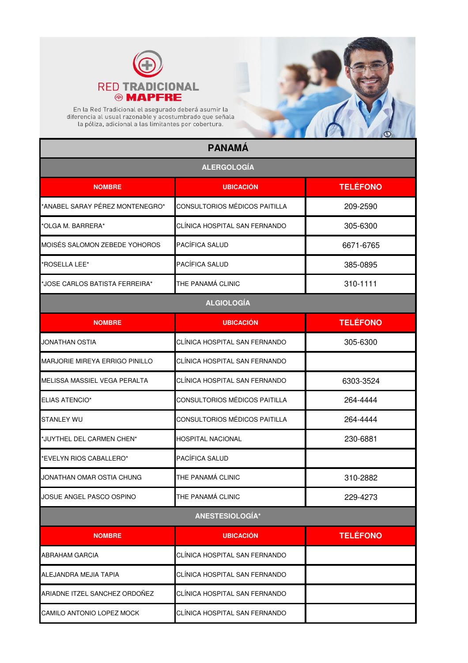



En la Red Tradicional el asegurado deberá asumir la<br>diferencia al usual razonable y acostumbrado que señala<br>la póliza, adicional a las limitantes por cobertura.

## **PANAMÁ**

| <b>ALERGOLOGÍA</b>                    |                               |                 |
|---------------------------------------|-------------------------------|-----------------|
| <b>NOMBRE</b>                         | <b>UBICACIÓN</b>              | <b>TELÉFONO</b> |
| 'ANABEL SARAY PÉREZ MONTENEGRO*       | CONSULTORIOS MÉDICOS PAITILLA | 209-2590        |
| *OLGA M. BARRERA*                     | CLÍNICA HOSPITAL SAN FERNANDO | 305-6300        |
| MOISÉS SALOMON ZEBEDE YOHOROS         | PACÍFICA SALUD                | 6671-6765       |
| 'ROSELLA LEE*                         | PACÍFICA SALUD                | 385-0895        |
| *JOSE CARLOS BATISTA FERREIRA*        | THE PANAMÁ CLINIC             | 310-1111        |
|                                       | <b>ALGIOLOGÍA</b>             |                 |
| <b>NOMBRE</b>                         | <b>UBICACIÓN</b>              | <b>TELÉFONO</b> |
| JONATHAN OSTIA                        | CLÍNICA HOSPITAL SAN FERNANDO | 305-6300        |
| <b>MARJORIE MIREYA ERRIGO PINILLO</b> | CLÍNICA HOSPITAL SAN FERNANDO |                 |
| MELISSA MASSIEL VEGA PERALTA          | CLÍNICA HOSPITAL SAN FERNANDO | 6303-3524       |
| ELIAS ATENCIO*                        | CONSULTORIOS MÉDICOS PAITILLA | 264-4444        |
| STANLEY WU                            | CONSULTORIOS MÉDICOS PAITILLA | 264-4444        |
| *JUYTHEL DEL CARMEN CHEN*             | HOSPITAL NACIONAL             | 230-6881        |
| 'EVELYN RIOS CABALLERO*               | PACÍFICA SALUD                |                 |
| JONATHAN OMAR OSTIA CHUNG             | THE PANAMÁ CLINIC             | 310-2882        |
| JOSUE ANGEL PASCO OSPINO              | THE PANAMÁ CLINIC             | 229-4273        |
|                                       | ANESTESIOLOGÍA*               |                 |
| <b>NOMBRE</b>                         | <b>UBICACIÓN</b>              | <b>TELÉFONO</b> |
| ABRAHAM GARCIA                        | CLÍNICA HOSPITAL SAN FERNANDO |                 |
| ALEJANDRA MEJIA TAPIA                 | CLÍNICA HOSPITAL SAN FERNANDO |                 |
| ARIADNE ITZEL SANCHEZ ORDOÑEZ         | CLÍNICA HOSPITAL SAN FERNANDO |                 |
| CAMILO ANTONIO LOPEZ MOCK             | CLÍNICA HOSPITAL SAN FERNANDO |                 |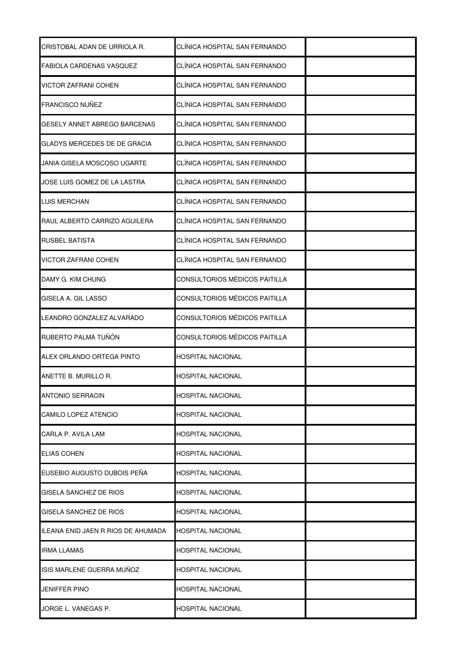| CRISTOBAL ADAN DE URRIOLA R.        | CLÍNICA HOSPITAL SAN FERNANDO |  |
|-------------------------------------|-------------------------------|--|
| <b>FABIOLA CARDENAS VASQUEZ</b>     | CLÍNICA HOSPITAL SAN FERNANDO |  |
| VICTOR ZAFRANI COHEN                | CLÍNICA HOSPITAL SAN FERNANDO |  |
| <b>FRANCISCO NUÑEZ</b>              | CLÍNICA HOSPITAL SAN FERNANDO |  |
| <b>GESELY ANNET ABREGO BARCENAS</b> | CLÍNICA HOSPITAL SAN FERNANDO |  |
| GLADYS MERCEDES DE DE GRACIA        | CLÍNICA HOSPITAL SAN FERNANDO |  |
| JANIA GISELA MOSCOSO UGARTE         | CLÍNICA HOSPITAL SAN FERNANDO |  |
| JOSE LUIS GOMEZ DE LA LASTRA        | CLÍNICA HOSPITAL SAN FERNANDO |  |
| <b>LUIS MERCHAN</b>                 | CLÍNICA HOSPITAL SAN FERNANDO |  |
| RAUL ALBERTO CARRIZO AGUILERA       | CLINICA HOSPITAL SAN FERNANDO |  |
| <b>RUSBEL BATISTA</b>               | CLÍNICA HOSPITAL SAN FERNANDO |  |
| VICTOR ZAFRANI COHEN                | CLÍNICA HOSPITAL SAN FERNANDO |  |
| DAMY G. KIM CHUNG                   | CONSULTORIOS MÉDICOS PAITILLA |  |
| <b>GISELA A. GIL LASSO</b>          | CONSULTORIOS MÉDICOS PAITILLA |  |
| LEANDRO GONZALEZ ALVARADO           | CONSULTORIOS MÉDICOS PAITILLA |  |
| RUBERTO PALMA TUÑÓN                 | CONSULTORIOS MÉDICOS PAITILLA |  |
| ALEX ORLANDO ORTEGA PINTO           | <b>HOSPITAL NACIONAL</b>      |  |
| ANETTE B. MURILLO R.                | HOSPITAL NACIONAL             |  |
| <b>ANTONIO SERRACIN</b>             | <b>HOSPITAL NACIONAL</b>      |  |
| CAMILO LOPEZ ATENCIO                | HOSPITAL NACIONAL             |  |
| CARLA P. AVILA LAM                  | HOSPITAL NACIONAL             |  |
| <b>ELIAS COHEN</b>                  | HOSPITAL NACIONAL             |  |
| EUSEBIO AUGUSTO DUBOIS PEÑA         | <b>HOSPITAL NACIONAL</b>      |  |
| GISELA SANCHEZ DE RIOS              | HOSPITAL NACIONAL             |  |
| GISELA SANCHEZ DE RIOS              | HOSPITAL NACIONAL             |  |
| ILEANA ENID JAEN R RIOS DE AHUMADA  | <b>HOSPITAL NACIONAL</b>      |  |
| <b>IRMA LLAMAS</b>                  | HOSPITAL NACIONAL             |  |
| ISIS MARLENE GUERRA MUÑOZ           | HOSPITAL NACIONAL             |  |
| JENIFFER PINO                       | HOSPITAL NACIONAL             |  |
| JORGE L. VANEGAS P.                 | HOSPITAL NACIONAL             |  |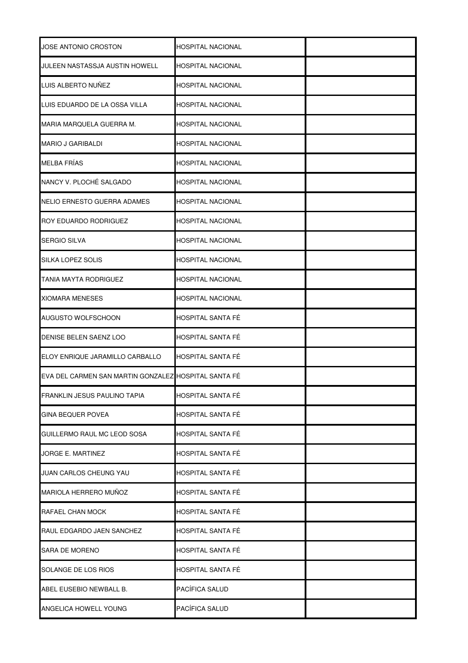| <b>JOSE ANTONIO CROSTON</b>                          | <b>HOSPITAL NACIONAL</b> |  |
|------------------------------------------------------|--------------------------|--|
| JULEEN NASTASSJA AUSTIN HOWELL                       | <b>HOSPITAL NACIONAL</b> |  |
| LUIS ALBERTO NUÑEZ                                   | <b>HOSPITAL NACIONAL</b> |  |
| LUIS EDUARDO DE LA OSSA VILLA                        | <b>HOSPITAL NACIONAL</b> |  |
| MARIA MARQUELA GUERRA M.                             | <b>HOSPITAL NACIONAL</b> |  |
| <b>MARIO J GARIBALDI</b>                             | <b>HOSPITAL NACIONAL</b> |  |
| MELBA FRÍAS                                          | <b>HOSPITAL NACIONAL</b> |  |
| NANCY V. PLOCHÉ SALGADO                              | <b>HOSPITAL NACIONAL</b> |  |
| NELIO ERNESTO GUERRA ADAMES                          | <b>HOSPITAL NACIONAL</b> |  |
| <b>ROY EDUARDO RODRIGUEZ</b>                         | <b>HOSPITAL NACIONAL</b> |  |
| <b>SERGIO SILVA</b>                                  | <b>HOSPITAL NACIONAL</b> |  |
| <b>SILKA LOPEZ SOLIS</b>                             | <b>HOSPITAL NACIONAL</b> |  |
| <b>TANIA MAYTA RODRIGUEZ</b>                         | HOSPITAL NACIONAL        |  |
| <b>XIOMARA MENESES</b>                               | <b>HOSPITAL NACIONAL</b> |  |
| AUGUSTO WOLFSCHOON                                   | HOSPITAL SANTA FÉ        |  |
| DENISE BELEN SAENZ LOO                               | HOSPITAL SANTA FÉ        |  |
| ELOY ENRIQUE JARAMILLO CARBALLO                      | HOSPITAL SANTA FÉ        |  |
| EVA DEL CARMEN SAN MARTIN GONZALEZ HOSPITAL SANTA FÉ |                          |  |
| <b>FRANKLIN JESUS PAULINO TAPIA</b>                  | HOSPITAL SANTA FÉ        |  |
| <b>GINA BEQUER POVEA</b>                             | HOSPITAL SANTA FÉ        |  |
| GUILLERMO RAUL MC LEOD SOSA                          | HOSPITAL SANTA FÉ        |  |
| JORGE E. MARTINEZ                                    | HOSPITAL SANTA FÉ        |  |
| <b>JUAN CARLOS CHEUNG YAU</b>                        | HOSPITAL SANTA FÉ        |  |
| MARIOLA HERRERO MUÑOZ                                | HOSPITAL SANTA FÉ        |  |
| RAFAEL CHAN MOCK                                     | HOSPITAL SANTA FÉ        |  |
| RAUL EDGARDO JAEN SANCHEZ                            | HOSPITAL SANTA FÉ        |  |
| SARA DE MORENO                                       | HOSPITAL SANTA FÉ        |  |
| SOLANGE DE LOS RIOS                                  | HOSPITAL SANTA FÉ        |  |
| ABEL EUSEBIO NEWBALL B.                              | PACÍFICA SALUD           |  |
| ANGELICA HOWELL YOUNG                                | PACÍFICA SALUD           |  |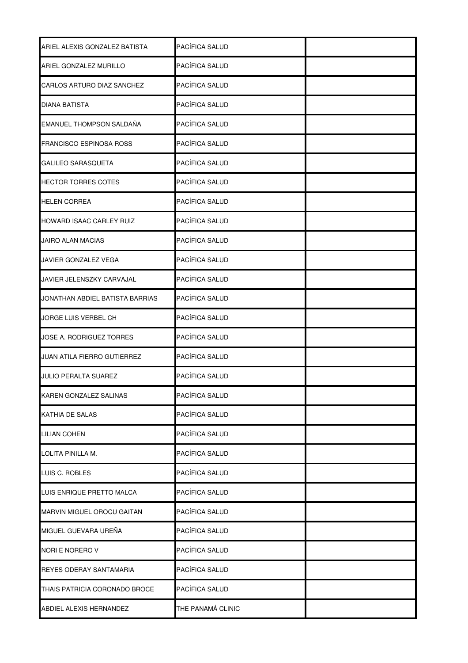| ARIEL ALEXIS GONZALEZ BATISTA      | PACÍFICA SALUD    |  |
|------------------------------------|-------------------|--|
| ARIEL GONZALEZ MURILLO             | PACÍFICA SALUD    |  |
| CARLOS ARTURO DIAZ SANCHEZ         | PACÍFICA SALUD    |  |
| DIANA BATISTA                      | PACÍFICA SALUD    |  |
| EMANUEL THOMPSON SALDAÑA           | PACÍFICA SALUD    |  |
| <b>FRANCISCO ESPINOSA ROSS</b>     | PACÍFICA SALUD    |  |
| <b>GALILEO SARASQUETA</b>          | PACÍFICA SALUD    |  |
| HECTOR TORRES COTES                | PACÍFICA SALUD    |  |
| <b>HELEN CORREA</b>                | PACÍFICA SALUD    |  |
| HOWARD ISAAC CARLEY RUIZ           | PACÍFICA SALUD    |  |
| <b>JAIRO ALAN MACIAS</b>           | PACÍFICA SALUD    |  |
| JAVIER GONZALEZ VEGA               | PACÍFICA SALUD    |  |
| JAVIER JELENSZKY CARVAJAL          | PACÍFICA SALUD    |  |
| JONATHAN ABDIEL BATISTA BARRIAS    | PACÍFICA SALUD    |  |
| JORGE LUIS VERBEL CH               | PACÍFICA SALUD    |  |
| JOSE A. RODRIGUEZ TORRES           | PACÍFICA SALUD    |  |
| <b>JUAN ATILA FIERRO GUTIERREZ</b> | PACÍFICA SALUD    |  |
| <b>JULIO PERALTA SUAREZ</b>        | PACÍFICA SALUD    |  |
| KAREN GONZALEZ SALINAS             | PACÍFICA SALUD    |  |
| <b>KATHIA DE SALAS</b>             | PACÍFICA SALUD    |  |
| <b>LILIAN COHEN</b>                | PACÍFICA SALUD    |  |
| LOLITA PINILLA M.                  | PACÍFICA SALUD    |  |
| LUIS C. ROBLES                     | PACÍFICA SALUD    |  |
| LUIS ENRIQUE PRETTO MALCA          | PACÍFICA SALUD    |  |
| MARVIN MIGUEL OROCU GAITAN         | PACÍFICA SALUD    |  |
| MIGUEL GUEVARA UREÑA               | PACÍFICA SALUD    |  |
| NORI E NORERO V                    | PACÍFICA SALUD    |  |
| REYES ODERAY SANTAMARIA            | PACÍFICA SALUD    |  |
| THAIS PATRICIA CORONADO BROCE      | PACÍFICA SALUD    |  |
| ABDIEL ALEXIS HERNANDEZ            | THE PANAMÁ CLINIC |  |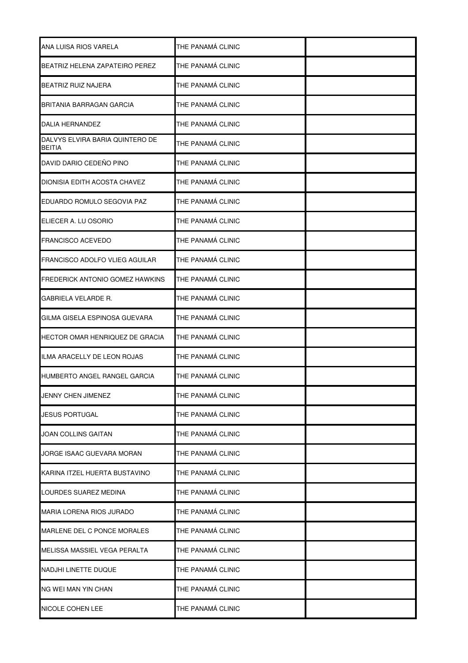| ANA LUISA RIOS VARELA                            | THE PANAMÁ CLINIC |  |
|--------------------------------------------------|-------------------|--|
| BEATRIZ HELENA ZAPATEIRO PEREZ                   | THE PANAMÁ CLINIC |  |
| BEATRIZ RUIZ NAJERA                              | THE PANAMÁ CLINIC |  |
| BRITANIA BARRAGAN GARCIA                         | THE PANAMÁ CLINIC |  |
| DALIA HERNANDEZ                                  | THE PANAMÁ CLINIC |  |
| DALVYS ELVIRA BARIA QUINTERO DE<br><b>BEITIA</b> | THE PANAMÁ CLINIC |  |
| DAVID DARIO CEDEÑO PINO                          | THE PANAMÁ CLINIC |  |
| DIONISIA EDITH ACOSTA CHAVEZ                     | THE PANAMÁ CLINIC |  |
| EDUARDO ROMULO SEGOVIA PAZ                       | THE PANAMÁ CLINIC |  |
| ELIECER A. LU OSORIO                             | THE PANAMÁ CLINIC |  |
| <b>FRANCISCO ACEVEDO</b>                         | THE PANAMÁ CLINIC |  |
| FRANCISCO ADOLFO VLIEG AGUILAR                   | THE PANAMÁ CLINIC |  |
| FREDERICK ANTONIO GOMEZ HAWKINS                  | THE PANAMÁ CLINIC |  |
| <b>GABRIELA VELARDE R.</b>                       | THE PANAMÁ CLINIC |  |
| GILMA GISELA ESPINOSA GUEVARA                    | THE PANAMÁ CLINIC |  |
| HECTOR OMAR HENRIQUEZ DE GRACIA                  | THE PANAMÁ CLINIC |  |
| ILMA ARACELLY DE LEON ROJAS                      | THE PANAMÁ CLINIC |  |
| HUMBERTO ANGEL RANGEL GARCIA                     | THE PANAMÁ CLINIC |  |
| <b>JENNY CHEN JIMENEZ</b>                        | THE PANAMÁ CLINIC |  |
| <b>JESUS PORTUGAL</b>                            | THE PANAMÁ CLINIC |  |
| <b>JOAN COLLINS GAITAN</b>                       | THE PANAMÁ CLINIC |  |
| JORGE ISAAC GUEVARA MORAN                        | THE PANAMÁ CLINIC |  |
| KARINA ITZEL HUERTA BUSTAVINO                    | THE PANAMÁ CLINIC |  |
| LOURDES SUAREZ MEDINA                            | THE PANAMÁ CLINIC |  |
| <b>MARIA LORENA RIOS JURADO</b>                  | THE PANAMÁ CLINIC |  |
| MARLENE DEL C PONCE MORALES                      | THE PANAMÁ CLINIC |  |
| MELISSA MASSIEL VEGA PERALTA                     | THE PANAMÁ CLINIC |  |
| <b>NADJHI LINETTE DUQUE</b>                      | THE PANAMÁ CLINIC |  |
| NG WEI MAN YIN CHAN                              | THE PANAMÁ CLINIC |  |
| <b>NICOLE COHEN LEE</b>                          | THE PANAMÁ CLINIC |  |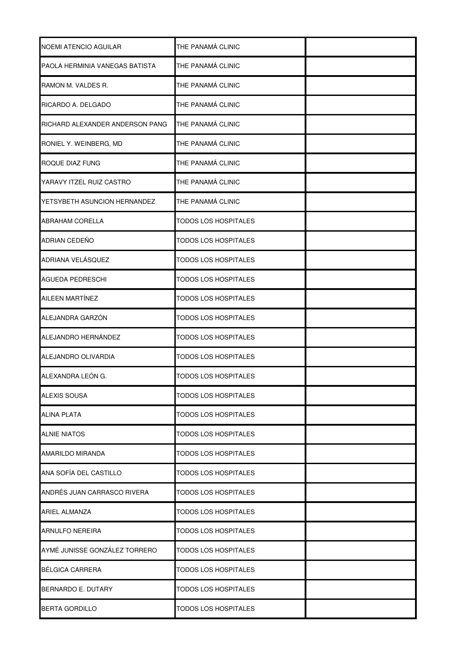| NOEMI ATENCIO AGUILAR           | THE PANAMÁ CLINIC           |  |
|---------------------------------|-----------------------------|--|
| PAOLA HERMINIA VANEGAS BATISTA  | THE PANAMÁ CLINIC           |  |
| RAMON M. VALDES R.              | THE PANAMÁ CLINIC           |  |
| RICARDO A. DELGADO              | THE PANAMÁ CLINIC           |  |
| RICHARD ALEXANDER ANDERSON PANG | THE PANAMÁ CLINIC           |  |
| RONIEL Y. WEINBERG, MD          | THE PANAMÁ CLINIC           |  |
| ROQUE DIAZ FUNG                 | THE PANAMÁ CLINIC           |  |
| YARAVY ITZEL RUIZ CASTRO        | THE PANAMÁ CLINIC           |  |
| YETSYBETH ASUNCION HERNANDEZ    | THE PANAMÁ CLINIC           |  |
| <b>ABRAHAM CORELLA</b>          | <b>TODOS LOS HOSPITALES</b> |  |
| ADRIAN CEDEÑO                   | <b>TODOS LOS HOSPITALES</b> |  |
| ADRIANA VELÁSQUEZ               | TODOS LOS HOSPITALES        |  |
| <b>AGUEDA PEDRESCHI</b>         | TODOS LOS HOSPITALES        |  |
| AILEEN MARTÍNEZ                 | <b>TODOS LOS HOSPITALES</b> |  |
| ALEJANDRA GARZÓN                | TODOS LOS HOSPITALES        |  |
| ALEJANDRO HERNÁNDEZ             | <b>TODOS LOS HOSPITALES</b> |  |
| ALEJANDRO OLIVARDIA             | <b>TODOS LOS HOSPITALES</b> |  |
| ALEXANDRA LEÓN G.               | TODOS LOS HOSPITALES        |  |
| <b>ALEXIS SOUSA</b>             | <b>TODOS LOS HOSPITALES</b> |  |
| <b>ALINA PLATA</b>              | <b>TODOS LOS HOSPITALES</b> |  |
| <b>ALNIE NIATOS</b>             | <b>TODOS LOS HOSPITALES</b> |  |
| <b>AMARILDO MIRANDA</b>         | <b>TODOS LOS HOSPITALES</b> |  |
| ANA SOFÍA DEL CASTILLO          | <b>TODOS LOS HOSPITALES</b> |  |
| ANDRÉS JUAN CARRASCO RIVERA     | <b>TODOS LOS HOSPITALES</b> |  |
| <b>ARIEL ALMANZA</b>            | <b>TODOS LOS HOSPITALES</b> |  |
| <b>ARNULFO NEREIRA</b>          | <b>TODOS LOS HOSPITALES</b> |  |
| AYMÉ JUNISSE GONZÁLEZ TORRERO   | <b>TODOS LOS HOSPITALES</b> |  |
| <b>BÉLGICA CARRERA</b>          | TODOS LOS HOSPITALES        |  |
| BERNARDO E. DUTARY              | TODOS LOS HOSPITALES        |  |
| <b>BERTA GORDILLO</b>           | <b>TODOS LOS HOSPITALES</b> |  |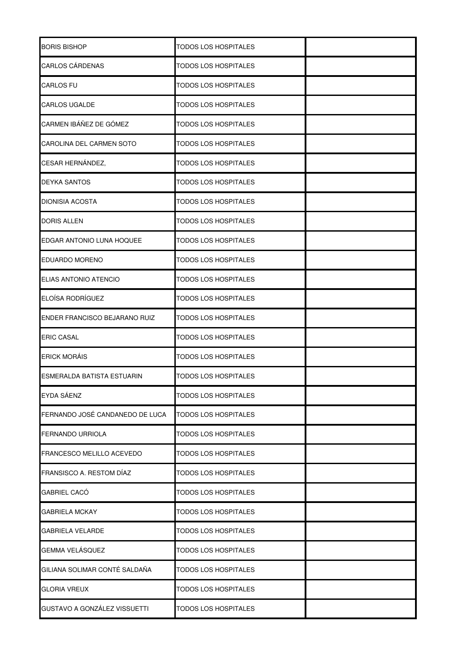| <b>BORIS BISHOP</b>             | TODOS LOS HOSPITALES        |  |
|---------------------------------|-----------------------------|--|
| <b>CARLOS CÁRDENAS</b>          | <b>TODOS LOS HOSPITALES</b> |  |
| <b>CARLOS FU</b>                | TODOS LOS HOSPITALES        |  |
| <b>CARLOS UGALDE</b>            | <b>TODOS LOS HOSPITALES</b> |  |
| CARMEN IBÁÑEZ DE GÓMEZ          | TODOS LOS HOSPITALES        |  |
| CAROLINA DEL CARMEN SOTO        | TODOS LOS HOSPITALES        |  |
| CESAR HERNÁNDEZ,                | <b>TODOS LOS HOSPITALES</b> |  |
| <b>DEYKA SANTOS</b>             | <b>TODOS LOS HOSPITALES</b> |  |
| <b>DIONISIA ACOSTA</b>          | <b>TODOS LOS HOSPITALES</b> |  |
| <b>DORIS ALLEN</b>              | <b>TODOS LOS HOSPITALES</b> |  |
| EDGAR ANTONIO LUNA HOQUEE       | <b>TODOS LOS HOSPITALES</b> |  |
| <b>EDUARDO MORENO</b>           | <b>TODOS LOS HOSPITALES</b> |  |
| ELIAS ANTONIO ATENCIO           | TODOS LOS HOSPITALES        |  |
| <b>ELOÍSA RODRÍGUEZ</b>         | TODOS LOS HOSPITALES        |  |
| ENDER FRANCISCO BEJARANO RUIZ   | TODOS LOS HOSPITALES        |  |
| <b>ERIC CASAL</b>               | TODOS LOS HOSPITALES        |  |
| <b>ERICK MORÁIS</b>             | <b>TODOS LOS HOSPITALES</b> |  |
| ESMERALDA BATISTA ESTUARIN      | <b>TODOS LOS HOSPITALES</b> |  |
| EYDA SÁENZ                      | <b>TODOS LOS HOSPITALES</b> |  |
| FERNANDO JOSÉ CANDANEDO DE LUCA | <b>TODOS LOS HOSPITALES</b> |  |
| <b>FERNANDO URRIOLA</b>         | <b>TODOS LOS HOSPITALES</b> |  |
| FRANCESCO MELILLO ACEVEDO       | <b>TODOS LOS HOSPITALES</b> |  |
| FRANSISCO A. RESTOM DÍAZ        | <b>TODOS LOS HOSPITALES</b> |  |
| GABRIEL CACÓ                    | <b>TODOS LOS HOSPITALES</b> |  |
| <b>GABRIELA MCKAY</b>           | TODOS LOS HOSPITALES        |  |
| <b>GABRIELA VELARDE</b>         | TODOS LOS HOSPITALES        |  |
| GEMMA VELÁSQUEZ                 | <b>TODOS LOS HOSPITALES</b> |  |
| GILIANA SOLIMAR CONTÉ SALDAÑA   | <b>TODOS LOS HOSPITALES</b> |  |
| <b>GLORIA VREUX</b>             | <b>TODOS LOS HOSPITALES</b> |  |
| GUSTAVO A GONZÁLEZ VISSUETTI    | TODOS LOS HOSPITALES        |  |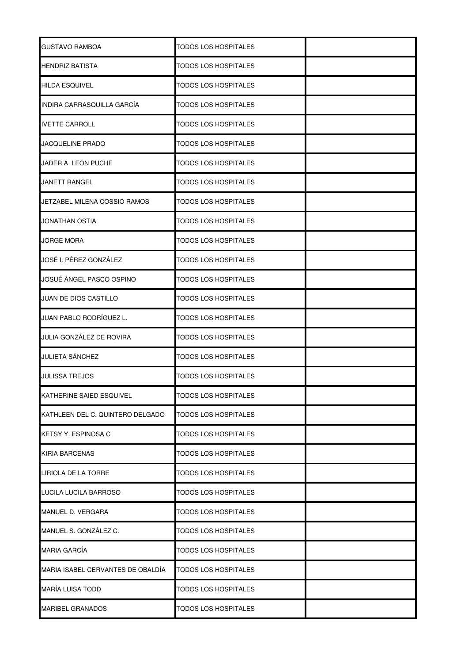| <b>GUSTAVO RAMBOA</b>             | <b>TODOS LOS HOSPITALES</b> |  |
|-----------------------------------|-----------------------------|--|
| <b>HENDRIZ BATISTA</b>            | TODOS LOS HOSPITALES        |  |
| <b>HILDA ESQUIVEL</b>             | <b>TODOS LOS HOSPITALES</b> |  |
| INDIRA CARRASQUILLA GARCÍA        | TODOS LOS HOSPITALES        |  |
| <b>IVETTE CARROLL</b>             | <b>TODOS LOS HOSPITALES</b> |  |
| <b>JACQUELINE PRADO</b>           | TODOS LOS HOSPITALES        |  |
| JADER A. LEON PUCHE               | TODOS LOS HOSPITALES        |  |
| <b>JANETT RANGEL</b>              | <b>TODOS LOS HOSPITALES</b> |  |
| JETZABEL MILENA COSSIO RAMOS      | <b>TODOS LOS HOSPITALES</b> |  |
| <b>JONATHAN OSTIA</b>             | <b>TODOS LOS HOSPITALES</b> |  |
| <b>JORGE MORA</b>                 | TODOS LOS HOSPITALES        |  |
| JOSÉ I. PÉREZ GONZÁLEZ            | <b>TODOS LOS HOSPITALES</b> |  |
| JOSUÉ ÁNGEL PASCO OSPINO          | <b>TODOS LOS HOSPITALES</b> |  |
| JUAN DE DIOS CASTILLO             | TODOS LOS HOSPITALES        |  |
| JUAN PABLO RODRÍGUEZ L.           | TODOS LOS HOSPITALES        |  |
| JULIA GONZÁLEZ DE ROVIRA          | TODOS LOS HOSPITALES        |  |
| <b>JULIETA SÁNCHEZ</b>            | TODOS LOS HOSPITALES        |  |
| <b>JULISSA TREJOS</b>             | TODOS LOS HOSPITALES        |  |
| <b>KATHERINE SAIED ESQUIVEL</b>   | <b>TODOS LOS HOSPITALES</b> |  |
| KATHLEEN DEL C. QUINTERO DELGADO  | <b>TODOS LOS HOSPITALES</b> |  |
| KETSY Y. ESPINOSA C               | <b>TODOS LOS HOSPITALES</b> |  |
| <b>KIRIA BARCENAS</b>             | <b>TODOS LOS HOSPITALES</b> |  |
| LIRIOLA DE LA TORRE               | <b>TODOS LOS HOSPITALES</b> |  |
| LUCILA LUCILA BARROSO             | TODOS LOS HOSPITALES        |  |
| MANUEL D. VERGARA                 | <b>TODOS LOS HOSPITALES</b> |  |
| MANUEL S. GONZÁLEZ C.             | TODOS LOS HOSPITALES        |  |
| <b>MARIA GARCÍA</b>               | TODOS LOS HOSPITALES        |  |
| MARIA ISABEL CERVANTES DE OBALDÍA | <b>TODOS LOS HOSPITALES</b> |  |
| MARÍA LUISA TODD                  | <b>TODOS LOS HOSPITALES</b> |  |
| <b>MARIBEL GRANADOS</b>           | <b>TODOS LOS HOSPITALES</b> |  |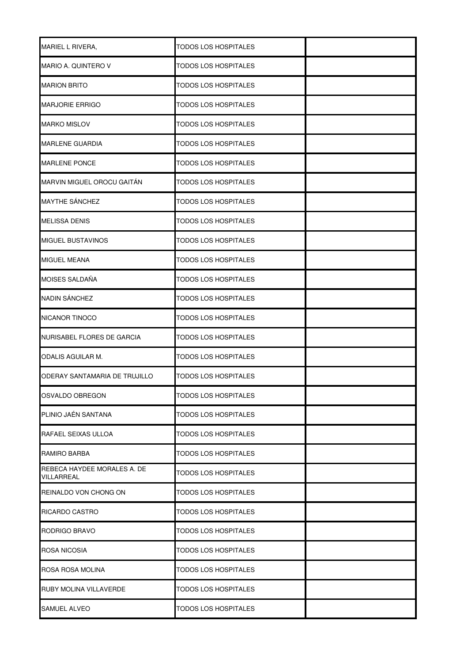| <b>MARIEL L RIVERA,</b>                   | <b>TODOS LOS HOSPITALES</b> |  |
|-------------------------------------------|-----------------------------|--|
| MARIO A. QUINTERO V                       | <b>TODOS LOS HOSPITALES</b> |  |
| <b>MARION BRITO</b>                       | TODOS LOS HOSPITALES        |  |
| <b>MARJORIE ERRIGO</b>                    | TODOS LOS HOSPITALES        |  |
| <b>MARKO MISLOV</b>                       | <b>TODOS LOS HOSPITALES</b> |  |
| <b>MARLENE GUARDIA</b>                    | TODOS LOS HOSPITALES        |  |
| <b>MARLENE PONCE</b>                      | <b>TODOS LOS HOSPITALES</b> |  |
| MARVIN MIGUEL OROCU GAITÁN                | TODOS LOS HOSPITALES        |  |
| MAYTHE SÁNCHEZ                            | <b>TODOS LOS HOSPITALES</b> |  |
| <b>MELISSA DENIS</b>                      | <b>TODOS LOS HOSPITALES</b> |  |
| <b>MIGUEL BUSTAVINOS</b>                  | <b>TODOS LOS HOSPITALES</b> |  |
| <b>MIGUEL MEANA</b>                       | <b>TODOS LOS HOSPITALES</b> |  |
| MOISES SALDAÑA                            | <b>TODOS LOS HOSPITALES</b> |  |
| <b>NADIN SÁNCHEZ</b>                      | <b>TODOS LOS HOSPITALES</b> |  |
| <b>NICANOR TINOCO</b>                     | <b>TODOS LOS HOSPITALES</b> |  |
| NURISABEL FLORES DE GARCIA                | <b>TODOS LOS HOSPITALES</b> |  |
| ODALIS AGUILAR M.                         | TODOS LOS HOSPITALES        |  |
| ODERAY SANTAMARIA DE TRUJILLO             | <b>TODOS LOS HOSPITALES</b> |  |
| OSVALDO OBREGON                           | <b>TODOS LOS HOSPITALES</b> |  |
| PLINIO JAÉN SANTANA                       | <b>TODOS LOS HOSPITALES</b> |  |
| RAFAEL SEIXAS ULLOA                       | <b>TODOS LOS HOSPITALES</b> |  |
| RAMIRO BARBA                              | <b>TODOS LOS HOSPITALES</b> |  |
| REBECA HAYDEE MORALES A. DE<br>VILLARREAL | <b>TODOS LOS HOSPITALES</b> |  |
| REINALDO VON CHONG ON                     | <b>TODOS LOS HOSPITALES</b> |  |
| RICARDO CASTRO                            | <b>TODOS LOS HOSPITALES</b> |  |
| RODRIGO BRAVO                             | <b>TODOS LOS HOSPITALES</b> |  |
| ROSA NICOSIA                              | <b>TODOS LOS HOSPITALES</b> |  |
| ROSA ROSA MOLINA                          | <b>TODOS LOS HOSPITALES</b> |  |
| RUBY MOLINA VILLAVERDE                    | TODOS LOS HOSPITALES        |  |
| <b>SAMUEL ALVEO</b>                       | <b>TODOS LOS HOSPITALES</b> |  |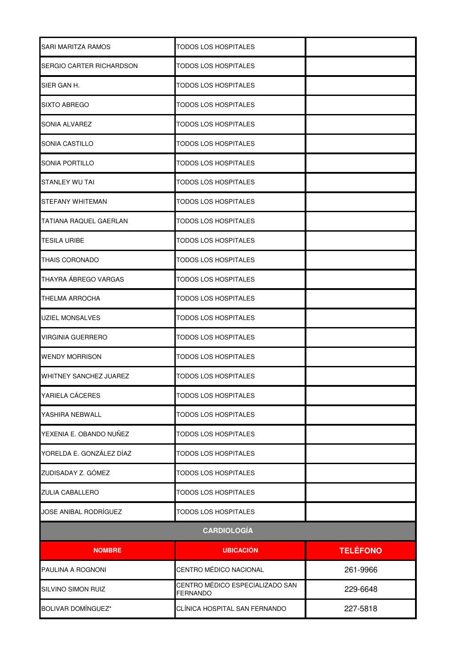| SARI MARITZA RAMOS            | <b>TODOS LOS HOSPITALES</b>                        |                 |
|-------------------------------|----------------------------------------------------|-----------------|
| SERGIO CARTER RICHARDSON      | TODOS LOS HOSPITALES                               |                 |
| SIER GAN H.                   | <b>TODOS LOS HOSPITALES</b>                        |                 |
| <b>SIXTO ABREGO</b>           | TODOS LOS HOSPITALES                               |                 |
| SONIA ALVAREZ                 | TODOS LOS HOSPITALES                               |                 |
| SONIA CASTILLO                | TODOS LOS HOSPITALES                               |                 |
| SONIA PORTILLO                | <b>TODOS LOS HOSPITALES</b>                        |                 |
| STANLEY WU TAI                | TODOS LOS HOSPITALES                               |                 |
| <b>STEFANY WHITEMAN</b>       | TODOS LOS HOSPITALES                               |                 |
| <b>TATIANA RAQUEL GAERLAN</b> | <b>TODOS LOS HOSPITALES</b>                        |                 |
| <b>TESILA URIBE</b>           | TODOS LOS HOSPITALES                               |                 |
| <b>THAIS CORONADO</b>         | <b>TODOS LOS HOSPITALES</b>                        |                 |
| THAYRA ÁBREGO VARGAS          | <b>TODOS LOS HOSPITALES</b>                        |                 |
| <b>THELMA ARROCHA</b>         | <b>TODOS LOS HOSPITALES</b>                        |                 |
| <b>UZIEL MONSALVES</b>        | TODOS LOS HOSPITALES                               |                 |
| VIRGINIA GUERRERO             | TODOS LOS HOSPITALES                               |                 |
| <b>WENDY MORRISON</b>         | TODOS LOS HOSPITALES                               |                 |
| <b>WHITNEY SANCHEZ JUAREZ</b> | TODOS LOS HOSPITALES                               |                 |
| YARIELA CÁCERES               | <b>TODOS LOS HOSPITALES</b>                        |                 |
| YASHIRA NEBWALL               | <b>TODOS LOS HOSPITALES</b>                        |                 |
| YEXENIA E. OBANDO NUÑEZ       | <b>TODOS LOS HOSPITALES</b>                        |                 |
| YORELDA E. GONZÁLEZ DÍAZ      | TODOS LOS HOSPITALES                               |                 |
| ZUDISADAY Z. GÓMEZ            | <b>TODOS LOS HOSPITALES</b>                        |                 |
| <b>ZULIA CABALLERO</b>        | <b>TODOS LOS HOSPITALES</b>                        |                 |
| JOSE ANIBAL RODRÍGUEZ         | <b>TODOS LOS HOSPITALES</b>                        |                 |
| <b>CARDIOLOGÍA</b>            |                                                    |                 |
| <b>NOMBRE</b>                 | <b>UBICACIÓN</b>                                   | <b>TELÉFONO</b> |
| PAULINA A ROGNONI             | CENTRO MÉDICO NACIONAL                             | 261-9966        |
| SILVINO SIMON RUIZ            | CENTRO MÉDICO ESPECIALIZADO SAN<br><b>FERNANDO</b> | 229-6648        |
| <b>BOLIVAR DOMÍNGUEZ*</b>     | CLÍNICA HOSPITAL SAN FERNANDO                      | 227-5818        |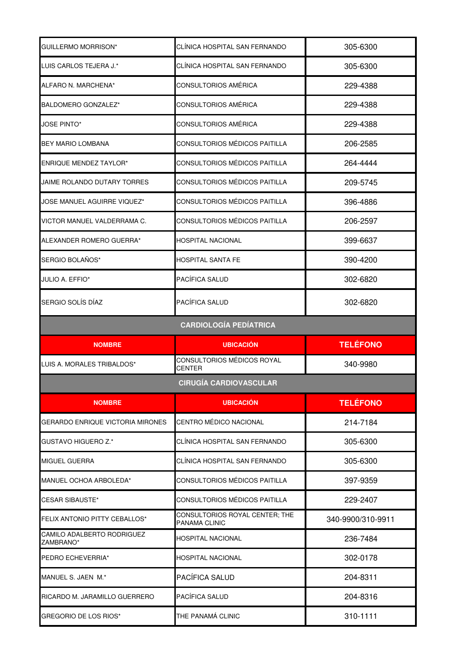| GUILLERMO MORRISON*                     | CLÍNICA HOSPITAL SAN FERNANDO                   | 305-6300          |
|-----------------------------------------|-------------------------------------------------|-------------------|
| LUIS CARLOS TEJERA J.*                  | CLÍNICA HOSPITAL SAN FERNANDO                   | 305-6300          |
| ALFARO N. MARCHENA*                     | CONSULTORIOS AMÉRICA                            | 229-4388          |
| BALDOMERO GONZALEZ*                     | CONSULTORIOS AMÉRICA                            | 229-4388          |
| <b>JOSE PINTO*</b>                      | CONSULTORIOS AMÉRICA                            | 229-4388          |
| <b>BEY MARIO LOMBANA</b>                | CONSULTORIOS MÉDICOS PAITILLA                   | 206-2585          |
| <b>ENRIQUE MENDEZ TAYLOR*</b>           | CONSULTORIOS MÉDICOS PAITILLA                   | 264-4444          |
| JAIME ROLANDO DUTARY TORRES             | CONSULTORIOS MÉDICOS PAITILLA                   | 209-5745          |
| <b>JOSE MANUEL AGUIRRE VIQUEZ*</b>      | CONSULTORIOS MÉDICOS PAITILLA                   | 396-4886          |
| VICTOR MANUEL VALDERRAMA C.             | CONSULTORIOS MÉDICOS PAITILLA                   | 206-2597          |
| ALEXANDER ROMERO GUERRA*                | HOSPITAL NACIONAL                               | 399-6637          |
| SERGIO BOLAÑOS*                         | HOSPITAL SANTA FE                               | 390-4200          |
| JULIO A. EFFIO*                         | PACÍFICA SALUD                                  | 302-6820          |
| SERGIO SOLÍS DÍAZ                       | PACÍFICA SALUD                                  | 302-6820          |
|                                         | <b>CARDIOLOGÍA PEDÍATRICA</b>                   |                   |
|                                         |                                                 |                   |
| <b>NOMBRE</b>                           | <b>UBICACIÓN</b>                                | <b>TELÉFONO</b>   |
| LUIS A. MORALES TRIBALDOS*              | CONSULTORIOS MÉDICOS ROYAL<br>CENTER            | 340-9980          |
|                                         | <b>CIRUGÍA CARDIOVASCULAR</b>                   |                   |
| <b>NOMBRE</b>                           | <b>UBICACIÓN</b>                                | <b>TELÉFONO</b>   |
| GERARDO ENRIQUE VICTORIA MIRONES        | CENTRO MÉDICO NACIONAL                          | 214-7184          |
| GUSTAVO HIGUERO Z.*                     | CLÍNICA HOSPITAL SAN FERNANDO                   | 305-6300          |
| <b>MIGUEL GUERRA</b>                    | CLÍNICA HOSPITAL SAN FERNANDO                   | 305-6300          |
| MANUEL OCHOA ARBOLEDA*                  | CONSULTORIOS MÉDICOS PAITILLA                   | 397-9359          |
| <b>CESAR SIBAUSTE*</b>                  | CONSULTORIOS MÉDICOS PAITILLA                   | 229-2407          |
| FELIX ANTONIO PITTY CEBALLOS*           | CONSULTORIOS ROYAL CENTER; THE<br>PANAMA CLINIC | 340-9900/310-9911 |
| CAMILO ADALBERTO RODRIGUEZ<br>ZAMBRANO* | HOSPITAL NACIONAL                               | 236-7484          |
| PEDRO ECHEVERRIA*                       | HOSPITAL NACIONAL                               | 302-0178          |
| MANUEL S. JAEN M.*                      | PACÍFICA SALUD                                  | 204-8311          |
| RICARDO M. JARAMILLO GUERRERO           | PACÍFICA SALUD                                  | 204-8316          |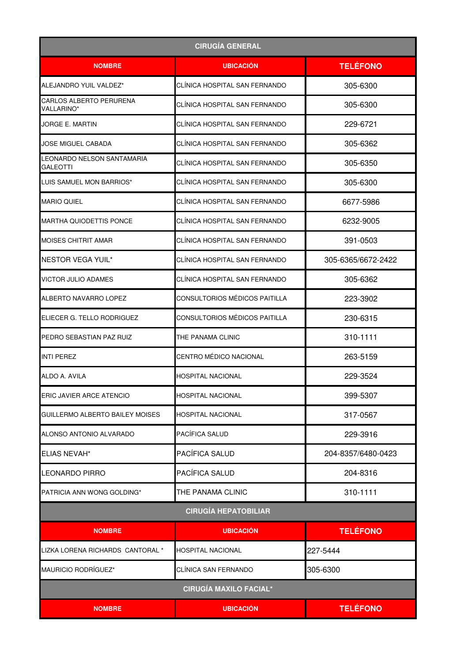| <b>CIRUGÍA GENERAL</b>                              |                               |                    |
|-----------------------------------------------------|-------------------------------|--------------------|
| <b>NOMBRE</b>                                       | <b>UBICACION</b>              | <b>TELÉFONO</b>    |
| ALEJANDRO YUIL VALDEZ*                              | CLÍNICA HOSPITAL SAN FERNANDO | 305-6300           |
| <b>CARLOS ALBERTO PERURENA</b><br><b>VALLARINO*</b> | CLÍNICA HOSPITAL SAN FERNANDO | 305-6300           |
| JORGE E. MARTIN                                     | CLÍNICA HOSPITAL SAN FERNANDO | 229-6721           |
| JOSE MIGUEL CABADA                                  | CLÍNICA HOSPITAL SAN FERNANDO | 305-6362           |
| LEONARDO NELSON SANTAMARIA<br>GALEOTTI              | CLÍNICA HOSPITAL SAN FERNANDO | 305-6350           |
| LUIS SAMUEL MON BARRIOS*                            | CLÍNICA HOSPITAL SAN FERNANDO | 305-6300           |
| <b>MARIO QUIEL</b>                                  | CLÍNICA HOSPITAL SAN FERNANDO | 6677-5986          |
| <b>MARTHA QUIODETTIS PONCE</b>                      | CLÍNICA HOSPITAL SAN FERNANDO | 6232-9005          |
| MOISES CHITRIT AMAR                                 | CLÍNICA HOSPITAL SAN FERNANDO | 391-0503           |
| <b>NESTOR VEGA YUIL*</b>                            | CLÍNICA HOSPITAL SAN FERNANDO | 305-6365/6672-2422 |
| <b>VICTOR JULIO ADAMES</b>                          | CLÍNICA HOSPITAL SAN FERNANDO | 305-6362           |
| ALBERTO NAVARRO LOPEZ                               | CONSULTORIOS MÉDICOS PAITILLA | 223-3902           |
| ELIECER G. TELLO RODRIGUEZ                          | CONSULTORIOS MÉDICOS PAITILLA | 230-6315           |
| PEDRO SEBASTIAN PAZ RUIZ                            | THE PANAMA CLINIC             | 310-1111           |
| <b>INTI PEREZ</b>                                   | CENTRO MÉDICO NACIONAL        | 263-5159           |
| ALDO A. AVILA                                       | HOSPITAL NACIONAL             | 229-3524           |
| ERIC JAVIER ARCE ATENCIO                            | <b>HOSPITAL NACIONAL</b>      | 399-5307           |
| GUILLERMO ALBERTO BAILEY MOISES                     | HOSPITAL NACIONAL             | 317-0567           |
| ALONSO ANTONIO ALVARADO                             | PACÍFICA SALUD                | 229-3916           |
| <b>ELIAS NEVAH*</b>                                 | PACÍFICA SALUD                | 204-8357/6480-0423 |
| <b>LEONARDO PIRRO</b>                               | PACÍFICA SALUD                | 204-8316           |
| PATRICIA ANN WONG GOLDING*                          | THE PANAMA CLINIC             | 310-1111           |
|                                                     | <b>CIRUGÍA HEPATOBILIAR</b>   |                    |
| <b>NOMBRE</b>                                       | <b>UBICACIÓN</b>              | <b>TELÉFONO</b>    |
| LIZKA LORENA RICHARDS CANTORAL *                    | <b>HOSPITAL NACIONAL</b>      | 227-5444           |
| MAURICIO RODRÍGUEZ*                                 | CLÍNICA SAN FERNANDO          | 305-6300           |
| <b>CIRUGÍA MAXILO FACIAL*</b>                       |                               |                    |
| <b>NOMBRE</b>                                       | <b>UBICACIÓN</b>              | <b>TELÉFONO</b>    |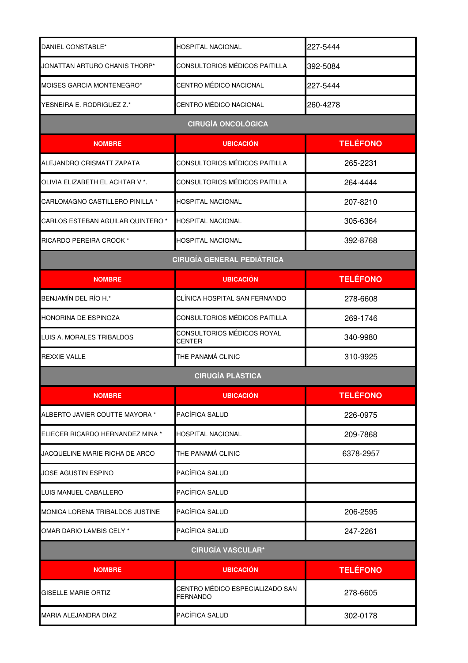| DANIEL CONSTABLE*                 | <b>HOSPITAL NACIONAL</b>                           | 227-5444        |
|-----------------------------------|----------------------------------------------------|-----------------|
| JONATTAN ARTURO CHANIS THORP*     | CONSULTORIOS MÉDICOS PAITILLA                      | 392-5084        |
| MOISES GARCIA MONTENEGRO*         | CENTRO MÉDICO NACIONAL                             | 227-5444        |
| YESNEIRA E. RODRIGUEZ Z.*         | CENTRO MÉDICO NACIONAL                             | 260-4278        |
| <b>CIRUGÍA ONCOLÓGICA</b>         |                                                    |                 |
| <b>NOMBRE</b>                     | <b>UBICACIÓN</b>                                   | <b>TELÉFONO</b> |
| ALEJANDRO CRISMATT ZAPATA         | CONSULTORIOS MÉDICOS PAITILLA                      | 265-2231        |
| OLIVIA ELIZABETH EL ACHTAR V *.   | CONSULTORIOS MÉDICOS PAITILLA                      | 264-4444        |
| CARLOMAGNO CASTILLERO PINILLA *   | <b>HOSPITAL NACIONAL</b>                           | 207-8210        |
| CARLOS ESTEBAN AGUILAR QUINTERO * | <b>HOSPITAL NACIONAL</b>                           | 305-6364        |
| RICARDO PEREIRA CROOK *           | <b>HOSPITAL NACIONAL</b>                           | 392-8768        |
|                                   | <b>CIRUGÍA GENERAL PEDIÁTRICA</b>                  |                 |
| <b>NOMBRE</b>                     | <b>UBICACIÓN</b>                                   | <b>TELÉFONO</b> |
| BENJAMÍN DEL RÍO H.*              | CLÍNICA HOSPITAL SAN FERNANDO                      | 278-6608        |
| HONORINA DE ESPINOZA              | CONSULTORIOS MÉDICOS PAITILLA                      | 269-1746        |
| LUIS A. MORALES TRIBALDOS         | CONSULTORIOS MÉDICOS ROYAL<br><b>CENTER</b>        | 340-9980        |
| <b>REXXIE VALLE</b>               | THE PANAMÁ CLINIC                                  | 310-9925        |
|                                   | <b>CIRUGÍA PLÁSTICA</b>                            |                 |
| <b>NOMBRE</b>                     | <b>UBICACION</b>                                   | <b>TELÉFONO</b> |
| ALBERTO JAVIER COUTTE MAYORA *    | PACÍFICA SALUD                                     | 226-0975        |
| ELIECER RICARDO HERNANDEZ MINA *  | <b>HOSPITAL NACIONAL</b>                           | 209-7868        |
| JACQUELINE MARIE RICHA DE ARCO    | THE PANAMÁ CLINIC                                  | 6378-2957       |
| JOSE AGUSTIN ESPINO               | PACÍFICA SALUD                                     |                 |
| LUIS MANUEL CABALLERO             | PACÍFICA SALUD                                     |                 |
| MONICA LORENA TRIBALDOS JUSTINE   | PACÍFICA SALUD                                     | 206-2595        |
| OMAR DARIO LAMBIS CELY *          | PACÍFICA SALUD                                     | 247-2261        |
| <b>CIRUGÍA VASCULAR*</b>          |                                                    |                 |
| <b>NOMBRE</b>                     | <b>UBICACIÓN</b>                                   | <b>TELÉFONO</b> |
| <b>GISELLE MARIE ORTIZ</b>        | CENTRO MÉDICO ESPECIALIZADO SAN<br><b>FERNANDO</b> | 278-6605        |
| MARIA ALEJANDRA DIAZ              | PACÍFICA SALUD                                     | 302-0178        |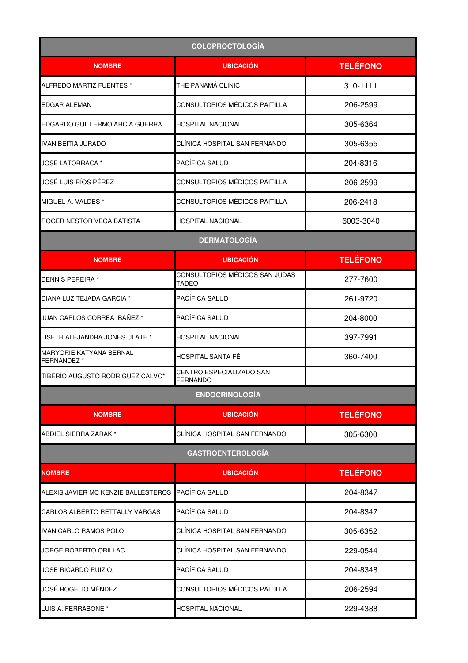| <b>COLOPROCTOLOGÍA</b>                       |                                                |                 |
|----------------------------------------------|------------------------------------------------|-----------------|
| <b>NOMBRE</b>                                | <b>UBICACIÓN</b>                               | <b>TELÉFONO</b> |
| ALFREDO MARTIZ FUENTES *                     | THE PANAMÁ CLINIC                              | 310-1111        |
| <b>EDGAR ALEMAN</b>                          | CONSULTORIOS MÉDICOS PAITILLA                  | 206-2599        |
| EDGARDO GUILLERMO ARCIA GUERRA               | <b>HOSPITAL NACIONAL</b>                       | 305-6364        |
| <b>IVAN BEITIA JURADO</b>                    | CLÍNICA HOSPITAL SAN FERNANDO                  | 305-6355        |
| JOSE LATORRACA *                             | <b>PACÍFICA SALUD</b>                          | 204-8316        |
| JOSÉ LUIS RÍOS PÉREZ                         | CONSULTORIOS MÉDICOS PAITILLA                  | 206-2599        |
| MIGUEL A. VALDES *                           | CONSULTORIOS MÉDICOS PAITILLA                  | 206-2418        |
| ROGER NESTOR VEGA BATISTA                    | HOSPITAL NACIONAL                              | 6003-3040       |
|                                              | <b>DERMATOLOGÍA</b>                            |                 |
| <b>NOMBRE</b>                                | <b>UBICACIÓN</b>                               | <b>TELÉFONO</b> |
| <b>DENNIS PEREIRA *</b>                      | CONSULTORIOS MÉDICOS SAN JUDAS<br><b>TADEO</b> | 277-7600        |
| DIANA LUZ TEJADA GARCIA *                    | PACÍFICA SALUD                                 | 261-9720        |
| JUAN CARLOS CORREA IBAÑEZ *                  | PACÍFICA SALUD                                 | 204-8000        |
| LISETH ALEJANDRA JONES ULATE *               | <b>HOSPITAL NACIONAL</b>                       | 397-7991        |
| MARYORIE KATYANA BERNAL<br><b>FERNANDEZ*</b> | HOSPITAL SANTA FÉ                              | 360-7400        |
| TIBERIO AUGUSTO RODRIGUEZ CALVO*             | CENTRO ESPECIALIZADO SAN<br><b>FERNANDO</b>    |                 |
|                                              | <b>ENDOCRINOLOGÍA</b>                          |                 |
| <b>NOMBRE</b>                                | <b>UBICACIÓN</b>                               | <b>TELÉFONO</b> |
| ABDIEL SIERRA ZARAK *                        | CLÍNICA HOSPITAL SAN FERNANDO                  | 305-6300        |
|                                              | <b>GASTROENTEROLOGÍA</b>                       |                 |
| <b>NOMBRE</b>                                | <b>UBICACIÓN</b>                               | <b>TELÉFONO</b> |
| ALEXIS JAVIER MC KENZIE BALLESTEROS          | PACÍFICA SALUD                                 | 204-8347        |
| CARLOS ALBERTO RETTALLY VARGAS               | PACÍFICA SALUD                                 | 204-8347        |
| <b>IVAN CARLO RAMOS POLO</b>                 | CLÍNICA HOSPITAL SAN FERNANDO                  | 305-6352        |
| JORGE ROBERTO ORILLAC                        | CLÍNICA HOSPITAL SAN FERNANDO                  | 229-0544        |
| JOSE RICARDO RUIZ O.                         | PACÍFICA SALUD                                 | 204-8348        |
| JOSÉ ROGELIO MÉNDEZ                          | CONSULTORIOS MÉDICOS PAITILLA                  | 206-2594        |
| LUIS A. FERRABONE *                          | <b>HOSPITAL NACIONAL</b>                       | 229-4388        |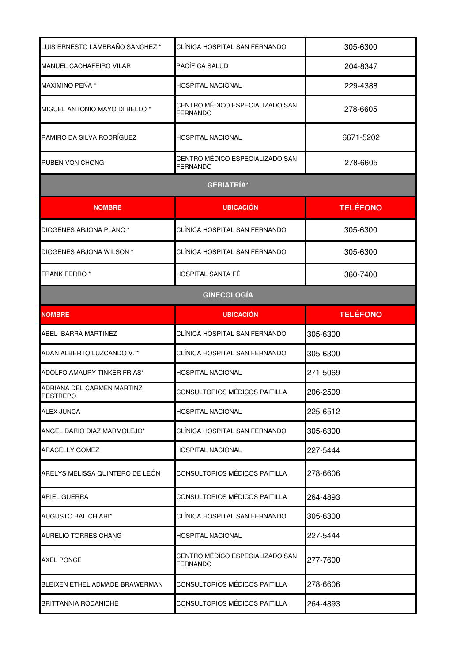| LUIS ERNESTO LAMBRAÑO SANCHEZ <sup>*</sup>    | CLÍNICA HOSPITAL SAN FERNANDO                      | 305-6300        |
|-----------------------------------------------|----------------------------------------------------|-----------------|
| <b>MANUEL CACHAFEIRO VILAR</b>                | PACÍFICA SALUD                                     | 204-8347        |
| MAXIMINO PEÑA *                               | HOSPITAL NACIONAL                                  | 229-4388        |
| MIGUEL ANTONIO MAYO DI BELLO *                | CENTRO MÉDICO ESPECIALIZADO SAN<br>FERNANDO        | 278-6605        |
| RAMIRO DA SILVA RODRÍGUEZ                     | HOSPITAL NACIONAL                                  | 6671-5202       |
| <b>RUBEN VON CHONG</b>                        | CENTRO MÉDICO ESPECIALIZADO SAN<br><b>FERNANDO</b> | 278-6605        |
|                                               | <b>GERIATRÍA*</b>                                  |                 |
| <b>NOMBRE</b>                                 | <b>UBICACIÓN</b>                                   | <b>TELÉFONO</b> |
| DIOGENES ARJONA PLANO *                       | CLÍNICA HOSPITAL SAN FERNANDO                      | 305-6300        |
| DIOGENES ARJONA WILSON *                      | CLÍNICA HOSPITAL SAN FERNANDO                      | 305-6300        |
| <b>FRANK FERRO*</b>                           | HOSPITAL SANTA FÉ                                  | 360-7400        |
| <b>GINECOLOGÍA</b>                            |                                                    |                 |
| <b>NOMBRE</b>                                 | <b>UBICACIÓN</b>                                   | <b>TELÉFONO</b> |
| ABEL IBARRA MARTINEZ                          | CLÍNICA HOSPITAL SAN FERNANDO                      | 305-6300        |
| ADAN ALBERTO LUZCANDO V."*                    | CLÍNICA HOSPITAL SAN FERNANDO                      | 305-6300        |
| ADOLFO AMAURY TINKER FRIAS*                   | <b>HOSPITAL NACIONAL</b>                           | 271-5069        |
| ADRIANA DEL CARMEN MARTINZ<br><b>RESTREPO</b> | CONSULTORIOS MÉDICOS PAITILLA                      | 206-2509        |
| <b>ALEX JUNCA</b>                             | HOSPITAL NACIONAL                                  | 225-6512        |
| ANGEL DARIO DIAZ MARMOLEJO*                   | CLÍNICA HOSPITAL SAN FERNANDO                      | 305-6300        |
| <b>ARACELLY GOMEZ</b>                         | HOSPITAL NACIONAL                                  | 227-5444        |
| ARELYS MELISSA QUINTERO DE LEON               | CONSULTORIOS MÉDICOS PAITILLA                      | 278-6606        |
| ARIEL GUERRA                                  | CONSULTORIOS MÉDICOS PAITILLA                      | 264-4893        |
| <b>AUGUSTO BAL CHIARI*</b>                    | CLÍNICA HOSPITAL SAN FERNANDO                      | 305-6300        |
| <b>AURELIO TORRES CHANG</b>                   | <b>HOSPITAL NACIONAL</b>                           | 227-5444        |
| <b>AXEL PONCE</b>                             | CENTRO MÉDICO ESPECIALIZADO SAN<br><b>FERNANDO</b> | 277-7600        |
| BLEIXEN ETHEL ADMADE BRAWERMAN                | CONSULTORIOS MÉDICOS PAITILLA                      | 278-6606        |
| <b>BRITTANNIA RODANICHE</b>                   | CONSULTORIOS MÉDICOS PAITILLA                      | 264-4893        |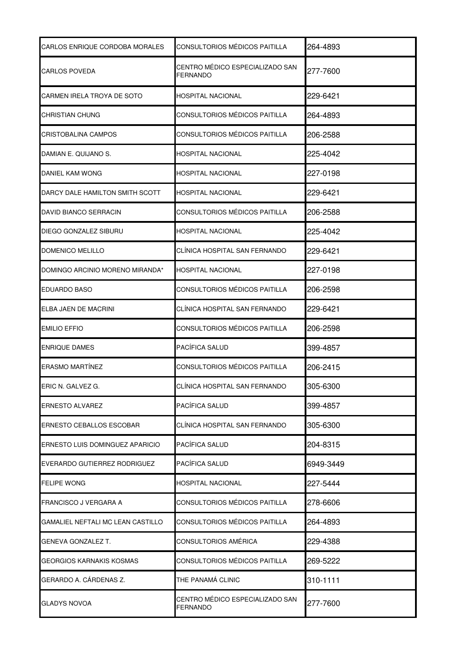| <b>CARLOS ENRIQUE CORDOBA MORALES</b> | CONSULTORIOS MÉDICOS PAITILLA                      | 264-4893  |
|---------------------------------------|----------------------------------------------------|-----------|
| <b>CARLOS POVEDA</b>                  | CENTRO MÉDICO ESPECIALIZADO SAN<br>FERNANDO        | 277-7600  |
| CARMEN IRELA TROYA DE SOTO            | HOSPITAL NACIONAL                                  | 229-6421  |
| CHRISTIAN CHUNG                       | CONSULTORIOS MÉDICOS PAITILLA                      | 264-4893  |
| <b>CRISTOBALINA CAMPOS</b>            | CONSULTORIOS MÉDICOS PAITILLA                      | 206-2588  |
| DAMIAN E. QUIJANO S.                  | HOSPITAL NACIONAL                                  | 225-4042  |
| DANIEL KAM WONG                       | HOSPITAL NACIONAL                                  | 227-0198  |
| DARCY DALE HAMILTON SMITH SCOTT       | HOSPITAL NACIONAL                                  | 229-6421  |
| DAVID BIANCO SERRACIN                 | CONSULTORIOS MÉDICOS PAITILLA                      | 206-2588  |
| DIEGO GONZALEZ SIBURU                 | HOSPITAL NACIONAL                                  | 225-4042  |
| DOMENICO MELILLO                      | CLÍNICA HOSPITAL SAN FERNANDO                      | 229-6421  |
| DOMINGO ARCINIO MORENO MIRANDA*       | HOSPITAL NACIONAL                                  | 227-0198  |
| EDUARDO BASO                          | CONSULTORIOS MÉDICOS PAITILLA                      | 206-2598  |
| ELBA JAEN DE MACRINI                  | CLÍNICA HOSPITAL SAN FERNANDO                      | 229-6421  |
| <b>EMILIO EFFIO</b>                   | CONSULTORIOS MÉDICOS PAITILLA                      | 206-2598  |
| <b>ENRIQUE DAMES</b>                  | PACÍFICA SALUD                                     | 399-4857  |
| <b>ERASMO MARTÍNEZ</b>                | CONSULTORIOS MÉDICOS PAITILLA                      | 206-2415  |
| ERIC N. GALVEZ G.                     | CLINICA HOSPITAL SAN FERNANDO                      | 305-6300  |
| <b>ERNESTO ALVAREZ</b>                | PACÍFICA SALUD                                     | 399-4857  |
| <b>ERNESTO CEBALLOS ESCOBAR</b>       | CLÍNICA HOSPITAL SAN FERNANDO                      | 305-6300  |
| ERNESTO LUIS DOMINGUEZ APARICIO       | PACÍFICA SALUD                                     | 204-8315  |
| EVERARDO GUTIERREZ RODRIGUEZ          | PACÍFICA SALUD                                     | 6949-3449 |
| <b>FELIPE WONG</b>                    | HOSPITAL NACIONAL                                  | 227-5444  |
| FRANCISCO J VERGARA A                 | CONSULTORIOS MÉDICOS PAITILLA                      | 278-6606  |
| GAMALIEL NEFTALI MC LEAN CASTILLO     | CONSULTORIOS MÉDICOS PAITILLA                      | 264-4893  |
| GENEVA GONZALEZ T.                    | CONSULTORIOS AMÉRICA                               | 229-4388  |
| GEORGIOS KARNAKIS KOSMAS              | CONSULTORIOS MÉDICOS PAITILLA                      | 269-5222  |
| GERARDO A. CÁRDENAS Z.                | THE PANAMA CLINIC                                  | 310-1111  |
| GLADYS NOVOA                          | CENTRO MÉDICO ESPECIALIZADO SAN<br><b>FERNANDO</b> | 277-7600  |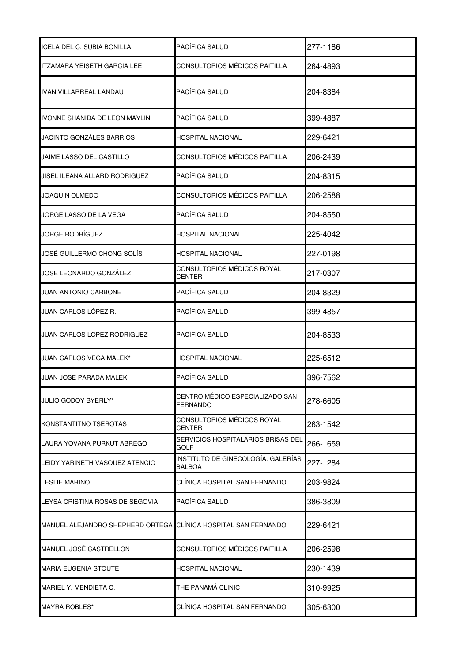| ICELA DEL C. SUBIA BONILLA                                     | PACÍFICA SALUD                               | 277-1186 |
|----------------------------------------------------------------|----------------------------------------------|----------|
| ITZAMARA YEISETH GARCIA LEE                                    | CONSULTORIOS MÉDICOS PAITILLA                | 264-4893 |
| IVAN VILLARREAL LANDAU                                         | PACÍFICA SALUD                               | 204-8384 |
| IVONNE SHANIDA DE LEON MAYLIN                                  | PACÍFICA SALUD                               | 399-4887 |
| JACINTO GONZÁLES BARRIOS                                       | HOSPITAL NACIONAL                            | 229-6421 |
| JAIME LASSO DEL CASTILLO                                       | CONSULTORIOS MÉDICOS PAITILLA                | 206-2439 |
| JISEL ILEANA ALLARD RODRIGUEZ                                  | PACÍFICA SALUD                               | 204-8315 |
| JOAQUIN OLMEDO                                                 | CONSULTORIOS MÉDICOS PAITILLA                | 206-2588 |
| JORGE LASSO DE LA VEGA                                         | PACÍFICA SALUD                               | 204-8550 |
| JORGE RODRÍGUEZ                                                | HOSPITAL NACIONAL                            | 225-4042 |
| JOSÉ GUILLERMO CHONG SOLÍS                                     | HOSPITAL NACIONAL                            | 227-0198 |
| JOSE LEONARDO GONZÁLEZ                                         | CONSULTORIOS MÉDICOS ROYAL<br>CENTER         | 217-0307 |
| JUAN ANTONIO CARBONE                                           | PACÍFICA SALUD                               | 204-8329 |
| JUAN CARLOS LÓPEZ R.                                           | PACÍFICA SALUD                               | 399-4857 |
| JUAN CARLOS LOPEZ RODRIGUEZ                                    | PACÍFICA SALUD                               | 204-8533 |
| JUAN CARLOS VEGA MALEK*                                        | HOSPITAL NACIONAL                            | 225-6512 |
| JUAN JOSE PARADA MALEK                                         | PACÍFICA SALUD                               | 396-7562 |
| JULIO GODOY BYERLY*                                            | CENTRO MÉDICO ESPECIALIZADO SAN<br>FERNANDO  | 278-6605 |
| KONSTANTITNO TSEROTAS                                          | CONSULTORIOS MÉDICOS ROYAL<br>CENTER         | 263-1542 |
| LAURA YOVANA PURKUT ABREGO                                     | SERVICIOS HOSPITALARIOS BRISAS DEL<br>GOLF   | 266-1659 |
| LEIDY YARINETH VASQUEZ ATENCIO                                 | INSTITUTO DE GINECOLOGÍA. GALERÍAS<br>BALBOA | 227-1284 |
| LESLIE MARINO                                                  | CLÍNICA HOSPITAL SAN FERNANDO                | 203-9824 |
| LEYSA CRISTINA ROSAS DE SEGOVIA                                | PACÍFICA SALUD                               | 386-3809 |
| MANUEL ALEJANDRO SHEPHERD ORTEGA CLÍNICA HOSPITAL SAN FERNANDO |                                              | 229-6421 |
| MANUEL JOSÉ CASTRELLON                                         | CONSULTORIOS MÉDICOS PAITILLA                | 206-2598 |
| MARIA EUGENIA STOUTE                                           | HOSPITAL NACIONAL                            | 230-1439 |
| MARIEL Y. MENDIETA C.                                          | THE PANAMÁ CLINIC                            | 310-9925 |
| MAYRA ROBLES*                                                  | CLÍNICA HOSPITAL SAN FERNANDO                | 305-6300 |
|                                                                |                                              |          |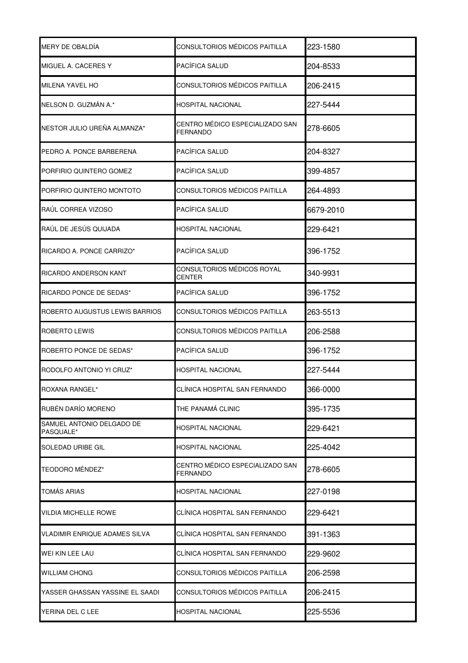| MERY DE OBALDÍA                        | CONSULTORIOS MÉDICOS PAITILLA                      | 223-1580  |
|----------------------------------------|----------------------------------------------------|-----------|
| MIGUEL A. CACERES Y                    | PACÍFICA SALUD                                     | 204-8533  |
| <b>MILENA YAVEL HO</b>                 | CONSULTORIOS MÉDICOS PAITILLA                      | 206-2415  |
| NELSON D. GUZMÁN A.*                   | HOSPITAL NACIONAL                                  | 227-5444  |
| NESTOR JULIO UREÑA ALMANZA*            | CENTRO MÉDICO ESPECIALIZADO SAN<br>FERNANDO        | 278-6605  |
| PEDRO A. PONCE BARBERENA               | PACÍFICA SALUD                                     | 204-8327  |
| PORFIRIO QUINTERO GOMEZ                | PACÍFICA SALUD                                     | 399-4857  |
| PORFIRIO QUINTERO MONTOTO              | CONSULTORIOS MÉDICOS PAITILLA                      | 264-4893  |
| RAÚL CORREA VIZOSO                     | PACÍFICA SALUD                                     | 6679-2010 |
| RAÚL DE JESÚS QUIJADA                  | HOSPITAL NACIONAL                                  | 229-6421  |
| RICARDO A. PONCE CARRIZO*              | PACÍFICA SALUD                                     | 396-1752  |
| RICARDO ANDERSON KANT                  | CONSULTORIOS MÉDICOS ROYAL<br><b>CENTER</b>        | 340-9931  |
| RICARDO PONCE DE SEDAS*                | PACÍFICA SALUD                                     | 396-1752  |
| ROBERTO AUGUSTUS LEWIS BARRIOS         | CONSULTORIOS MÉDICOS PAITILLA                      | 263-5513  |
| ROBERTO LEWIS                          | CONSULTORIOS MÉDICOS PAITILLA                      | 206-2588  |
| ROBERTO PONCE DE SEDAS*                | PACÍFICA SALUD                                     | 396-1752  |
| RODOLFO ANTONIO YI CRUZ*               | <b>HOSPITAL NACIONAL</b>                           | 227-5444  |
| ROXANA RANGEL*                         | CLÍNICA HOSPITAL SAN FERNANDO                      | 366-0000  |
| RUBÉN DARÍO MORENO                     | THE PANAMÁ CLINIC                                  | 395-1735  |
| SAMUEL ANTONIO DELGADO DE<br>PASQUALE* | <b>HOSPITAL NACIONAL</b>                           | 229-6421  |
| <b>SOLEDAD URIBE GIL</b>               | HOSPITAL NACIONAL                                  | 225-4042  |
| TEODORO MÉNDEZ*                        | CENTRO MÉDICO ESPECIALIZADO SAN<br><b>FERNANDO</b> | 278-6605  |
| <b>TOMÁS ARIAS</b>                     | HOSPITAL NACIONAL                                  | 227-0198  |
| <b>VILDIA MICHELLE ROWE</b>            | CLÍNICA HOSPITAL SAN FERNANDO                      | 229-6421  |
| <b>VLADIMIR ENRIQUE ADAMES SILVA</b>   | CLÍNICA HOSPITAL SAN FERNANDO                      | 391-1363  |
| WEI KIN LEE LAU                        | CLÍNICA HOSPITAL SAN FERNANDO                      | 229-9602  |
| WILLIAM CHONG                          | CONSULTORIOS MÉDICOS PAITILLA                      | 206-2598  |
| YASSER GHASSAN YASSINE EL SAADI        | CONSULTORIOS MÉDICOS PAITILLA                      | 206-2415  |
| YERINA DEL C LEE                       | HOSPITAL NACIONAL                                  | 225-5536  |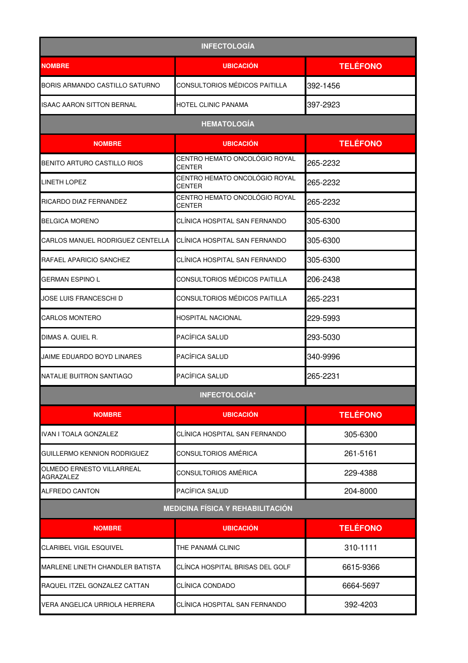| <b>INFECTOLOGÍA</b>                     |                                                |                 |
|-----------------------------------------|------------------------------------------------|-----------------|
| <b>NOMBRE</b>                           | <b>UBICACIÓN</b>                               | <b>TELÉFONO</b> |
| BORIS ARMANDO CASTILLO SATURNO          | CONSULTORIOS MÉDICOS PAITILLA                  | 392-1456        |
| ISAAC AARON SITTON BERNAL               | HOTEL CLINIC PANAMA                            | 397-2923        |
|                                         | <b>HEMATOLOGÍA</b>                             |                 |
| <b>NOMBRE</b>                           | <b>UBICACIÓN</b>                               | <b>TELÉFONO</b> |
| BENITO ARTURO CASTILLO RIOS             | CENTRO HEMATO ONCOLÓGIO ROYAL<br><b>CENTER</b> | 265-2232        |
| <b>LINETH LOPEZ</b>                     | CENTRO HEMATO ONCOLÓGIO ROYAL<br><b>CENTER</b> | 265-2232        |
| RICARDO DIAZ FERNANDEZ                  | CENTRO HEMATO ONCOLÓGIO ROYAL<br>CENTER        | 265-2232        |
| <b>BELGICA MORENO</b>                   | CLÍNICA HOSPITAL SAN FERNANDO                  | 305-6300        |
| CARLOS MANUEL RODRIGUEZ CENTELLA        | CLÍNICA HOSPITAL SAN FERNANDO                  | 305-6300        |
| RAFAEL APARICIO SANCHEZ                 | CLÍNICA HOSPITAL SAN FERNANDO                  | 305-6300        |
| <b>GERMAN ESPINO L</b>                  | CONSULTORIOS MÉDICOS PAITILLA                  | 206-2438        |
| JOSE LUIS FRANCESCHI D                  | CONSULTORIOS MÉDICOS PAITILLA                  | 265-2231        |
| <b>CARLOS MONTERO</b>                   | HOSPITAL NACIONAL                              | 229-5993        |
| DIMAS A. QUIEL R.                       | PACÍFICA SALUD                                 | 293-5030        |
| JAIME EDUARDO BOYD LINARES              | PACÍFICA SALUD                                 | 340-9996        |
| NATALIE BUITRON SANTIAGO                | PACÍFICA SALUD                                 | 265-2231        |
|                                         | <b>INFECTOLOGÍA*</b>                           |                 |
| <b>NOMBRE</b>                           | <b>UBICACIÓN</b>                               | <b>TELÉFONO</b> |
| <b>IVAN I TOALA GONZALEZ</b>            | CLÍNICA HOSPITAL SAN FERNANDO                  | 305-6300        |
| <b>GUILLERMO KENNION RODRIGUEZ</b>      | CONSULTORIOS AMÉRICA                           | 261-5161        |
| OLMEDO ERNESTO VILLARREAL<br>AGRAZALEZ  | CONSULTORIOS AMÉRICA                           | 229-4388        |
| <b>ALFREDO CANTON</b>                   | PACÍFICA SALUD                                 | 204-8000        |
| <b>MEDICINA FÍSICA Y REHABILITACIÓN</b> |                                                |                 |
| <b>NOMBRE</b>                           | <b>UBICACIÓN</b>                               | <b>TELÉFONO</b> |
| <b>CLARIBEL VIGIL ESQUIVEL</b>          | THE PANAMÁ CLINIC                              | 310-1111        |
| MARLENE LINETH CHANDLER BATISTA         | CLÍNCA HOSPITAL BRISAS DEL GOLF                | 6615-9366       |
| RAQUEL ITZEL GONZALEZ CATTAN            | CLÍNICA CONDADO                                | 6664-5697       |
| VERA ANGELICA URRIOLA HERRERA           | CLÍNICA HOSPITAL SAN FERNANDO                  | 392-4203        |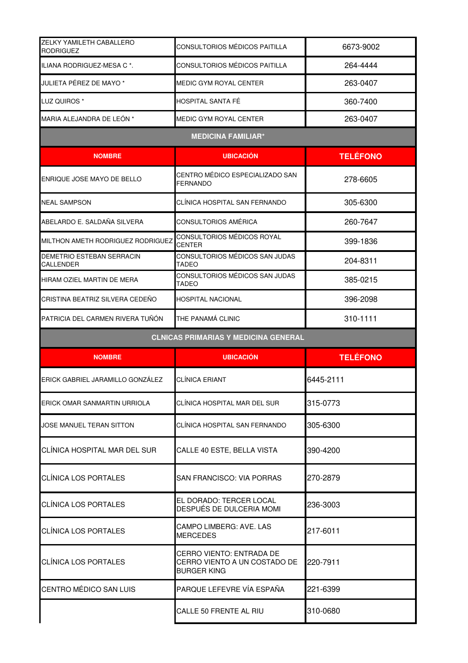| <b>ZELKY YAMILETH CABALLERO</b><br><b>RODRIGUEZ</b> | CONSULTORIOS MÉDICOS PAITILLA                                                         | 6673-9002       |
|-----------------------------------------------------|---------------------------------------------------------------------------------------|-----------------|
| ILIANA RODRIGUEZ-MESA C *.                          | CONSULTORIOS MÉDICOS PAITILLA                                                         | 264-4444        |
| JULIETA PÉREZ DE MAYO *                             | MEDIC GYM ROYAL CENTER                                                                | 263-0407        |
| LUZ QUIROS *                                        | HOSPITAL SANTA FÉ                                                                     | 360-7400        |
| MARIA ALEJANDRA DE LEÓN *                           | <b>MEDIC GYM ROYAL CENTER</b>                                                         | 263-0407        |
|                                                     | <b>MEDICINA FAMILIAR*</b>                                                             |                 |
| <b>NOMBRE</b>                                       | <b>UBICACION</b>                                                                      | <b>TELÉFONO</b> |
| ENRIQUE JOSE MAYO DE BELLO                          | CENTRO MÉDICO ESPECIALIZADO SAN<br>FERNANDO                                           | 278-6605        |
| <b>NEAL SAMPSON</b>                                 | CLÍNICA HOSPITAL SAN FERNANDO                                                         | 305-6300        |
| ABELARDO E. SALDAÑA SILVERA                         | CONSULTORIOS AMÉRICA                                                                  | 260-7647        |
| MILTHON AMETH RODRIGUEZ RODRIGUEZ                   | CONSULTORIOS MÉDICOS ROYAL<br><b>CENTER</b>                                           | 399-1836        |
| DEMETRIO ESTEBAN SERRACIN<br>CALLENDER              | CONSULTORIOS MÉDICOS SAN JUDAS<br>TADEO                                               | 204-8311        |
| HIRAM OZIEL MARTIN DE MERA                          | CONSULTORIOS MÉDICOS SAN JUDAS<br><b>TADEO</b>                                        | 385-0215        |
| ICRISTINA BEATRIZ SILVERA CEDEÑO                    | HOSPITAL NACIONAL                                                                     | 396-2098        |
| PATRICIA DEL CARMEN RIVERA TUÑÓN                    | THE PANAMÁ CLINIC                                                                     | 310-1111        |
|                                                     |                                                                                       |                 |
|                                                     | <b>CLNICAS PRIMARIAS Y MEDICINA GENERAL</b>                                           |                 |
| <b>NOMBRE</b>                                       | <b>UBICACIÓN</b>                                                                      | <b>TELÉFONO</b> |
| ERICK GABRIEL JARAMILLO GONZÁLEZ                    | <b>CLÍNICA ERIANT</b>                                                                 | 6445-2111       |
| ERICK OMAR SANMARTIN URRIOLA                        | CLÍNICA HOSPITAL MAR DEL SUR                                                          | 315-0773        |
| JOSE MANUEL TERAN SITTON                            | CLÍNICA HOSPITAL SAN FERNANDO                                                         | 305-6300        |
| CLÍNICA HOSPITAL MAR DEL SUR                        | CALLE 40 ESTE, BELLA VISTA                                                            | 390-4200        |
| CLÍNICA LOS PORTALES                                | <b>SAN FRANCISCO: VIA PORRAS</b>                                                      | 270-2879        |
| <b>CLÍNICA LOS PORTALES</b>                         | EL DORADO: TERCER LOCAL<br>DESPUÉS DE DULCERIA MOMI                                   | 236-3003        |
| <b>CLÍNICA LOS PORTALES</b>                         | CAMPO LIMBERG: AVE. LAS<br><b>MERCEDES</b>                                            | 217-6011        |
| CLÍNICA LOS PORTALES                                | <b>CERRO VIENTO: ENTRADA DE</b><br>CERRO VIENTO A UN COSTADO DE<br><b>BURGER KING</b> | 220-7911        |
| CENTRO MÉDICO SAN LUIS                              | PARQUE LEFEVRE VÍA ESPAÑA                                                             | 221-6399        |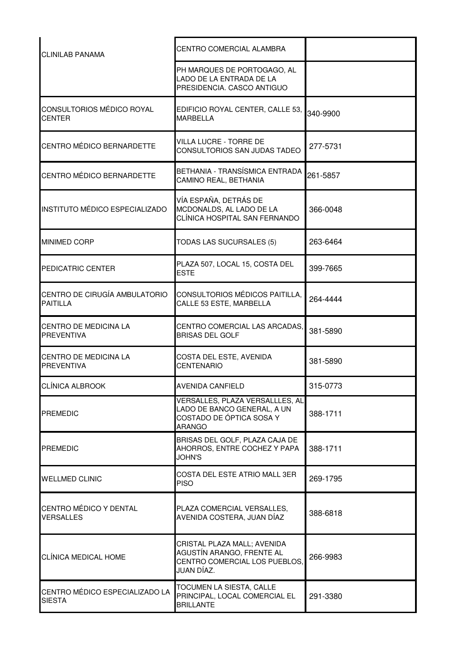| <b>CLINILAB PANAMA</b>                           | <b>CENTRO COMERCIAL ALAMBRA</b>                                                                             |          |
|--------------------------------------------------|-------------------------------------------------------------------------------------------------------------|----------|
|                                                  | PH MARQUES DE PORTOGAGO, AL<br>LADO DE LA ENTRADA DE LA<br>PRESIDENCIA. CASCO ANTIGUO                       |          |
| CONSULTORIOS MÉDICO ROYAL<br><b>CENTER</b>       | EDIFICIO ROYAL CENTER, CALLE 53,<br><b>MARBELLA</b>                                                         | 340-9900 |
| CENTRO MÉDICO BERNARDETTE                        | VILLA LUCRE - TORRE DE<br>CONSULTORIOS SAN JUDAS TADEO                                                      | 277-5731 |
| CENTRO MÉDICO BERNARDETTE                        | BETHANIA - TRANSÍSMICA ENTRADA<br>CAMINO REAL, BETHANIA                                                     | 261-5857 |
| <b>INSTITUTO MÉDICO ESPECIALIZADO</b>            | VÍA ESPAÑA, DETRÁS DE<br>MCDONALDS, AL LADO DE LA<br>CLÍNICA HOSPITAL SAN FERNANDO                          | 366-0048 |
| <b>MINIMED CORP</b>                              | <b>TODAS LAS SUCURSALES (5)</b>                                                                             | 263-6464 |
| PEDICATRIC CENTER                                | PLAZA 507, LOCAL 15, COSTA DEL<br><b>ESTE</b>                                                               | 399-7665 |
| CENTRO DE CIRUGÍA AMBULATORIO<br><b>PAITILLA</b> | CONSULTORIOS MÉDICOS PAITILLA,<br>CALLE 53 ESTE, MARBELLA                                                   | 264-4444 |
| CENTRO DE MEDICINA LA<br><b>PREVENTIVA</b>       | CENTRO COMERCIAL LAS ARCADAS,<br><b>BRISAS DEL GOLF</b>                                                     | 381-5890 |
| CENTRO DE MEDICINA LA<br><b>PREVENTIVA</b>       | COSTA DEL ESTE, AVENIDA<br><b>CENTENARIO</b>                                                                | 381-5890 |
| <b>CLÍNICA ALBROOK</b>                           | <b>AVENIDA CANFIELD</b>                                                                                     | 315-0773 |
| <b>PREMEDIC</b>                                  | VERSALLES, PLAZA VERSALLLES, AL<br>LADO DE BANCO GENERAL, A UN<br>COSTADO DE ÓPTICA SOSA Y<br><b>ARANGO</b> | 388-1711 |
| <b>PREMEDIC</b>                                  | BRISAS DEL GOLF, PLAZA CAJA DE<br>AHORROS, ENTRE COCHEZ Y PAPA<br><b>JOHN'S</b>                             | 388-1711 |
| <b>WELLMED CLINIC</b>                            | COSTA DEL ESTE ATRIO MALL 3ER<br><b>PISO</b>                                                                | 269-1795 |
| CENTRO MÉDICO Y DENTAL<br><b>VERSALLES</b>       | PLAZA COMERCIAL VERSALLES,<br>AVENIDA COSTERA, JUAN DÍAZ                                                    | 388-6818 |
| CLÍNICA MEDICAL HOME                             | CRISTAL PLAZA MALL; AVENIDA<br>AGUSTÍN ARANGO, FRENTE AL<br>CENTRO COMERCIAL LOS PUEBLOS,<br>JUAN DÍAZ.     | 266-9983 |
| CENTRO MÉDICO ESPECIALIZADO LA<br><b>SIESTA</b>  | TOCUMEN LA SIESTA, CALLE<br>PRINCIPAL, LOCAL COMERCIAL EL<br><b>BRILLANTE</b>                               | 291-3380 |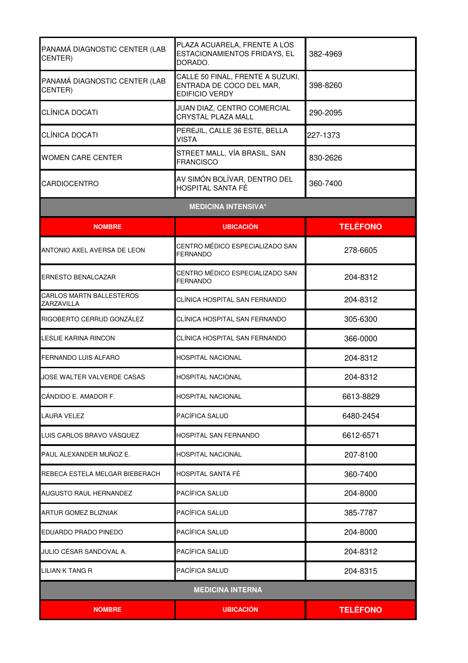| <b>NOMBRE</b>                                 | <b>UBICACIÓN</b>                                                                      | <b>TELÉFONO</b> |
|-----------------------------------------------|---------------------------------------------------------------------------------------|-----------------|
| <b>MEDICINA INTERNA</b>                       |                                                                                       |                 |
| LILIAN K TANG R                               | PACÍFICA SALUD                                                                        | 204-8315        |
| JULIO CÉSAR SANDOVAL A.                       | PACÍFICA SALUD                                                                        | 204-8312        |
| EDUARDO PRADO PINEDO                          | PACÍFICA SALUD                                                                        | 204-8000        |
| <b>ARTUR GOMEZ BLIZNIAK</b>                   | PACÍFICA SALUD                                                                        | 385-7787        |
| AUGUSTO RAUL HERNANDEZ                        | PACÍFICA SALUD                                                                        | 204-8000        |
| REBECA ESTELA MELGAR BIEBERACH                | HOSPITAL SANTA FÉ                                                                     | 360-7400        |
| PAUL ALEXANDER MUÑOZ E.                       | <b>HOSPITAL NACIONAL</b>                                                              | 207-8100        |
| LUIS CARLOS BRAVO VÁSQUEZ                     | HOSPITAL SAN FERNANDO                                                                 | 6612-6571       |
| <b>LAURA VELEZ</b>                            | PACÍFICA SALUD                                                                        | 6480-2454       |
| CÁNDIDO E. AMADOR F.                          | <b>HOSPITAL NACIONAL</b>                                                              | 6613-8829       |
| JOSE WALTER VALVERDE CASAS                    | <b>HOSPITAL NACIONAL</b>                                                              | 204-8312        |
| <b>FERNANDO LUIS ALFARO</b>                   | HOSPITAL NACIONAL                                                                     | 204-8312        |
| <b>LESLIE KARINA RINCON</b>                   | CLÍNICA HOSPITAL SAN FERNANDO                                                         | 366-0000        |
| RIGOBERTO CERRUD GONZÁLEZ                     | CLÍNICA HOSPITAL SAN FERNANDO                                                         | 305-6300        |
| <b>CARLOS MARTN BALLESTEROS</b><br>ZARZAVILLA | CLÍNICA HOSPITAL SAN FERNANDO                                                         | 204-8312        |
| <b>ERNESTO BENALCAZAR</b>                     | CENTRO MÉDICO ESPECIALIZADO SAN<br><b>FERNANDO</b>                                    | 204-8312        |
| ANTONIO AXEL AVERSA DE LEON                   | CENTRO MÉDICO ESPECIALIZADO SAN<br><b>FERNANDO</b>                                    | 278-6605        |
| <b>NOMBRE</b>                                 | <b>UBICACIÓN</b>                                                                      | <b>TELÉFONO</b> |
|                                               | <b>MEDICINA INTENSIVA*</b>                                                            |                 |
| <b>CARDIOCENTRO</b>                           | AV SIMÓN BOLÍVAR, DENTRO DEL<br>HOSPITAL SANTA FÉ                                     | 360-7400        |
| <b>WOMEN CARE CENTER</b>                      | STREET MALL, VÍA BRASIL, SAN<br><b>FRANCISCO</b>                                      | 830-2626        |
| CLÍNICA DOCATI                                | PEREJIL, CALLE 36 ESTE, BELLA<br><b>VISTA</b>                                         | 227-1373        |
| <b>CLÍNICA DOCATI</b>                         | JUAN DIAZ, CENTRO COMERCIAL<br><b>CRYSTAL PLAZA MALL</b>                              | 290-2095        |
| PANAMÁ DIAGNOSTIC CENTER (LAB<br>CENTER)      | CALLE 50 FINAL, FRENTE A SUZUKI,<br>ENTRADA DE COCO DEL MAR,<br><b>EDIFICIO VERDY</b> | 398-8260        |
| PANAMÁ DIAGNOSTIC CENTER (LAB<br>CENTER)      | PLAZA ACUARELA, FRENTE A LOS<br>ESTACIONAMIENTOS FRIDAYS, EL<br>DORADO.               | 382-4969        |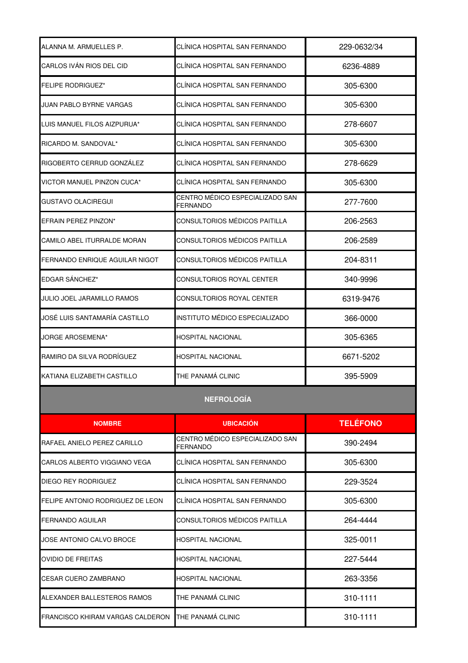| ALANNA M. ARMUELLES P.                             | CLÍNICA HOSPITAL SAN FERNANDO               | 229-0632/34     |
|----------------------------------------------------|---------------------------------------------|-----------------|
| CARLOS IVÁN RIOS DEL CID                           | CLÍNICA HOSPITAL SAN FERNANDO               | 6236-4889       |
| <b>FELIPE RODRIGUEZ*</b>                           | CLÍNICA HOSPITAL SAN FERNANDO               | 305-6300        |
| JUAN PABLO BYRNE VARGAS                            | CLÍNICA HOSPITAL SAN FERNANDO               | 305-6300        |
| LUIS MANUEL FILOS AIZPURUA*                        | CLÍNICA HOSPITAL SAN FERNANDO               | 278-6607        |
| RICARDO M. SANDOVAL*                               | CLÍNICA HOSPITAL SAN FERNANDO               | 305-6300        |
| RIGOBERTO CERRUD GONZÁLEZ                          | CLÍNICA HOSPITAL SAN FERNANDO               | 278-6629        |
| VICTOR MANUEL PINZON CUCA*                         | CLÍNICA HOSPITAL SAN FERNANDO               | 305-6300        |
| GUSTAVO OLACIREGUI                                 | CENTRO MÉDICO ESPECIALIZADO SAN<br>FERNANDO | 277-7600        |
| EFRAIN PEREZ PINZON*                               | CONSULTORIOS MÉDICOS PAITILLA               | 206-2563        |
| CAMILO ABEL ITURRALDE MORAN                        | CONSULTORIOS MÉDICOS PAITILLA               | 206-2589        |
| FERNANDO ENRIQUE AGUILAR NIGOT                     | CONSULTORIOS MÉDICOS PAITILLA               | 204-8311        |
| EDGAR SÁNCHEZ*                                     | CONSULTORIOS ROYAL CENTER                   | 340-9996        |
| JULIO JOEL JARAMILLO RAMOS                         | CONSULTORIOS ROYAL CENTER                   | 6319-9476       |
| JOSÉ LUIS SANTAMARÍA CASTILLO                      | INSTITUTO MÉDICO ESPECIALIZADO              | 366-0000        |
| JORGE AROSEMENA*                                   | HOSPITAL NACIONAL                           | 305-6365        |
| RAMIRO DA SILVA RODRÍGUEZ                          | HOSPITAL NACIONAL                           | 6671-5202       |
| KATIANA ELIZABETH CASTILLO                         | THE PANAMÁ CLINIC                           | 395-5909        |
|                                                    | <b>NEFROLOGÍA</b>                           |                 |
| <b>NOMBRE</b>                                      | <b>UBICACIÓN</b>                            | <b>TELÉFONO</b> |
| RAFAEL ANIELO PEREZ CARILLO                        | CENTRO MÉDICO ESPECIALIZADO SAN<br>FERNANDO | 390-2494        |
| CARLOS ALBERTO VIGGIANO VEGA                       | CLÍNICA HOSPITAL SAN FERNANDO               | 305-6300        |
| DIEGO REY RODRIGUEZ                                | CLÍNICA HOSPITAL SAN FERNANDO               | 229-3524        |
| FELIPE ANTONIO RODRIGUEZ DE LEON                   | CLÍNICA HOSPITAL SAN FERNANDO               | 305-6300        |
| FERNANDO AGUILAR                                   | CONSULTORIOS MÉDICOS PAITILLA               | 264-4444        |
| JOSE ANTONIO CALVO BROCE                           | HOSPITAL NACIONAL                           | 325-0011        |
| OVIDIO DE FREITAS                                  | HOSPITAL NACIONAL                           | 227-5444        |
| ICESAR CUERO ZAMBRANO                              | HOSPITAL NACIONAL                           | 263-3356        |
| ALEXANDER BALLESTEROS RAMOS                        | THE PANAMA CLINIC                           | 310-1111        |
| FRANCISCO KHIRAM VARGAS CALDERON THE PANAMÁ CLINIC |                                             | 310-1111        |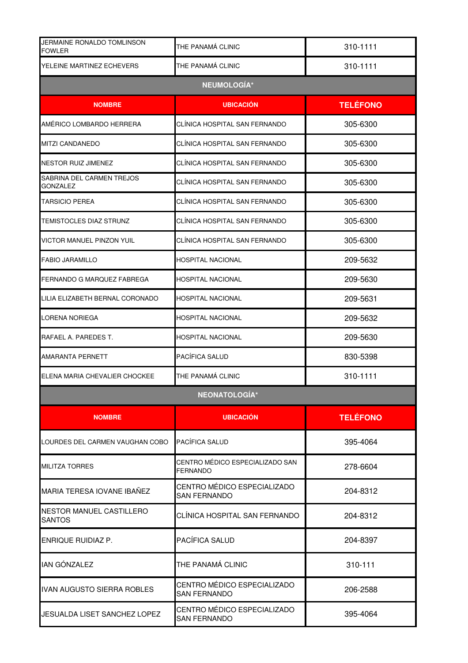| JERMAINE RONALDO TOMLINSON<br><b>FOWLER</b> | THE PANAMÁ CLINIC                                  | 310-1111        |  |
|---------------------------------------------|----------------------------------------------------|-----------------|--|
| YELEINE MARTINEZ ECHEVERS                   | THE PANAMÁ CLINIC                                  | 310-1111        |  |
| <b>NEUMOLOGÍA*</b>                          |                                                    |                 |  |
| <b>NOMBRE</b>                               | <b>UBICACIÓN</b>                                   | <b>TELÉFONO</b> |  |
| AMÉRICO LOMBARDO HERRERA                    | CLÍNICA HOSPITAL SAN FERNANDO                      | 305-6300        |  |
| <b>MITZI CANDANEDO</b>                      | CLÍNICA HOSPITAL SAN FERNANDO                      | 305-6300        |  |
| NESTOR RUIZ JIMENEZ                         | CLÍNICA HOSPITAL SAN FERNANDO                      | 305-6300        |  |
| SABRINA DEL CARMEN TREJOS<br>GONZALEZ       | CLÍNICA HOSPITAL SAN FERNANDO                      | 305-6300        |  |
| <b>TARSICIO PEREA</b>                       | CLÍNICA HOSPITAL SAN FERNANDO                      | 305-6300        |  |
| TEMISTOCLES DIAZ STRUNZ                     | CLÍNICA HOSPITAL SAN FERNANDO                      | 305-6300        |  |
| VICTOR MANUEL PINZON YUIL                   | CLÍNICA HOSPITAL SAN FERNANDO                      | 305-6300        |  |
| <b>FABIO JARAMILLO</b>                      | <b>HOSPITAL NACIONAL</b>                           | 209-5632        |  |
| FERNANDO G MARQUEZ FABREGA                  | <b>HOSPITAL NACIONAL</b>                           | 209-5630        |  |
| LILIA ELIZABETH BERNAL CORONADO             | <b>HOSPITAL NACIONAL</b>                           | 209-5631        |  |
| <b>LORENA NORIEGA</b>                       | <b>HOSPITAL NACIONAL</b>                           | 209-5632        |  |
| RAFAEL A. PAREDES T.                        | HOSPITAL NACIONAL                                  | 209-5630        |  |
| <b>AMARANTA PERNETT</b>                     | PACÍFICA SALUD                                     | 830-5398        |  |
| ELENA MARIA CHEVALIER CHOCKEE               | THE PANAMÁ CLINIC                                  | 310-1111        |  |
|                                             | NEONATOLOGÍA*                                      |                 |  |
| <b>NOMBRE</b>                               | <b>UBICACIÓN</b>                                   | <b>TELÉFONO</b> |  |
| LOURDES DEL CARMEN VAUGHAN COBO             | PACÍFICA SALUD                                     | 395-4064        |  |
| <b>MILITZA TORRES</b>                       | CENTRO MÉDICO ESPECIALIZADO SAN<br><b>FERNANDO</b> | 278-6604        |  |
| MARIA TERESA IOVANE IBAÑEZ                  | CENTRO MÉDICO ESPECIALIZADO<br><b>SAN FERNANDO</b> | 204-8312        |  |
| NESTOR MANUEL CASTILLERO<br><b>SANTOS</b>   | CLÍNICA HOSPITAL SAN FERNANDO                      | 204-8312        |  |
| <b>ENRIQUE RUIDIAZ P.</b>                   | <b>PACÍFICA SALUD</b>                              | 204-8397        |  |
| <b>IAN GÓNZALEZ</b>                         | THE PANAMÁ CLINIC                                  | 310-111         |  |
| <b>IVAN AUGUSTO SIERRA ROBLES</b>           | CENTRO MÉDICO ESPECIALIZADO<br><b>SAN FERNANDO</b> | 206-2588        |  |
| JESUALDA LISET SANCHEZ LOPEZ                | CENTRO MÉDICO ESPECIALIZADO<br><b>SAN FERNANDO</b> | 395-4064        |  |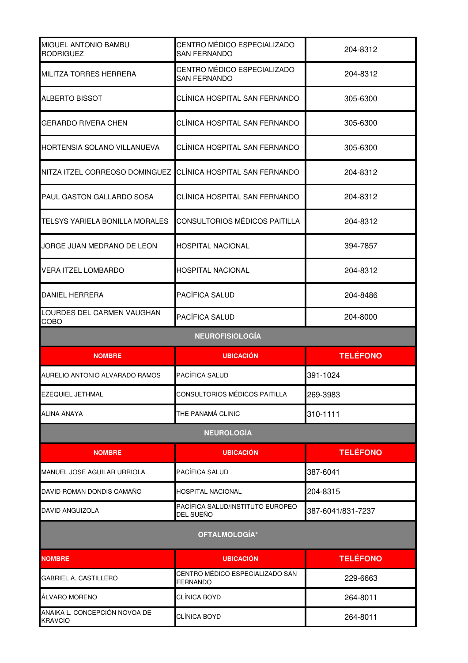| MIGUEL ANTONIO BAMBU<br>RODRIGUEZ         | CENTRO MÉDICO ESPECIALIZADO<br><b>SAN FERNANDO</b> | 204-8312          |
|-------------------------------------------|----------------------------------------------------|-------------------|
| <b>MILITZA TORRES HERRERA</b>             | CENTRO MÉDICO ESPECIALIZADO<br><b>SAN FERNANDO</b> | 204-8312          |
| <b>ALBERTO BISSOT</b>                     | CLÍNICA HOSPITAL SAN FERNANDO                      | 305-6300          |
| <b>GERARDO RIVERA CHEN</b>                | CLÍNICA HOSPITAL SAN FERNANDO                      | 305-6300          |
| HORTENSIA SOLANO VILLANUEVA               | CLÍNICA HOSPITAL SAN FERNANDO                      | 305-6300          |
| NITZA ITZEL CORREOSO DOMINGUEZ            | CLÍNICA HOSPITAL SAN FERNANDO                      | 204-8312          |
| PAUL GASTON GALLARDO SOSA                 | CLÍNICA HOSPITAL SAN FERNANDO                      | 204-8312          |
| <b>TELSYS YARIELA BONILLA MORALES</b>     | CONSULTORIOS MÉDICOS PAITILLA                      | 204-8312          |
| JORGE JUAN MEDRANO DE LEON                | <b>HOSPITAL NACIONAL</b>                           | 394-7857          |
| <b>VERA ITZEL LOMBARDO</b>                | <b>HOSPITAL NACIONAL</b>                           | 204-8312          |
| <b>DANIEL HERRERA</b>                     | PACÍFICA SALUD                                     | 204-8486          |
| LOURDES DEL CARMEN VAUGHAN<br><b>COBO</b> | PACÍFICA SALUD                                     | 204-8000          |
|                                           | <b>NEUROFISIOLOGÍA</b>                             |                   |
| <b>NOMBRE</b>                             | <b>UBICACIÓN</b>                                   | <b>TELÉFONO</b>   |
| AURELIO ANTONIO ALVARADO RAMOS            | PACÍFICA SALUD                                     | 391-1024          |
| <b>EZEQUIEL JETHMAL</b>                   | CONSULTORIOS MÉDICOS PAITILLA                      | 269-3983          |
| <b>ALINA ANAYA</b>                        | THE PANAMÁ CLINIC                                  | 310-1111          |
|                                           | <b>NEUROLOGÍA</b>                                  |                   |
| <b>NOMBRE</b>                             | <b>UBICACIÓN</b>                                   | <b>TELÉFONO</b>   |
| MANUEL JOSE AGUILAR URRIOLA               | PACÍFICA SALUD                                     | 387-6041          |
| DAVID ROMAN DONDIS CAMAÑO                 | <b>HOSPITAL NACIONAL</b>                           | 204-8315          |
| DAVID ANGUIZOLA                           | PACÍFICA SALUD/INSTITUTO EUROPEO<br>DEL SUEÑO      | 387-6041/831-7237 |
| OFTALMOLOGÍA*                             |                                                    |                   |
| <b>NOMBRE</b>                             | <b>UBICACIÓN</b>                                   | <b>TELÉFONO</b>   |
| <b>GABRIEL A. CASTILLERO</b>              | CENTRO MÉDICO ESPECIALIZADO SAN<br><b>FERNANDO</b> | 229-6663          |
| ÁLVARO MORENO                             |                                                    |                   |
|                                           | CLÍNICA BOYD                                       | 264-8011          |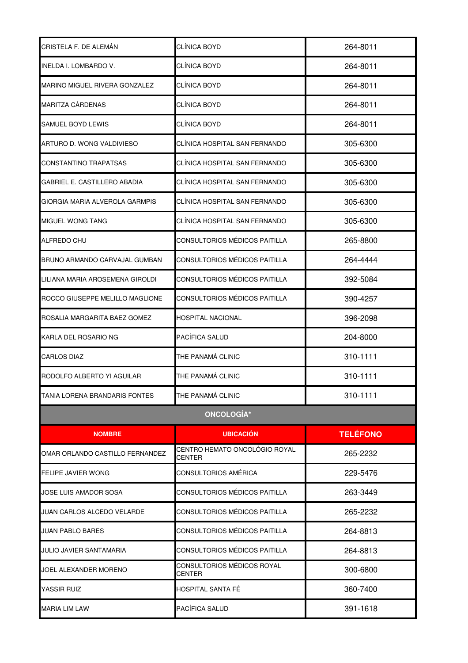| CRISTELA F. DE ALEMAN           | CLÍNICA BOYD                                   | 264-8011        |
|---------------------------------|------------------------------------------------|-----------------|
| INELDA I. LOMBARDO V.           | CLÍNICA BOYD                                   | 264-8011        |
| MARINO MIGUEL RIVERA GONZALEZ   | CLÍNICA BOYD                                   | 264-8011        |
| MARITZA CÁRDENAS                | CLÍNICA BOYD                                   | 264-8011        |
| SAMUEL BOYD LEWIS               | CLÍNICA BOYD                                   | 264-8011        |
| ARTURO D. WONG VALDIVIESO       | CLÍNICA HOSPITAL SAN FERNANDO                  | 305-6300        |
| CONSTANTINO TRAPATSAS           | CLÍNICA HOSPITAL SAN FERNANDO                  | 305-6300        |
| GABRIEL E. CASTILLERO ABADIA    | CLÍNICA HOSPITAL SAN FERNANDO                  | 305-6300        |
| GIORGIA MARIA ALVEROLA GARMPIS  | CLÍNICA HOSPITAL SAN FERNANDO                  | 305-6300        |
| MIGUEL WONG TANG                | CLÍNICA HOSPITAL SAN FERNANDO                  | 305-6300        |
| ALFREDO CHU                     | CONSULTORIOS MÉDICOS PAITILLA                  | 265-8800        |
| BRUNO ARMANDO CARVAJAL GUMBAN   | CONSULTORIOS MÉDICOS PAITILLA                  | 264-4444        |
| LILIANA MARIA AROSEMENA GIROLDI | CONSULTORIOS MÉDICOS PAITILLA                  | 392-5084        |
| ROCCO GIUSEPPE MELILLO MAGLIONE | CONSULTORIOS MÉDICOS PAITILLA                  | 390-4257        |
| ROSALIA MARGARITA BAEZ GOMEZ    | <b>HOSPITAL NACIONAL</b>                       | 396-2098        |
| KARLA DEL ROSARIO NG            | PACÍFICA SALUD                                 | 204-8000        |
| <b>CARLOS DIAZ</b>              | THE PANAMÁ CLINIC                              | 310-1111        |
| RODOLFO ALBERTO YI AGUILAR      | THE PANAMÁ CLINIC                              | 310-1111        |
| TANIA LORENA BRANDARIS FONTES   | THE PANAMÁ CLINIC                              | 310-1111        |
|                                 | <b>ONCOLOGÍA*</b>                              |                 |
| <b>NOMBRE</b>                   | <b>UBICACIÓN</b>                               | <b>TELÉFONO</b> |
| OMAR ORLANDO CASTILLO FERNANDEZ | CENTRO HEMATO ONCOLÓGIO ROYAL<br><b>CENTER</b> | 265-2232        |
| <b>FELIPE JAVIER WONG</b>       | CONSULTORIOS AMÉRICA                           | 229-5476        |
| JOSE LUIS AMADOR SOSA           | CONSULTORIOS MÉDICOS PAITILLA                  | 263-3449        |
| JUAN CARLOS ALCEDO VELARDE      | CONSULTORIOS MÉDICOS PAITILLA                  | 265-2232        |
| JUAN PABLO BARES                | CONSULTORIOS MÉDICOS PAITILLA                  | 264-8813        |
| JULIO JAVIER SANTAMARIA         | CONSULTORIOS MÉDICOS PAITILLA                  | 264-8813        |
| JOEL ALEXANDER MORENO           | CONSULTORIOS MÉDICOS ROYAL<br><b>CENTER</b>    | 300-6800        |
| YASSIR RUIZ                     | HOSPITAL SANTA FÉ                              | 360-7400        |
| <b>MARIA LIM LAW</b>            | PACÍFICA SALUD                                 | 391-1618        |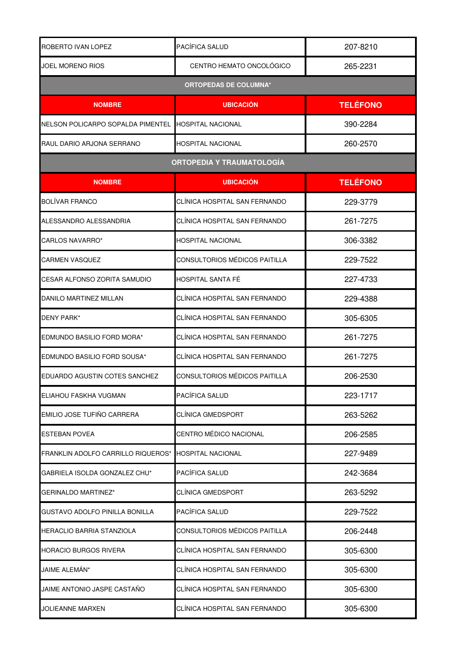| ROBERTO IVAN LOPEZ                 | PACÍFICA SALUD                   | 207-8210        |
|------------------------------------|----------------------------------|-----------------|
| JOEL MORENO RIOS                   | CENTRO HEMATO ONCOLÓGICO         | 265-2231        |
|                                    | <b>ORTOPEDAS DE COLUMNA*</b>     |                 |
| <b>NOMBRE</b>                      | <b>UBICACIÓN</b>                 | <b>TELÉFONO</b> |
| NELSON POLICARPO SOPALDA PIMENTEL  | HOSPITAL NACIONAL                | 390-2284        |
| RAUL DARIO ARJONA SERRANO          | HOSPITAL NACIONAL                | 260-2570        |
|                                    | <b>ORTOPEDIA Y TRAUMATOLOGÍA</b> |                 |
| <b>NOMBRE</b>                      | <b>UBICACIÓN</b>                 | <b>TELÉFONO</b> |
| <b>BOLÍVAR FRANCO</b>              | CLINICA HOSPITAL SAN FERNANDO    | 229-3779        |
| ALESSANDRO ALESSANDRIA             | CLÍNICA HOSPITAL SAN FERNANDO    | 261-7275        |
| CARLOS NAVARRO*                    | HOSPITAL NACIONAL                | 306-3382        |
| CARMEN VASQUEZ                     | CONSULTORIOS MÉDICOS PAITILLA    | 229-7522        |
| CESAR ALFONSO ZORITA SAMUDIO       | HOSPITAL SANTA FÉ                | 227-4733        |
| <b>DANILO MARTINEZ MILLAN</b>      | CLÍNICA HOSPITAL SAN FERNANDO    | 229-4388        |
| <b>DENY PARK*</b>                  | CLÍNICA HOSPITAL SAN FERNANDO    | 305-6305        |
| EDMUNDO BASILIO FORD MORA*         | CLÍNICA HOSPITAL SAN FERNANDO    | 261-7275        |
| EDMUNDO BASILIO FORD SOUSA*        | CLÍNICA HOSPITAL SAN FERNANDO    | 261-7275        |
| EDUARDO AGUSTIN COTES SANCHEZ      | CONSULTORIOS MÉDICOS PAITILLA    | 206-2530        |
| ELIAHOU FASKHA VUGMAN              | PACÍFICA SALUD                   | 223-1717        |
| EMILIO JOSE TUFIÑO CARRERA         | CLÍNICA GMEDSPORT                | 263-5262        |
| <b>ESTEBAN POVEA</b>               | CENTRO MÉDICO NACIONAL           | 206-2585        |
| FRANKLIN ADOLFO CARRILLO RIQUEROS* | HOSPITAL NACIONAL                | 227-9489        |
| GABRIELA ISOLDA GONZALEZ CHU*      | PACÍFICA SALUD                   | 242-3684        |
| <b>GERINALDO MARTINEZ*</b>         | <b>CLÍNICA GMEDSPORT</b>         | 263-5292        |
| GUSTAVO ADOLFO PINILLA BONILLA     | PACÍFICA SALUD                   | 229-7522        |
| HERACLIO BARRIA STANZIOLA          | CONSULTORIOS MÉDICOS PAITILLA    | 206-2448        |
| <b>HORACIO BURGOS RIVERA</b>       | CLÍNICA HOSPITAL SAN FERNANDO    | 305-6300        |
| JAIME ALEMAN*                      | CLÍNICA HOSPITAL SAN FERNANDO    | 305-6300        |
| JAIME ANTONIO JASPE CASTAÑO        | CLÍNICA HOSPITAL SAN FERNANDO    | 305-6300        |
| JOLIEANNE MARXEN                   | CLÍNICA HOSPITAL SAN FERNANDO    | 305-6300        |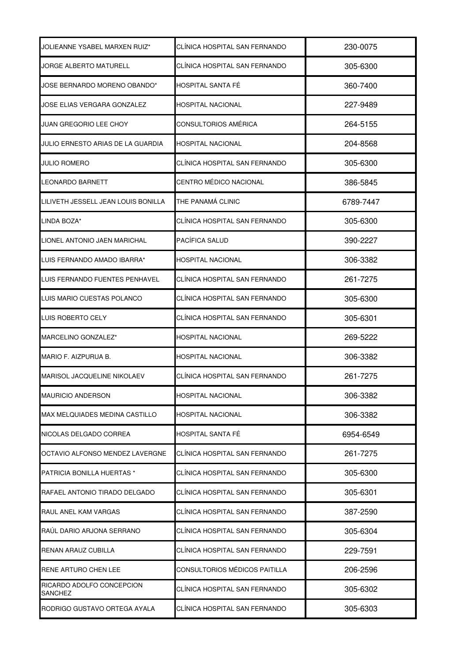| JOLIEANNE YSABEL MARXEN RUIZ*        | CLINICA HOSPITAL SAN FERNANDO | 230-0075  |
|--------------------------------------|-------------------------------|-----------|
| JORGE ALBERTO MATURELL               | CLÍNICA HOSPITAL SAN FERNANDO | 305-6300  |
| JOSE BERNARDO MORENO OBANDO*         | HOSPITAL SANTA FÉ             | 360-7400  |
| JOSE ELIAS VERGARA GONZALEZ          | HOSPITAL NACIONAL             | 227-9489  |
| JUAN GREGORIO LEE CHOY               | CONSULTORIOS AMÉRICA          | 264-5155  |
| JULIO ERNESTO ARIAS DE LA GUARDIA    | <b>HOSPITAL NACIONAL</b>      | 204-8568  |
| <b>JULIO ROMERO</b>                  | CLÍNICA HOSPITAL SAN FERNANDO | 305-6300  |
| LEONARDO BARNETT                     | CENTRO MÉDICO NACIONAL        | 386-5845  |
| LILIVETH JESSELL JEAN LOUIS BONILLA  | THE PANAMÁ CLINIC             | 6789-7447 |
| LINDA BOZA*                          | CLÍNICA HOSPITAL SAN FERNANDO | 305-6300  |
| LIONEL ANTONIO JAEN MARICHAL         | PACÍFICA SALUD                | 390-2227  |
| LUIS FERNANDO AMADO IBARRA*          | HOSPITAL NACIONAL             | 306-3382  |
| LUIS FERNANDO FUENTES PENHAVEL       | CLÍNICA HOSPITAL SAN FERNANDO | 261-7275  |
| LUIS MARIO CUESTAS POLANCO           | CLÍNICA HOSPITAL SAN FERNANDO | 305-6300  |
| LUIS ROBERTO CELY                    | CLÍNICA HOSPITAL SAN FERNANDO | 305-6301  |
| MARCELINO GONZALEZ*                  | <b>HOSPITAL NACIONAL</b>      | 269-5222  |
| MARIO F. AIZPURUA B.                 | HOSPITAL NACIONAL             | 306-3382  |
| <b>MARISOL JACQUELINE NIKOLAEV</b>   | CLÍNICA HOSPITAL SAN FERNANDO | 261-7275  |
| <b>MAURICIO ANDERSON</b>             | <b>HOSPITAL NACIONAL</b>      | 306-3382  |
| MAX MELQUIADES MEDINA CASTILLO       | HOSPITAL NACIONAL             | 306-3382  |
| NICOLAS DELGADO CORREA               | HOSPITAL SANTA FÉ             | 6954-6549 |
| OCTAVIO ALFONSO MENDEZ LAVERGNE      | CLÍNICA HOSPITAL SAN FERNANDO | 261-7275  |
| PATRICIA BONILLA HUERTAS *           | CLÍNICA HOSPITAL SAN FERNANDO | 305-6300  |
| RAFAEL ANTONIO TIRADO DELGADO        | CLÍNICA HOSPITAL SAN FERNANDO | 305-6301  |
| RAUL ANEL KAM VARGAS                 | CLÍNICA HOSPITAL SAN FERNANDO | 387-2590  |
| RAÚL DARIO ARJONA SERRANO            | CLÍNICA HOSPITAL SAN FERNANDO | 305-6304  |
| RENAN ARAUZ CUBILLA                  | CLÍNICA HOSPITAL SAN FERNANDO | 229-7591  |
| RENE ARTURO CHEN LEE                 | CONSULTORIOS MÉDICOS PAITILLA | 206-2596  |
| RICARDO ADOLFO CONCEPCION<br>SANCHEZ | CLÍNICA HOSPITAL SAN FERNANDO | 305-6302  |
| RODRIGO GUSTAVO ORTEGA AYALA         | CLÍNICA HOSPITAL SAN FERNANDO | 305-6303  |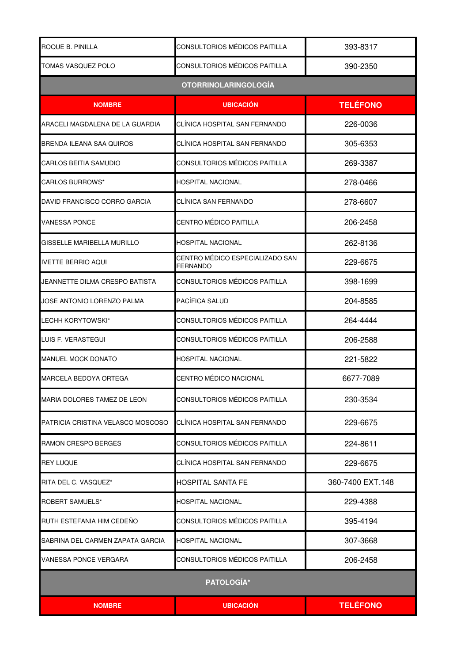| ROQUE B. PINILLA                  | CONSULTORIOS MÉDICOS PAITILLA               | 393-8317         |
|-----------------------------------|---------------------------------------------|------------------|
| TOMAS VASQUEZ POLO                | CONSULTORIOS MÉDICOS PAITILLA               | 390-2350         |
|                                   | <b>OTORRINOLARINGOLOGÍA</b>                 |                  |
| <b>NOMBRE</b>                     | <b>UBICACIÓN</b>                            | <b>TELÉFONO</b>  |
| ARACELI MAGDALENA DE LA GUARDIA   | CLÍNICA HOSPITAL SAN FERNANDO               | 226-0036         |
| <b>BRENDA ILEANA SAA QUIROS</b>   | CLÍNICA HOSPITAL SAN FERNANDO               | 305-6353         |
| CARLOS BEITIA SAMUDIO             | CONSULTORIOS MÉDICOS PAITILLA               | 269-3387         |
| CARLOS BURROWS*                   | HOSPITAL NACIONAL                           | 278-0466         |
| DAVID FRANCISCO CORRO GARCIA      | CLÍNICA SAN FERNANDO                        | 278-6607         |
| <b>VANESSA PONCE</b>              | <b>CENTRO MÉDICO PAITILLA</b>               | 206-2458         |
| GISSELLE MARIBELLA MURILLO        | <b>HOSPITAL NACIONAL</b>                    | 262-8136         |
| <b>IVETTE BERRIO AQUI</b>         | CENTRO MÉDICO ESPECIALIZADO SAN<br>FERNANDO | 229-6675         |
| JEANNETTE DILMA CRESPO BATISTA    | CONSULTORIOS MÉDICOS PAITILLA               | 398-1699         |
| JOSE ANTONIO LORENZO PALMA        | PACÍFICA SALUD                              | 204-8585         |
| LECHH KORYTOWSKI*                 | CONSULTORIOS MÉDICOS PAITILLA               | 264-4444         |
| LUIS F. VERASTEGUI                | CONSULTORIOS MÉDICOS PAITILLA               | 206-2588         |
| <b>MANUEL MOCK DONATO</b>         | <b>HOSPITAL NACIONAL</b>                    | 221-5822         |
| <b>MARCELA BEDOYA ORTEGA</b>      | CENTRO MÉDICO NACIONAL                      | 6677-7089        |
| MARIA DOLORES TAMEZ DE LEON       | CONSULTORIOS MÉDICOS PAITILLA               | 230-3534         |
| PATRICIA CRISTINA VELASCO MOSCOSO | CLÍNICA HOSPITAL SAN FERNANDO               | 229-6675         |
| <b>RAMON CRESPO BERGES</b>        | <b>CONSULTORIOS MÉDICOS PAITILLA</b>        | 224-8611         |
| <b>REY LUQUE</b>                  | CLÍNICA HOSPITAL SAN FERNANDO               | 229-6675         |
| RITA DEL C. VASQUEZ*              | <b>HOSPITAL SANTA FE</b>                    | 360-7400 EXT.148 |
| <b>ROBERT SAMUELS*</b>            | <b>HOSPITAL NACIONAL</b>                    | 229-4388         |
| RUTH ESTEFANIA HIM CEDEÑO         | CONSULTORIOS MÉDICOS PAITILLA               | 395-4194         |
| SABRINA DEL CARMEN ZAPATA GARCIA  | <b>HOSPITAL NACIONAL</b>                    | 307-3668         |
| VANESSA PONCE VERGARA             | CONSULTORIOS MÉDICOS PAITILLA               | 206-2458         |
|                                   | <b>PATOLOGÍA*</b>                           |                  |
| <b>NOMBRE</b>                     | <b>UBICACIÓN</b>                            | <b>TELÉFONO</b>  |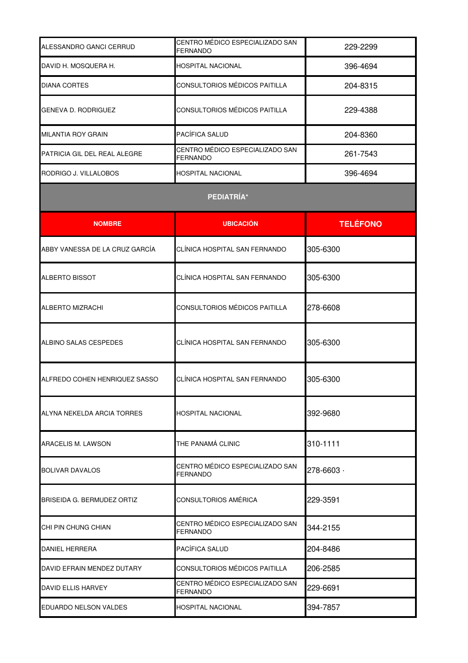| ALESSANDRO GANCI CERRUD        | CENTRO MÉDICO ESPECIALIZADO SAN<br>FERNANDO        | 229-2299        |
|--------------------------------|----------------------------------------------------|-----------------|
| DAVID H. MOSQUERA H.           | HOSPITAL NACIONAL                                  | 396-4694        |
| <b>DIANA CORTES</b>            | CONSULTORIOS MÉDICOS PAITILLA                      | 204-8315        |
| <b>GENEVA D. RODRIGUEZ</b>     | CONSULTORIOS MÉDICOS PAITILLA                      | 229-4388        |
| MILANTIA ROY GRAIN             | PACÍFICA SALUD                                     | 204-8360        |
| PATRICIA GIL DEL REAL ALEGRE   | CENTRO MÉDICO ESPECIALIZADO SAN<br>FERNANDO        | 261-7543        |
| RODRIGO J. VILLALOBOS          | HOSPITAL NACIONAL                                  | 396-4694        |
|                                | PEDIATRÍA*                                         |                 |
| <b>NOMBRE</b>                  | <b>UBICACIÓN</b>                                   | <b>TELÉFONO</b> |
| ABBY VANESSA DE LA CRUZ GARCÍA | CLÍNICA HOSPITAL SAN FERNANDO                      | 305-6300        |
| <b>ALBERTO BISSOT</b>          | CLÍNICA HOSPITAL SAN FERNANDO                      | 305-6300        |
| <b>ALBERTO MIZRACHI</b>        | CONSULTORIOS MÉDICOS PAITILLA                      | 278-6608        |
| ALBINO SALAS CESPEDES          | CLÍNICA HOSPITAL SAN FERNANDO                      | 305-6300        |
| ALFREDO COHEN HENRIQUEZ SASSO  | CLÍNICA HOSPITAL SAN FERNANDO                      | 305-6300        |
| ALYNA NEKELDA ARCIA TORRES     | HOSPITAL NACIONAL                                  | 392-9680        |
| <b>ARACELIS M. LAWSON</b>      | THE PANAMÁ CLINIC                                  | 310-1111        |
| <b>BOLIVAR DAVALOS</b>         | CENTRO MÉDICO ESPECIALIZADO SAN<br><b>FERNANDO</b> | 278-6603 ·      |
| BRISEIDA G. BERMUDEZ ORTIZ     | CONSULTORIOS AMÉRICA                               | 229-3591        |
| CHI PIN CHUNG CHIAN            | CENTRO MÉDICO ESPECIALIZADO SAN<br>FERNANDO        | 344-2155        |
| DANIEL HERRERA                 | PACÍFICA SALUD                                     | 204-8486        |
| DAVID EFRAIN MENDEZ DUTARY     | CONSULTORIOS MÉDICOS PAITILLA                      | 206-2585        |
| <b>DAVID ELLIS HARVEY</b>      | CENTRO MÉDICO ESPECIALIZADO SAN<br>FERNANDO        | 229-6691        |
| EDUARDO NELSON VALDES          | HOSPITAL NACIONAL                                  | 394-7857        |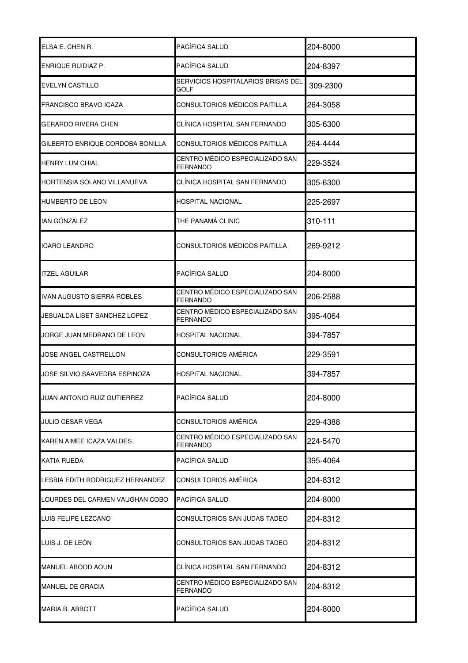| ELSA E. CHEN R.                    | PACÍFICA SALUD                                     | 204-8000 |
|------------------------------------|----------------------------------------------------|----------|
| <b>ENRIQUE RUIDIAZ P.</b>          | PACÍFICA SALUD                                     | 204-8397 |
| <b>EVELYN CASTILLO</b>             | SERVICIOS HOSPITALARIOS BRISAS DEL<br>GOLF         | 309-2300 |
| <b>FRANCISCO BRAVO ICAZA</b>       | CONSULTORIOS MÉDICOS PAITILLA                      | 264-3058 |
| GERARDO RIVERA CHEN                | CLÍNICA HOSPITAL SAN FERNANDO                      | 305-6300 |
| GILBERTO ENRIQUE CORDOBA BONILLA   | CONSULTORIOS MÉDICOS PAITILLA                      | 264-4444 |
| <b>HENRY LUM CHIAL</b>             | CENTRO MÉDICO ESPECIALIZADO SAN<br><b>FERNANDO</b> | 229-3524 |
| HORTENSIA SOLANO VILLANUEVA        | CLÍNICA HOSPITAL SAN FERNANDO                      | 305-6300 |
| <b>HUMBERTO DE LEON</b>            | <b>HOSPITAL NACIONAL</b>                           | 225-2697 |
| <b>IAN GÓNZALEZ</b>                | THE PANAMÁ CLINIC                                  | 310-111  |
| <b>ICARO LEANDRO</b>               | CONSULTORIOS MÉDICOS PAITILLA                      | 269-9212 |
| <b>ITZEL AGUILAR</b>               | PACÍFICA SALUD                                     | 204-8000 |
| IVAN AUGUSTO SIERRA ROBLES         | CENTRO MÉDICO ESPECIALIZADO SAN<br><b>FERNANDO</b> | 206-2588 |
| JESUALDA LISET SANCHEZ LOPEZ       | CENTRO MÉDICO ESPECIALIZADO SAN<br><b>FERNANDO</b> | 395-4064 |
| JORGE JUAN MEDRANO DE LEON         | HOSPITAL NACIONAL                                  | 394-7857 |
| JOSE ANGEL CASTRELLON              | <b>CONSULTORIOS AMÉRICA</b>                        | 229-3591 |
| JOSE SILVIO SAAVEDRA ESPINOZA      | <b>HOSPITAL NACIONAL</b>                           | 394-7857 |
| <b>JUAN ANTONIO RUIZ GUTIERREZ</b> | PACÍFICA SALUD                                     | 204-8000 |
| JULIO CESAR VEGA                   | CONSULTORIOS AMÉRICA                               | 229-4388 |
| KAREN AIMEE ICAZA VALDES           | CENTRO MÉDICO ESPECIALIZADO SAN<br><b>FERNANDO</b> | 224-5470 |
| <b>KATIA RUEDA</b>                 | PACÍFICA SALUD                                     | 395-4064 |
| LESBIA EDITH RODRIGUEZ HERNANDEZ   | CONSULTORIOS AMÉRICA                               | 204-8312 |
| LOURDES DEL CARMEN VAUGHAN COBO    | PACÍFICA SALUD                                     | 204-8000 |
| LUIS FELIPE LEZCANO                | CONSULTORIOS SAN JUDAS TADEO                       | 204-8312 |
| LUIS J. DE LEÓN                    | CONSULTORIOS SAN JUDAS TADEO                       | 204-8312 |
| MANUEL ABOOD AOUN                  | CLÍNICA HOSPITAL SAN FERNANDO                      | 204-8312 |
| <b>MANUEL DE GRACIA</b>            | CENTRO MÉDICO ESPECIALIZADO SAN<br>FERNANDO        | 204-8312 |
| <b>MARIA B. ABBOTT</b>             | PACÍFICA SALUD                                     | 204-8000 |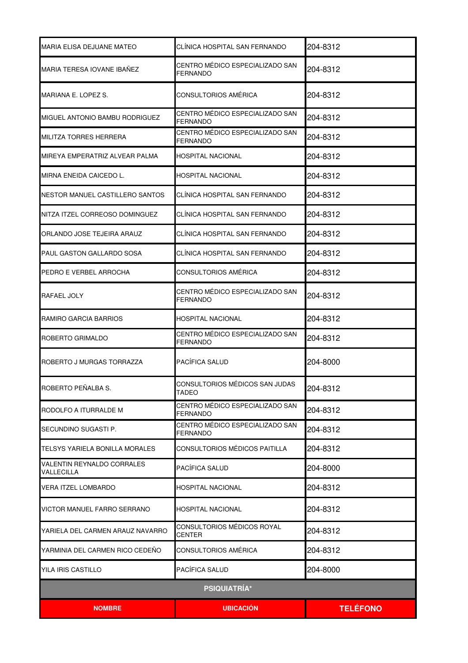| MARIA ELISA DEJUANE MATEO                       | CLÍNICA HOSPITAL SAN FERNANDO                      | 204-8312        |
|-------------------------------------------------|----------------------------------------------------|-----------------|
| MARIA TERESA IOVANE IBAÑEZ                      | CENTRO MÉDICO ESPECIALIZADO SAN<br><b>FERNANDO</b> | 204-8312        |
| MARIANA E. LOPEZ S.                             | <b>CONSULTORIOS AMÉRICA</b>                        | 204-8312        |
| MIGUEL ANTONIO BAMBU RODRIGUEZ                  | CENTRO MÉDICO ESPECIALIZADO SAN<br>FERNANDO        | 204-8312        |
| <b>MILITZA TORRES HERRERA</b>                   | CENTRO MÉDICO ESPECIALIZADO SAN<br><b>FERNANDO</b> | 204-8312        |
| MIREYA EMPERATRIZ ALVEAR PALMA                  | HOSPITAL NACIONAL                                  | 204-8312        |
| MIRNA ENEIDA CAICEDO L.                         | HOSPITAL NACIONAL                                  | 204-8312        |
| NESTOR MANUEL CASTILLERO SANTOS                 | CLÍNICA HOSPITAL SAN FERNANDO                      | 204-8312        |
| NITZA ITZEL CORREOSO DOMINGUEZ                  | CLÍNICA HOSPITAL SAN FERNANDO                      | 204-8312        |
| ORLANDO JOSE TEJEIRA ARAUZ                      | CLÍNICA HOSPITAL SAN FERNANDO                      | 204-8312        |
| <b>PAUL GASTON GALLARDO SOSA</b>                | CLÍNICA HOSPITAL SAN FERNANDO                      | 204-8312        |
| PEDRO E VERBEL ARROCHA                          | CONSULTORIOS AMÉRICA                               | 204-8312        |
| RAFAEL JOLY                                     | CENTRO MÉDICO ESPECIALIZADO SAN<br>FERNANDO        | 204-8312        |
| RAMIRO GARCIA BARRIOS                           | <b>HOSPITAL NACIONAL</b>                           | 204-8312        |
| ROBERTO GRIMALDO                                | CENTRO MÉDICO ESPECIALIZADO SAN<br><b>FERNANDO</b> | 204-8312        |
| ROBERTO J MURGAS TORRAZZA                       | PACÍFICA SALUD                                     | 204-8000        |
| ROBERTO PEÑALBA S.                              | CONSULTORIOS MÉDICOS SAN JUDAS<br>TADEO            | 204-8312        |
| RODOLFO A ITURRALDE M                           | CENTRO MÉDICO ESPECIALIZADO SAN<br><b>FERNANDO</b> | 204-8312        |
| ISECUNDINO SUGASTI P.                           | CENTRO MÉDICO ESPECIALIZADO SAN<br>FERNANDO        | 204-8312        |
| ITELSYS YARIELA BONILLA MORALES                 | CONSULTORIOS MÉDICOS PAITILLA                      | 204-8312        |
| VALENTIN REYNALDO CORRALES<br><b>VALLECILLA</b> | PACÍFICA SALUD                                     | 204-8000        |
| <b>VERA ITZEL LOMBARDO</b>                      | HOSPITAL NACIONAL                                  | 204-8312        |
| VICTOR MANUEL FARRO SERRANO                     | HOSPITAL NACIONAL                                  | 204-8312        |
| YARIELA DEL CARMEN ARAUZ NAVARRO                | CONSULTORIOS MÉDICOS ROYAL<br><b>CENTER</b>        | 204-8312        |
| YARMINIA DEL CARMEN RICO CEDEÑO                 | CONSULTORIOS AMÉRICA                               | 204-8312        |
| YILA IRIS CASTILLO                              | PACÍFICA SALUD                                     | 204-8000        |
|                                                 | <b>PSIQUIATRÍA*</b>                                |                 |
| <b>NOMBRE</b>                                   | <b>UBICACION</b>                                   | <b>TELÉFONO</b> |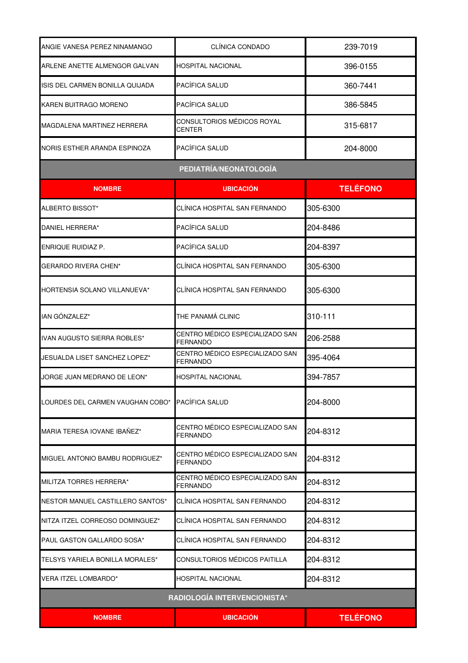| ANGIE VANESA PEREZ NINAMANGO     | CLÍNICA CONDADO                                    | 239-7019        |
|----------------------------------|----------------------------------------------------|-----------------|
| ARLENE ANETTE ALMENGOR GALVAN    | HOSPITAL NACIONAL                                  | 396-0155        |
| ISIS DEL CARMEN BONILLA QUIJADA  | PACÍFICA SALUD                                     | 360-7441        |
| <b>KAREN BUITRAGO MORENO</b>     | PACÍFICA SALUD                                     | 386-5845        |
| MAGDALENA MARTINEZ HERRERA       | CONSULTORIOS MÉDICOS ROYAL<br><b>CENTER</b>        | 315-6817        |
| NORIS ESTHER ARANDA ESPINOZA     | PACÍFICA SALUD                                     | 204-8000        |
|                                  | PEDIATRÍA/NEONATOLOGÍA                             |                 |
| <b>NOMBRE</b>                    | <b>UBICACIÓN</b>                                   | <b>TELÉFONO</b> |
| ALBERTO BISSOT*                  | CLÍNICA HOSPITAL SAN FERNANDO                      | 305-6300        |
| DANIEL HERRERA*                  | PACÍFICA SALUD                                     | 204-8486        |
| ENRIQUE RUIDIAZ P.               | PACÍFICA SALUD                                     | 204-8397        |
| <b>GERARDO RIVERA CHEN*</b>      | CLÍNICA HOSPITAL SAN FERNANDO                      | 305-6300        |
| HORTENSIA SOLANO VILLANUEVA*     | CLÍNICA HOSPITAL SAN FERNANDO                      | 305-6300        |
| IAN GÓNZALEZ*                    | THE PANAMÁ CLINIC                                  | 310-111         |
| IVAN AUGUSTO SIERRA ROBLES*      | CENTRO MÉDICO ESPECIALIZADO SAN<br><b>FERNANDO</b> | 206-2588        |
| JESUALDA LISET SANCHEZ LOPEZ*    | CENTRO MÉDICO ESPECIALIZADO SAN<br><b>FERNANDO</b> | 395-4064        |
| JORGE JUAN MEDRANO DE LEON*      | HOSPITAL NACIONAL                                  | 394-7857        |
| LOURDES DEL CARMEN VAUGHAN COBO* | PACÍFICA SALUD                                     | 204-8000        |
| MARIA TERESA IOVANE IBAÑEZ*      | CENTRO MÉDICO ESPECIALIZADO SAN<br>FERNANDO        | 204-8312        |
| MIGUEL ANTONIO BAMBU RODRIGUEZ*  | CENTRO MÉDICO ESPECIALIZADO SAN<br><b>FERNANDO</b> | 204-8312        |
| MILITZA TORRES HERRERA*          | CENTRO MÉDICO ESPECIALIZADO SAN<br>FERNANDO        | 204-8312        |
| NESTOR MANUEL CASTILLERO SANTOS* | CLÍNICA HOSPITAL SAN FERNANDO                      | 204-8312        |
| NITZA ITZEL CORREOSO DOMINGUEZ*  | CLÍNICA HOSPITAL SAN FERNANDO                      | 204-8312        |
| PAUL GASTON GALLARDO SOSA*       | CLÍNICA HOSPITAL SAN FERNANDO                      | 204-8312        |
| TELSYS YARIELA BONILLA MORALES*  | CONSULTORIOS MÉDICOS PAITILLA                      | 204-8312        |
| VERA ITZEL LOMBARDO*             | <b>HOSPITAL NACIONAL</b>                           | 204-8312        |
|                                  | RADIOLOGÍA INTERVENCIONISTA*                       |                 |
| <b>NOMBRE</b>                    | <b>UBICACIÓN</b>                                   | <b>TELÉFONO</b> |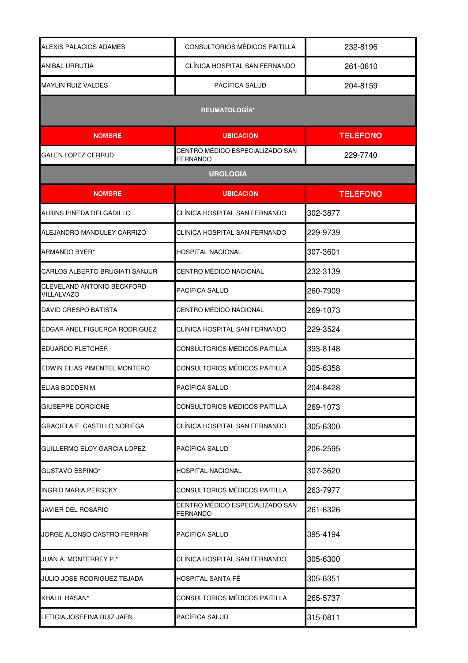| ALEXIS PALACIOS ADAMES                   | CONSULTORIOS MÉDICOS PAITILLA                      | 232-8196        |
|------------------------------------------|----------------------------------------------------|-----------------|
| ANIBAL URRUTIA                           | CLÍNICA HOSPITAL SAN FERNANDO                      | 261-0610        |
| <b>MAYLIN RUIZ VALDES</b>                | PACÍFICA SALUD                                     | 204-8159        |
|                                          | <b>REUMATOLOGÍA*</b>                               |                 |
| <b>NOMBRE</b>                            | <b>UBICACIÓN</b>                                   | <b>TELÉFONO</b> |
| <b>GALEN LOPEZ CERRUD</b>                | CENTRO MÉDICO ESPECIALIZADO SAN<br><b>FERNANDO</b> | 229-7740        |
|                                          | <b>UROLOGÍA</b>                                    |                 |
| <b>NOMBRE</b>                            | <b>UBICACIÓN</b>                                   | <b>TELÉFONO</b> |
| ALBINS PINEDA DELGADILLO                 | CLÍNICA HOSPITAL SAN FERNANDO                      | 302-3877        |
| ALEJANDRO MANDULEY CARRIZO               | CLÍNICA HOSPITAL SAN FERNANDO                      | 229-9739        |
| ARMANDO BYER*                            | <b>HOSPITAL NACIONAL</b>                           | 307-3601        |
| CARLOS ALBERTO BRUGIATI SANJUR           | CENTRO MÉDICO NACIONAL                             | 232-3139        |
| CLEVELAND ANTONIO BECKFORD<br>VILLALVAZO | PACÍFICA SALUD                                     | 260-7909        |
| <b>DAVID CRESPO BATISTA</b>              | CENTRO MÉDICO NACIONAL                             | 269-1073        |
| EDGAR ANEL FIGUEROA RODRIGUEZ            | CLÍNICA HOSPITAL SAN FERNANDO                      | 229-3524        |
| <b>EDUARDO FLETCHER</b>                  | CONSULTORIOS MÉDICOS PAITILLA                      | 393-8148        |
| EDWIN ELIAS PIMENTEL MONTERO             | CONSULTORIOS MÉDICOS PAITILLA                      | 305-6358        |
| ELIAS BODDEN M.                          | <b>PACÍFICA SALUD</b>                              | 204-8428        |
| <b>GIUSEPPE CORCIONE</b>                 | CONSULTORIOS MÉDICOS PAITILLA                      | 269-1073        |
| GRACIELA E. CASTILLO NORIEGA             | CLÍNICA HOSPITAL SAN FERNANDO                      | 305-6300        |
| GUILLERMO ELOY GARCIA LOPEZ              | PACÍFICA SALUD                                     | 206-2595        |
| <b>GUSTAVO ESPINO*</b>                   | <b>HOSPITAL NACIONAL</b>                           | 307-3620        |
| <b>INGRID MARIA PERSCKY</b>              | CONSULTORIOS MÉDICOS PAITILLA                      | 263-7977        |
| <b>JAVIER DEL ROSARIO</b>                | CENTRO MÉDICO ESPECIALIZADO SAN<br><b>FERNANDO</b> | 261-6326        |
| JORGE ALONSO CASTRO FERRARI              | PACÍFICA SALUD                                     | 395-4194        |
| JUAN A. MONTERREY P.*                    | CLÍNICA HOSPITAL SAN FERNANDO                      | 305-6300        |
| JULIO JOSE RODRIGUEZ TEJADA              | HOSPITAL SANTA FÉ                                  | 305-6351        |
| KHALIL HASAN*                            | CONSULTORIOS MÉDICOS PAITILLA                      | 265-5737        |
| LETICIA JOSEFINA RUIZ JAEN               | <b>PACÍFICA SALUD</b>                              | 315-0811        |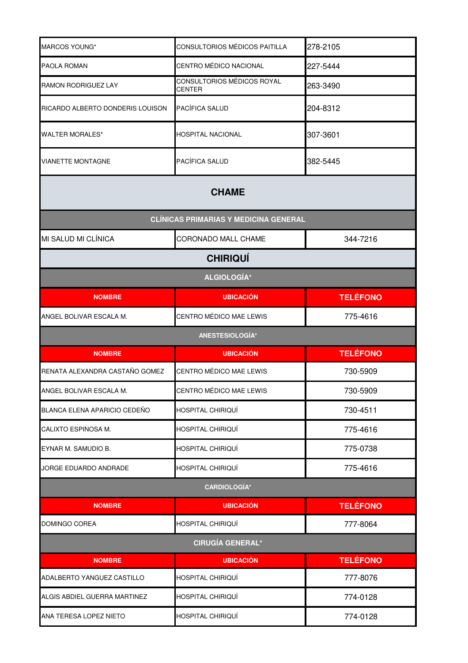| MARCOS YOUNG*                    | CONSULTORIOS MÉDICOS PAITILLA                | 278-2105        |
|----------------------------------|----------------------------------------------|-----------------|
| <b>PAOLA ROMAN</b>               | CENTRO MÉDICO NACIONAL                       | 227-5444        |
| <b>RAMON RODRIGUEZ LAY</b>       | CONSULTORIOS MÉDICOS ROYAL<br><b>CENTER</b>  | 263-3490        |
| RICARDO ALBERTO DONDERIS LOUISON | PACÍFICA SALUD                               | 204-8312        |
| <b>WALTER MORALES*</b>           | <b>HOSPITAL NACIONAL</b>                     | 307-3601        |
| <b>VIANETTE MONTAGNE</b>         | PACÍFICA SALUD                               | 382-5445        |
|                                  | <b>CHAME</b>                                 |                 |
|                                  | <b>CLÍNICAS PRIMARIAS Y MEDICINA GENERAL</b> |                 |
| MI SALUD MI CLÍNICA              | CORONADO MALL CHAME                          | 344-7216        |
|                                  | <b>CHIRIQUÍ</b>                              |                 |
|                                  | <b>ALGIOLOGÍA*</b>                           |                 |
| <b>NOMBRE</b>                    | <b>UBICACIÓN</b>                             | <b>TELÉFONO</b> |
| ANGEL BOLIVAR ESCALA M.          | CENTRO MÉDICO MAE LEWIS                      | 775-4616        |
|                                  | ANESTESIOLOGÍA*                              |                 |
| <b>NOMBRE</b>                    | <b>UBICACIÓN</b>                             | <b>TELÉFONO</b> |
| RENATA ALEXANDRA CASTAÑO GOMEZ   | CENTRO MÉDICO MAE LEWIS                      | 730-5909        |
| ANGEL BOLIVAR ESCALA M.          | CENTRO MÉDICO MAE LEWIS                      | 730-5909        |
| BLANCA ELENA APARICIO CEDEÑO     | HOSPITAL CHIRIQUÍ                            | 730-4511        |
| CALIXTO ESPINOSA M.              | <b>HOSPITAL CHIRIQUÍ</b>                     | 775-4616        |
| EYNAR M. SAMUDIO B.              | HOSPITAL CHIRIQUÍ                            | 775-0738        |
| JORGE EDUARDO ANDRADE            | HOSPITAL CHIRIQUÍ                            | 775-4616        |
|                                  | <b>CARDIOLOGÍA*</b>                          |                 |
| <b>NOMBRE</b>                    | <b>UBICACIÓN</b>                             | <b>TELÉFONO</b> |
| DOMINGO COREA                    | HOSPITAL CHIRIQUÍ                            | 777-8064        |
|                                  | <b>CIRUGÍA GENERAL*</b>                      |                 |
| <b>NOMBRE</b>                    | <b>UBICACIÓN</b>                             | <b>TELÉFONO</b> |
| ADALBERTO YANGUEZ CASTILLO       | HOSPITAL CHIRIQUÍ                            | 777-8076        |
| ALGIS ABDIEL GUERRA MARTINEZ     | <b>HOSPITAL CHIRIQUÍ</b>                     | 774-0128        |
| ANA TERESA LOPEZ NIETO           | HOSPITAL CHIRIQUÍ                            | 774-0128        |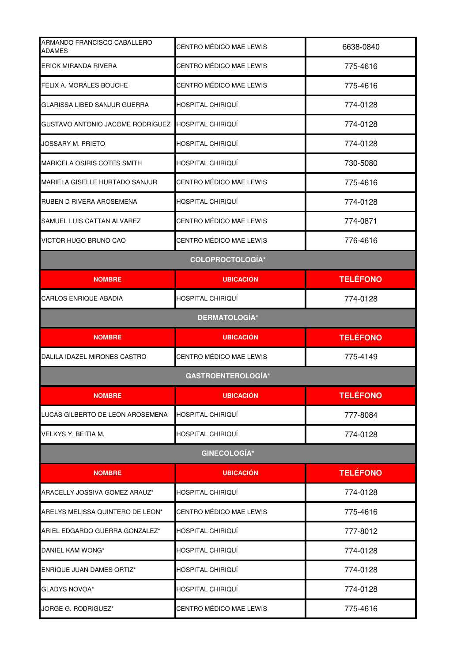| ARMANDO FRANCISCO CABALLERO<br><b>ADAMES</b> | CENTRO MÉDICO MAE LEWIS   | 6638-0840       |
|----------------------------------------------|---------------------------|-----------------|
| <b>ERICK MIRANDA RIVERA</b>                  | CENTRO MÉDICO MAE LEWIS   | 775-4616        |
| FELIX A. MORALES BOUCHE                      | CENTRO MÉDICO MAE LEWIS   | 775-4616        |
| GLARISSA LIBED SANJUR GUERRA                 | <b>HOSPITAL CHIRIQUÍ</b>  | 774-0128        |
| GUSTAVO ANTONIO JACOME RODRIGUEZ             | HOSPITAL CHIRIQUÍ         | 774-0128        |
| JOSSARY M. PRIETO                            | HOSPITAL CHIRIQUI         | 774-0128        |
| <b>MARICELA OSIRIS COTES SMITH</b>           | HOSPITAL CHIRIQUÍ         | 730-5080        |
| MARIELA GISELLE HURTADO SANJUR               | CENTRO MÉDICO MAE LEWIS   | 775-4616        |
| RUBEN D RIVERA AROSEMENA                     | HOSPITAL CHIRIQUÍ         | 774-0128        |
| SAMUEL LUIS CATTAN ALVAREZ                   | CENTRO MÉDICO MAE LEWIS   | 774-0871        |
| VICTOR HUGO BRUNO CAO                        | CENTRO MÉDICO MAE LEWIS   | 776-4616        |
|                                              | <b>COLOPROCTOLOGÍA*</b>   |                 |
| <b>NOMBRE</b>                                | <b>UBICACIÓN</b>          | <b>TELÉFONO</b> |
| <b>CARLOS ENRIQUE ABADIA</b>                 | HOSPITAL CHIRIQUÍ         | 774-0128        |
|                                              | <b>DERMATOLOGÍA*</b>      |                 |
| <b>NOMBRE</b>                                | <b>UBICACIÓN</b>          | <b>TELÉFONO</b> |
| DALILA IDAZEL MIRONES CASTRO                 | CENTRO MÉDICO MAE LEWIS   | 775-4149        |
|                                              | <b>GASTROENTEROLOGÍA*</b> |                 |
| <b>NOMBRE</b>                                | <b>UBICACIÓN</b>          | <b>TELÉFONO</b> |
| LUCAS GILBERTO DE LEON AROSEMENA             | HOSPITAL CHIRIQUÍ         | 777-8084        |
| VELKYS Y. BEITIA M.                          | HOSPITAL CHIRIQUÍ         | 774-0128        |
|                                              | <b>GINECOLOGÍA*</b>       |                 |
| <b>NOMBRE</b>                                | <b>UBICACIÓN</b>          | <b>TELÉFONO</b> |
| ARACELLY JOSSIVA GOMEZ ARAUZ*                | HOSPITAL CHIRIQUÍ         | 774-0128        |
| ARELYS MELISSA QUINTERO DE LEON*             | CENTRO MÉDICO MAE LEWIS   | 775-4616        |
| ARIEL EDGARDO GUERRA GONZALEZ*               | HOSPITAL CHIRIQUÍ         | 777-8012        |
| DANIEL KAM WONG*                             | HOSPITAL CHIRIQUÍ         | 774-0128        |
|                                              |                           |                 |
| <b>ENRIQUE JUAN DAMES ORTIZ*</b>             | HOSPITAL CHIRIQUÍ         | 774-0128        |
| <b>GLADYS NOVOA*</b>                         | HOSPITAL CHIRIQUÍ         | 774-0128        |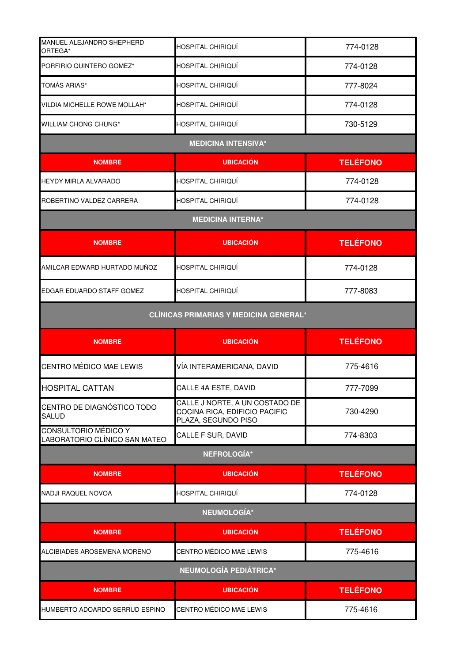| MANUEL ALEJANDRO SHEPHERD<br>ORTEGA*                         | HOSPITAL CHIRIQUÍ                                                                      | 774-0128        |
|--------------------------------------------------------------|----------------------------------------------------------------------------------------|-----------------|
| PORFIRIO QUINTERO GOMEZ*                                     | HOSPITAL CHIRIQUÍ                                                                      | 774-0128        |
| TOMÁS ARIAS*                                                 | HOSPITAL CHIRIQUÍ                                                                      | 777-8024        |
| <b>VILDIA MICHELLE ROWE MOLLAH*</b>                          | HOSPITAL CHIRIQUÍ                                                                      | 774-0128        |
| WILLIAM CHONG CHUNG*                                         | HOSPITAL CHIRIQUÍ                                                                      | 730-5129        |
|                                                              | <b>MEDICINA INTENSIVA*</b>                                                             |                 |
| <b>NOMBRE</b>                                                | <b>UBICACIÓN</b>                                                                       | <b>TELÉFONO</b> |
| HEYDY MIRLA ALVARADO                                         | HOSPITAL CHIRIQUÍ                                                                      | 774-0128        |
| ROBERTINO VALDEZ CARRERA                                     | HOSPITAL CHIRIQUÍ                                                                      | 774-0128        |
|                                                              | <b>MEDICINA INTERNA*</b>                                                               |                 |
| <b>NOMBRE</b>                                                | <b>UBICACIÓN</b>                                                                       | <b>TELÉFONO</b> |
| AMILCAR EDWARD HURTADO MUÑOZ                                 | HOSPITAL CHIRIQUÍ                                                                      | 774-0128        |
| EDGAR EDUARDO STAFF GOMEZ                                    | HOSPITAL CHIRIQUÍ                                                                      | 777-8083        |
|                                                              | <b>CLÍNICAS PRIMARIAS Y MEDICINA GENERAL*</b>                                          |                 |
| <b>NOMBRE</b>                                                | <b>UBICACIÓN</b>                                                                       | <b>TELÉFONO</b> |
| CENTRO MÉDICO MAE LEWIS                                      | VÍA INTERAMERICANA, DAVID                                                              | 775-4616        |
| <b>HOSPITAL CATTAN</b>                                       | CALLE 4A ESTE, DAVID                                                                   | 777-7099        |
| CENTRO DE DIAGNÓSTICO TODO<br>SALUD                          | CALLE J NORTE, A UN COSTADO DE<br>COCINA RICA, EDIFICIO PACIFIC<br>PLAZA, SEGUNDO PISO | 730-4290        |
| <b>CONSULTORIO MÉDICO Y</b><br>LABORATORIO CLÍNICO SAN MATEO | CALLE F SUR, DAVID                                                                     | 774-8303        |
|                                                              | <b>NEFROLOGÍA*</b>                                                                     |                 |
| <b>NOMBRE</b>                                                | <b>UBICACIÓN</b>                                                                       | <b>TELÉFONO</b> |
| <b>NADJI RAQUEL NOVOA</b>                                    | HOSPITAL CHIRIQUÍ                                                                      | 774-0128        |
|                                                              | NEUMOLOGÍA*                                                                            |                 |
| <b>NOMBRE</b>                                                | <b>UBICACIÓN</b>                                                                       | <b>TELÉFONO</b> |
| ALCIBIADES AROSEMENA MORENO                                  | CENTRO MÉDICO MAE LEWIS                                                                | 775-4616        |
|                                                              |                                                                                        |                 |

| <b>NEUMOLOGÍA PEDIÁTRICA*</b>   |                         |                 |
|---------------------------------|-------------------------|-----------------|
| <b>NOMBRE</b>                   | <b>UBICACIÓN</b>        | <b>TELÉFONO</b> |
| IHUMBERTO ADOARDO SERRUD ESPINO | CENTRO MÉDICO MAE LEWIS | 775-4616        |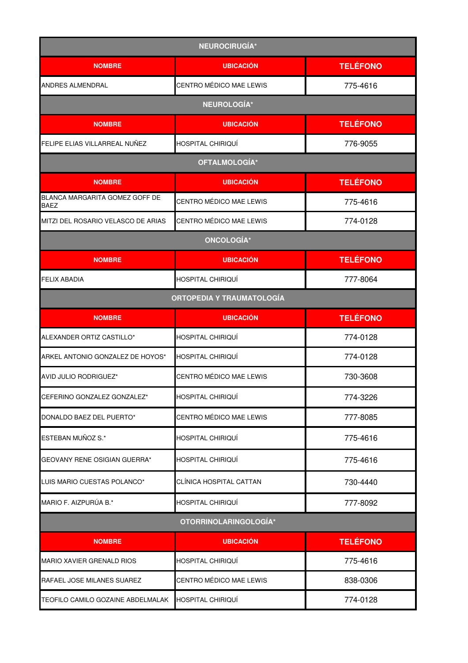| <b>NEUROCIRUGÍA*</b>                          |                                  |                 |  |
|-----------------------------------------------|----------------------------------|-----------------|--|
| <b>NOMBRE</b>                                 | <b>UBICACIÓN</b>                 | <b>TELÉFONO</b> |  |
| ANDRES ALMENDRAL                              | CENTRO MÉDICO MAE LEWIS          | 775-4616        |  |
|                                               | <b>NEUROLOGÍA*</b>               |                 |  |
| <b>NOMBRE</b>                                 | <b>UBICACIÓN</b>                 | <b>TELÉFONO</b> |  |
| FELIPE ELIAS VILLARREAL NUÑEZ                 | HOSPITAL CHIRIQUÍ                | 776-9055        |  |
|                                               | OFTALMOLOGÍA*                    |                 |  |
| <b>NOMBRE</b>                                 | <b>UBICACIÓN</b>                 | <b>TELÉFONO</b> |  |
| BLANCA MARGARITA GOMEZ GOFF DE<br><b>BAEZ</b> | CENTRO MÉDICO MAE LEWIS          | 775-4616        |  |
| MITZI DEL ROSARIO VELASCO DE ARIAS            | CENTRO MÉDICO MAE LEWIS          | 774-0128        |  |
|                                               | <b>ONCOLOGÍA*</b>                |                 |  |
| <b>NOMBRE</b>                                 | <b>UBICACIÓN</b>                 | <b>TELÉFONO</b> |  |
| <b>FELIX ABADIA</b>                           | HOSPITAL CHIRIQUÍ                | 777-8064        |  |
|                                               | <b>ORTOPEDIA Y TRAUMATOLOGÍA</b> |                 |  |
| <b>NOMBRE</b>                                 | <b>UBICACIÓN</b>                 | <b>TELÉFONO</b> |  |
| ALEXANDER ORTIZ CASTILLO*                     | HOSPITAL CHIRIQUÍ                | 774-0128        |  |
| ARKEL ANTONIO GONZALEZ DE HOYOS*              | HOSPITAL CHIRIQUÍ                | 774-0128        |  |
| <b>AVID JULIO RODRIGUEZ*</b>                  | CENTRO MÉDICO MAE LEWIS          | 730-3608        |  |
| CEFERINO GONZALEZ GONZALEZ*                   | HOSPITAL CHIRIQUÍ                | 774-3226        |  |
| DONALDO BAEZ DEL PUERTO*                      | CENTRO MÉDICO MAE LEWIS          | 777-8085        |  |
| ESTEBAN MUÑOZ S.*                             | HOSPITAL CHIRIQUÍ                | 775-4616        |  |
| GEOVANY RENE OSIGIAN GUERRA*                  | HOSPITAL CHIRIQUÍ                | 775-4616        |  |
| LUIS MARIO CUESTAS POLANCO*                   | CLÍNICA HOSPITAL CATTAN          | 730-4440        |  |
| MARIO F. AIZPURÚA B.*                         | HOSPITAL CHIRIQUÍ                | 777-8092        |  |
|                                               | OTORRINOLARINGOLOGÍA*            |                 |  |
| <b>NOMBRE</b>                                 | <b>UBICACIÓN</b>                 | <b>TELÉFONO</b> |  |
| MARIO XAVIER GRENALD RIOS                     | HOSPITAL CHIRIQUÍ                | 775-4616        |  |
| RAFAEL JOSE MILANES SUAREZ                    | CENTRO MÉDICO MAE LEWIS          | 838-0306        |  |
| TEOFILO CAMILO GOZAINE ABDELMALAK             | HOSPITAL CHIRIQUÍ                | 774-0128        |  |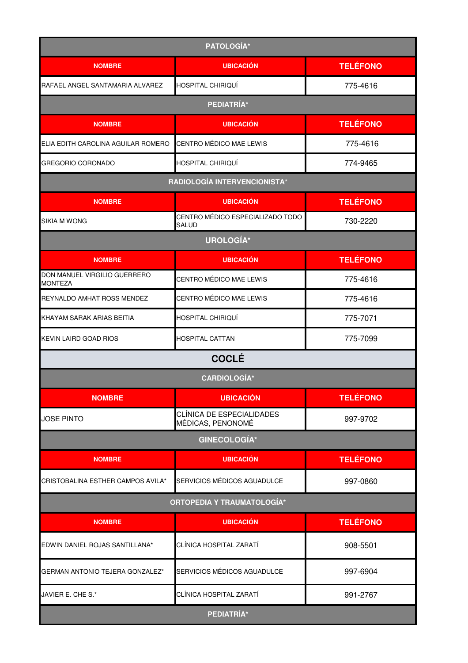| PATOLOGÍA*                                     |                                                  |                 |
|------------------------------------------------|--------------------------------------------------|-----------------|
| <b>NOMBRE</b>                                  | <b>UBICACIÓN</b>                                 | <b>TELÉFONO</b> |
| RAFAEL ANGEL SANTAMARIA ALVAREZ                | HOSPITAL CHIRIQUÍ                                | 775-4616        |
|                                                | PEDIATRÍA*                                       |                 |
| <b>NOMBRE</b>                                  | <b>UBICACIÓN</b>                                 | <b>TELÉFONO</b> |
| ELIA EDITH CAROLINA AGUILAR ROMERO             | CENTRO MÉDICO MAE LEWIS                          | 775-4616        |
| <b>GREGORIO CORONADO</b>                       | HOSPITAL CHIRIQUÍ                                | 774-9465        |
|                                                | RADIOLOGÍA INTERVENCIONISTA*                     |                 |
| <b>NOMBRE</b>                                  | <b>UBICACIÓN</b>                                 | <b>TELÉFONO</b> |
| SIKIA M WONG                                   | CENTRO MÉDICO ESPECIALIZADO TODO<br><b>SALUD</b> | 730-2220        |
|                                                | UROLOGÍA*                                        |                 |
| <b>NOMBRE</b>                                  | <b>UBICACIÓN</b>                                 | <b>TELÉFONO</b> |
| DON MANUEL VIRGILIO GUERRERO<br><b>MONTEZA</b> | CENTRO MÉDICO MAE LEWIS                          | 775-4616        |
| REYNALDO AMHAT ROSS MENDEZ                     | CENTRO MÉDICO MAE LEWIS                          | 775-4616        |
| KHAYAM SARAK ARIAS BEITIA                      | HOSPITAL CHIRIQUÍ                                | 775-7071        |
| KEVIN LAIRD GOAD RIOS                          | <b>HOSPITAL CATTAN</b>                           | 775-7099        |
|                                                | <b>COCLÉ</b>                                     |                 |
|                                                | <b>CARDIOLOGÍA*</b>                              |                 |
| <b>NOMBRE</b>                                  | <b>UBICACIÓN</b>                                 | <b>TELÉFONO</b> |
| <b>JOSE PINTO</b>                              | CLÍNICA DE ESPECIALIDADES<br>MÉDICAS, PENONOMÉ   | 997-9702        |
|                                                | <b>GINECOLOGÍA*</b>                              |                 |
| <b>NOMBRE</b>                                  | <b>UBICACIÓN</b>                                 | <b>TELÉFONO</b> |
| CRISTOBALINA ESTHER CAMPOS AVILA*              | SERVICIOS MÉDICOS AGUADULCE                      | 997-0860        |
|                                                | <b>ORTOPEDIA Y TRAUMATOLOGÍA*</b>                |                 |
| <b>NOMBRE</b>                                  | <b>UBICACIÓN</b>                                 | <b>TELÉFONO</b> |
| EDWIN DANIEL ROJAS SANTILLANA*                 | CLÍNICA HOSPITAL ZARATÍ                          | 908-5501        |
| GERMAN ANTONIO TEJERA GONZALEZ*                | SERVICIOS MÉDICOS AGUADULCE                      | 997-6904        |
| JAVIER E. CHE S.*                              | CLÍNICA HOSPITAL ZARATÍ                          | 991-2767        |
| PEDIATRÍA*                                     |                                                  |                 |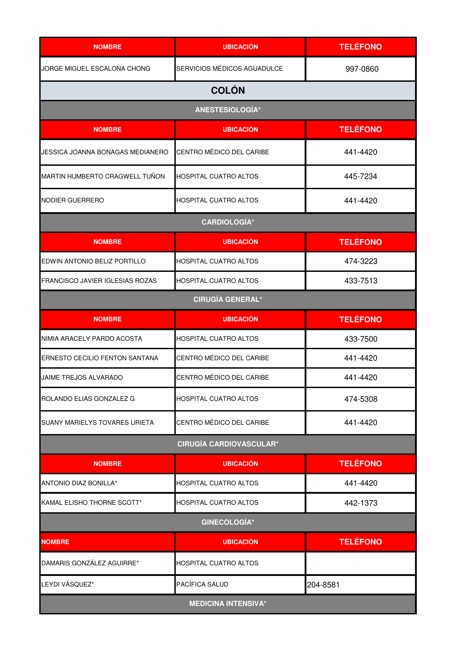| <b>NOMBRE</b>                    | <b>UBICACIÓN</b>               | <b>TELÉFONO</b> |  |
|----------------------------------|--------------------------------|-----------------|--|
| JORGE MIGUEL ESCALONA CHONG      | SERVICIOS MÉDICOS AGUADULCE    | 997-0860        |  |
|                                  | <b>COLÓN</b>                   |                 |  |
|                                  | ANESTESIOLOGÍA*                |                 |  |
| <b>NOMBRE</b>                    | <b>UBICACIÓN</b>               | <b>TELÉFONO</b> |  |
| JESSICA JOANNA BONAGAS MEDIANERO | CENTRO MÉDICO DEL CARIBE       | 441-4420        |  |
| MARTIN HUMBERTO CRAGWELL TUÑON   | <b>HOSPITAL CUATRO ALTOS</b>   | 445-7234        |  |
| NODIER GUERRERO                  | HOSPITAL CUATRO ALTOS          | 441-4420        |  |
|                                  | <b>CARDIOLOGÍA*</b>            |                 |  |
| <b>NOMBRE</b>                    | <b>UBICACIÓN</b>               | <b>TELÉFONO</b> |  |
| EDWIN ANTONIO BELIZ PORTILLO     | HOSPITAL CUATRO ALTOS          | 474-3223        |  |
| FRANCISCO JAVIER IGLESIAS ROZAS  | <b>HOSPITAL CUATRO ALTOS</b>   | 433-7513        |  |
|                                  | <b>CIRUGÍA GENERAL*</b>        |                 |  |
| <b>NOMBRE</b>                    | <b>UBICACIÓN</b>               | <b>TELÉFONO</b> |  |
| NIMIA ARACELY PARDO ACOSTA       | <b>HOSPITAL CUATRO ALTOS</b>   | 433-7500        |  |
| ERNESTO CECILIO FENTON SANTANA   | CENTRO MÉDICO DEL CARIBE       | 441-4420        |  |
| JAIME TREJOS ALVARADO            | CENTRO MÉDICO DEL CARIBE       | 441-4420        |  |
| ROLANDO ELIAS GONZALEZ G         | <b>HOSPITAL CUATRO ALTOS</b>   | 474-5308        |  |
| SUANY MARIELYS TOVARES URIETA    | CENTRO MÉDICO DEL CARIBE       | 441-4420        |  |
|                                  | <b>CIRUGÍA CARDIOVASCULAR*</b> |                 |  |
| <b>NOMBRE</b>                    | <b>UBICACIÓN</b>               | <b>TELÉFONO</b> |  |
| <b>ANTONIO DIAZ BONILLA*</b>     | HOSPITAL CUATRO ALTOS          | 441-4420        |  |
| KAMAL ELISHO THORNE SCOTT*       | HOSPITAL CUATRO ALTOS          | 442-1373        |  |
|                                  | <b>GINECOLOGÍA*</b>            |                 |  |
| <b>NOMBRE</b>                    | <b>UBICACIÓN</b>               | <b>TELÉFONO</b> |  |
| DAMARIS GONZÁLEZ AGUIRRE*        | HOSPITAL CUATRO ALTOS          |                 |  |
| LEYDI VÁSQUEZ*                   | PACÍFICA SALUD                 | 204-8581        |  |
| <b>MEDICINA INTENSIVA*</b>       |                                |                 |  |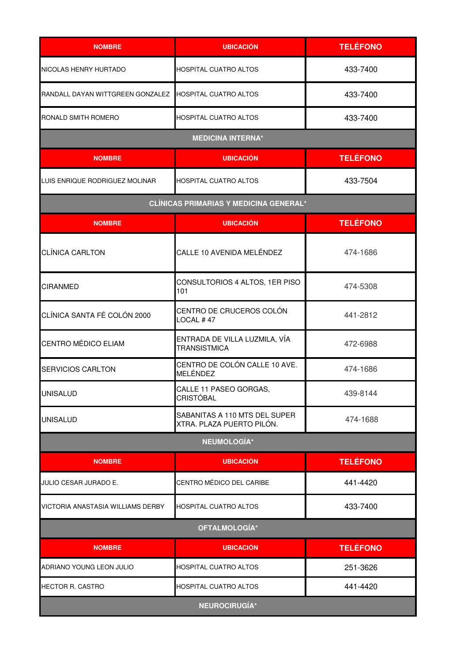| <b>NOMBRE</b>                     | <b>UBICACIÓN</b>                                           | <b>TELÉFONO</b> |
|-----------------------------------|------------------------------------------------------------|-----------------|
| NICOLAS HENRY HURTADO             | <b>HOSPITAL CUATRO ALTOS</b>                               | 433-7400        |
| RANDALL DAYAN WITTGREEN GONZALEZ  | <b>HOSPITAL CUATRO ALTOS</b>                               | 433-7400        |
| RONALD SMITH ROMERO               | HOSPITAL CUATRO ALTOS                                      | 433-7400        |
|                                   | <b>MEDICINA INTERNA*</b>                                   |                 |
| <b>NOMBRE</b>                     | <b>UBICACIÓN</b>                                           | <b>TELÉFONO</b> |
| LUIS ENRIQUE RODRIGUEZ MOLINAR    | <b>HOSPITAL CUATRO ALTOS</b>                               | 433-7504        |
|                                   | <b>CLÍNICAS PRIMARIAS Y MEDICINA GENERAL*</b>              |                 |
| <b>NOMBRE</b>                     | <b>UBICACIÓN</b>                                           | <b>TELÉFONO</b> |
| <b>CLÍNICA CARLTON</b>            | CALLE 10 AVENIDA MELÉNDEZ                                  | 474-1686        |
| <b>CIRANMED</b>                   | CONSULTORIOS 4 ALTOS, 1ER PISO<br>101                      | 474-5308        |
| CLÍNICA SANTA FÉ COLÓN 2000       | CENTRO DE CRUCEROS COLÓN<br>LOCAL #47                      | 441-2812        |
| CENTRO MÉDICO ELIAM               | ENTRADA DE VILLA LUZMILA, VÍA<br><b>TRANSISTMICA</b>       | 472-6988        |
| <b>SERVICIOS CARLTON</b>          | CENTRO DE COLÓN CALLE 10 AVE.<br>MELÉNDEZ                  | 474-1686        |
| <b>UNISALUD</b>                   | CALLE 11 PASEO GORGAS,<br><b>CRISTÓBAL</b>                 | 439-8144        |
| <b>UNISALUD</b>                   | SABANITAS A 110 MTS DEL SUPER<br>XTRA. PLAZA PUERTO PILÓN. | 474-1688        |
|                                   | <b>NEUMOLOGÍA*</b>                                         |                 |
| <b>NOMBRE</b>                     | <b>UBICACIÓN</b>                                           | <b>TELÉFONO</b> |
| JULIO CESAR JURADO E.             | CENTRO MÉDICO DEL CARIBE                                   | 441-4420        |
| VICTORIA ANASTASIA WILLIAMS DERBY | <b>HOSPITAL CUATRO ALTOS</b>                               | 433-7400        |
| OFTALMOLOGÍA*                     |                                                            |                 |
| <b>NOMBRE</b>                     | <b>UBICACIÓN</b>                                           | <b>TELÉFONO</b> |
| ADRIANO YOUNG LEON JULIO          | HOSPITAL CUATRO ALTOS                                      | 251-3626        |
| HECTOR R. CASTRO                  | <b>HOSPITAL CUATRO ALTOS</b>                               | 441-4420        |
| <b>NEUROCIRUGÍA*</b>              |                                                            |                 |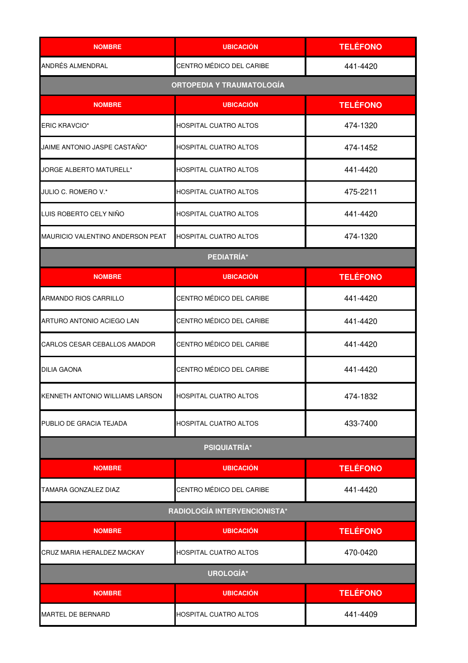| <b>NOMBRE</b>                    | <b>UBICACIÓN</b>                 | <b>TELÉFONO</b> |  |
|----------------------------------|----------------------------------|-----------------|--|
| ANDRÉS ALMENDRAL                 | CENTRO MÉDICO DEL CARIBE         | 441-4420        |  |
|                                  | <b>ORTOPEDIA Y TRAUMATOLOGÍA</b> |                 |  |
| <b>NOMBRE</b>                    | <b>UBICACIÓN</b>                 | <b>TELÉFONO</b> |  |
| <b>ERIC KRAVCIO*</b>             | HOSPITAL CUATRO ALTOS            | 474-1320        |  |
| JAIME ANTONIO JASPE CASTAÑO*     | <b>HOSPITAL CUATRO ALTOS</b>     | 474-1452        |  |
| JORGE ALBERTO MATURELL*          | <b>HOSPITAL CUATRO ALTOS</b>     | 441-4420        |  |
| JULIO C. ROMERO V.*              | HOSPITAL CUATRO ALTOS            | 475-2211        |  |
| LUIS ROBERTO CELY NIÑO           | HOSPITAL CUATRO ALTOS            | 441-4420        |  |
| MAURICIO VALENTINO ANDERSON PEAT | HOSPITAL CUATRO ALTOS            | 474-1320        |  |
| PEDIATRÍA*                       |                                  |                 |  |
| <b>NOMBRE</b>                    | <b>UBICACIÓN</b>                 | <b>TELÉFONO</b> |  |
| ARMANDO RIOS CARRILLO            | CENTRO MÉDICO DEL CARIBE         | 441-4420        |  |
| ARTURO ANTONIO ACIEGO LAN        | CENTRO MÉDICO DEL CARIBE         | 441-4420        |  |
| CARLOS CESAR CEBALLOS AMADOR     | CENTRO MÉDICO DEL CARIBE         | 441-4420        |  |
| <b>DILIA GAONA</b>               | CENTRO MÉDICO DEL CARIBE         | 441-4420        |  |
| KENNETH ANTONIO WILLIAMS LARSON  | <b>HOSPITAL CUATRO ALTOS</b>     | 474-1832        |  |
| PUBLIO DE GRACIA TEJADA          | <b>HOSPITAL CUATRO ALTOS</b>     | 433-7400        |  |
|                                  | <b>PSIQUIATRÍA*</b>              |                 |  |
| <b>NOMBRE</b>                    | <b>UBICACIÓN</b>                 | <b>TELÉFONO</b> |  |
| TAMARA GONZALEZ DIAZ             | CENTRO MÉDICO DEL CARIBE         | 441-4420        |  |
|                                  | RADIOLOGÍA INTERVENCIONISTA*     |                 |  |
| <b>NOMBRE</b>                    | <b>UBICACIÓN</b>                 | <b>TELÉFONO</b> |  |
| CRUZ MARIA HERALDEZ MACKAY       | <b>HOSPITAL CUATRO ALTOS</b>     | 470-0420        |  |
|                                  | <b>UROLOGÍA*</b>                 |                 |  |
| <b>NOMBRE</b>                    | <b>UBICACIÓN</b>                 | <b>TELÉFONO</b> |  |
| MARTEL DE BERNARD                | HOSPITAL CUATRO ALTOS            | 441-4409        |  |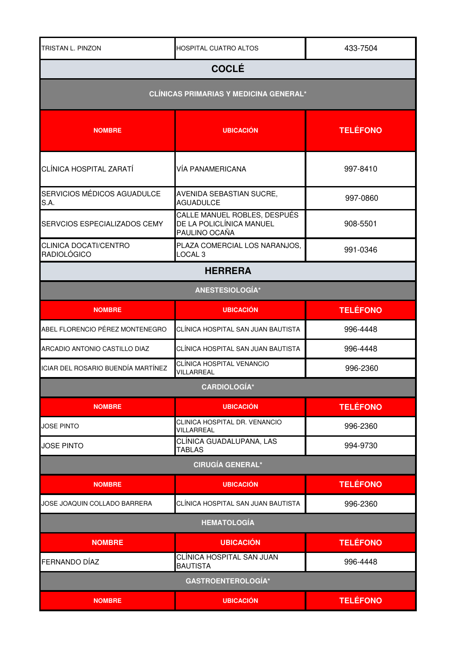| <b>NOMBRE</b>                               | <b>UBICACIÓN</b>                                                          | <b>TELÉFONO</b> |
|---------------------------------------------|---------------------------------------------------------------------------|-----------------|
|                                             | <b>GASTROENTEROLOGÍA*</b>                                                 |                 |
| FERNANDO DÍAZ                               | CLÍNICA HOSPITAL SAN JUAN<br><b>BAUTISTA</b>                              | 996-4448        |
| <b>NOMBRE</b>                               | <b>UBICACIÓN</b>                                                          | <b>TELÉFONO</b> |
|                                             | <b>HEMATOLOGÍA</b>                                                        |                 |
| JOSE JOAQUIN COLLADO BARRERA                | CLÍNICA HOSPITAL SAN JUAN BAUTISTA                                        | 996-2360        |
| <b>NOMBRE</b>                               | <b>UBICACIÓN</b>                                                          | <b>TELÉFONO</b> |
|                                             | <b>CIRUGÍA GENERAL*</b>                                                   |                 |
| <b>JOSE PINTO</b>                           | CLÍNICA GUADALUPANA, LAS<br><b>TABLAS</b>                                 | 994-9730        |
| <b>JOSE PINTO</b>                           | CLINICA HOSPITAL DR. VENANCIO<br>VILLARREAL                               | 996-2360        |
| <b>NOMBRE</b>                               | <b>UBICACIÓN</b>                                                          | <b>TELÉFONO</b> |
|                                             | <b>CARDIOLOGÍA*</b>                                                       |                 |
| ICIAR DEL ROSARIO BUENDÍA MARTÍNEZ          | CLÍNICA HOSPITAL VENANCIO<br>VILLARREAL                                   | 996-2360        |
| ARCADIO ANTONIO CASTILLO DIAZ               | CLÍNICA HOSPITAL SAN JUAN BAUTISTA                                        | 996-4448        |
| ABEL FLORENCIO PÉREZ MONTENEGRO             | CLÍNICA HOSPITAL SAN JUAN BAUTISTA                                        | 996-4448        |
| <b>NOMBRE</b>                               | <b>UBICACIÓN</b>                                                          | <b>TELÉFONO</b> |
|                                             | ANESTESIOLOGÍA*                                                           |                 |
|                                             | <b>HERRERA</b>                                                            |                 |
| CLINICA DOCATI/CENTRO<br><b>RADIOLÓGICO</b> | PLAZA COMERCIAL LOS NARANJOS,<br>LOCAL <sub>3</sub>                       | 991-0346        |
| SERVCIOS ESPECIALIZADOS CEMY                | CALLE MANUEL ROBLES, DESPUÉS<br>DE LA POLICLÍNICA MANUEL<br>PAULINO OCAÑA | 908-5501        |
| SERVICIOS MÉDICOS AGUADULCE<br>S.A.         | AVENIDA SEBASTIAN SUCRE,<br><b>AGUADULCE</b>                              | 997-0860        |
| CLÍNICA HOSPITAL ZARATÍ                     | <b>VÍA PANAMERICANA</b>                                                   | 997-8410        |
| <b>NOMBRE</b>                               | <b>UBICACIÓN</b>                                                          | <b>TELÉFONO</b> |
|                                             | <b>CLÍNICAS PRIMARIAS Y MEDICINA GENERAL*</b>                             |                 |
|                                             | <b>COCLÉ</b>                                                              |                 |
| TRISTAN L. PINZON                           | <b>HOSPITAL CUATRO ALTOS</b>                                              | 433-7504        |
|                                             |                                                                           |                 |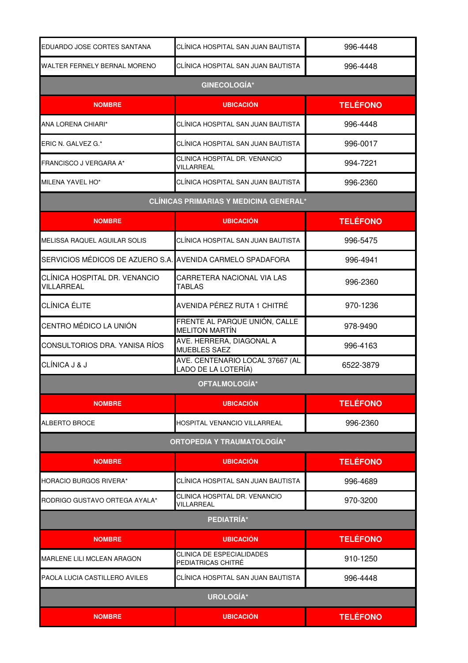| EDUARDO JOSE CORTES SANTANA                                | CLÍNICA HOSPITAL SAN JUAN BAUTISTA                     | 996-4448        |
|------------------------------------------------------------|--------------------------------------------------------|-----------------|
| WALTER FERNELY BERNAL MORENO                               | CLÍNICA HOSPITAL SAN JUAN BAUTISTA                     | 996-4448        |
|                                                            | <b>GINECOLOGÍA*</b>                                    |                 |
| <b>NOMBRE</b>                                              | <b>UBICACIÓN</b>                                       | <b>TELÉFONO</b> |
| ANA LORENA CHIARI*                                         | CLÍNICA HOSPITAL SAN JUAN BAUTISTA                     | 996-4448        |
| ERIC N. GALVEZ G.*                                         | CLÍNICA HOSPITAL SAN JUAN BAUTISTA                     | 996-0017        |
| FRANCISCO J VERGARA A*                                     | CLINICA HOSPITAL DR. VENANCIO<br>VILLARREAL            | 994-7221        |
| MILENA YAVEL HO*                                           | CLÍNICA HOSPITAL SAN JUAN BAUTISTA                     | 996-2360        |
|                                                            | <b>CLÍNICAS PRIMARIAS Y MEDICINA GENERAL*</b>          |                 |
| <b>NOMBRE</b>                                              | <b>UBICACIÓN</b>                                       | <b>TELÉFONO</b> |
| MELISSA RAQUEL AGUILAR SOLIS                               | CLÍNICA HOSPITAL SAN JUAN BAUTISTA                     | 996-5475        |
| SERVICIOS MÉDICOS DE AZUERO S.A. AVENIDA CARMELO SPADAFORA |                                                        | 996-4941        |
| CLÍNICA HOSPITAL DR. VENANCIO<br>VILLARREAL                | CARRETERA NACIONAL VIA LAS<br><b>TABLAS</b>            | 996-2360        |
| CLÍNICA ÉLITE                                              | AVENIDA PÉREZ RUTA 1 CHITRÉ                            | 970-1236        |
| CENTRO MÉDICO LA UNIÓN                                     | FRENTE AL PARQUE UNIÓN, CALLE<br><b>MELITON MARTÍN</b> | 978-9490        |
| CONSULTORIOS DRA. YANISA RÍOS                              | AVE. HERRERA, DIAGONAL A<br>MUEBLES SAEZ               | 996-4163        |
| CLÍNICA J & J                                              | AVE. CENTENARIO LOCAL 37667 (AL<br>LADO DE LA LOTERÍA) | 6522-3879       |
|                                                            | OFTALMOLOGÍA*                                          |                 |
| <b>NOMBRE</b>                                              | <b>UBICACIÓN</b>                                       | <b>TELÉFONO</b> |
| ALBERTO BROCE                                              | HOSPITAL VENANCIO VILLARREAL                           | 996-2360        |
|                                                            | <b>ORTOPEDIA Y TRAUMATOLOGÍA*</b>                      |                 |
| <b>NOMBRE</b>                                              | <b>UBICACIÓN</b>                                       | <b>TELÉFONO</b> |
| HORACIO BURGOS RIVERA*                                     | CLÍNICA HOSPITAL SAN JUAN BAUTISTA                     | 996-4689        |
| RODRIGO GUSTAVO ORTEGA AYALA*                              | CLINICA HOSPITAL DR. VENANCIO<br>VILLARREAL            | 970-3200        |
| PEDIATRÍA*                                                 |                                                        |                 |
| <b>NOMBRE</b>                                              | <b>UBICACIÓN</b>                                       | <b>TELÉFONO</b> |
| <b>MARLENE LILI MCLEAN ARAGON</b>                          | CLINICA DE ESPECIALIDADES<br>PEDIATRICAS CHITRÉ        | 910-1250        |
| PAOLA LUCIA CASTILLERO AVILES                              | CLÍNICA HOSPITAL SAN JUAN BAUTISTA                     | 996-4448        |
| <b>UROLOGÍA*</b>                                           |                                                        |                 |
| <b>NOMBRE</b>                                              | <b>UBICACIÓN</b>                                       | <b>TELÉFONO</b> |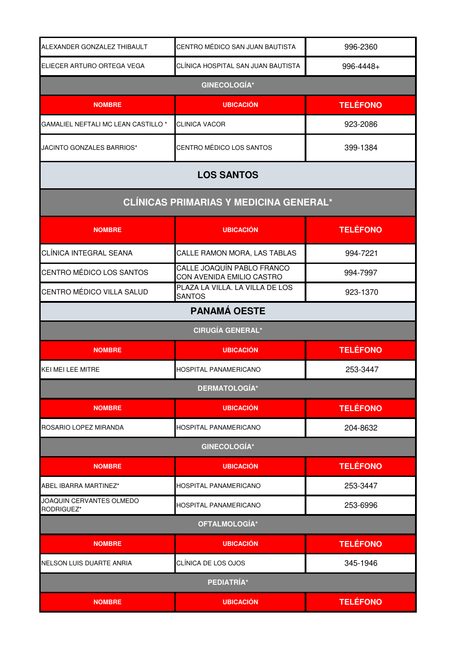| ALEXANDER GONZALEZ THIBAULT                    | CENTRO MÉDICO SAN JUAN BAUTISTA                         | 996-2360        |
|------------------------------------------------|---------------------------------------------------------|-----------------|
| ELIECER ARTURO ORTEGA VEGA                     | CLÍNICA HOSPITAL SAN JUAN BAUTISTA                      | 996-4448+       |
|                                                | <b>GINECOLOGÍA*</b>                                     |                 |
| <b>NOMBRE</b>                                  | <b>UBICACIÓN</b>                                        | <b>TELÉFONO</b> |
| GAMALIEL NEFTALI MC LEAN CASTILLO <sup>*</sup> | <b>CLINICA VACOR</b>                                    | 923-2086        |
| JACINTO GONZALES BARRIOS*                      | CENTRO MÉDICO LOS SANTOS                                | 399-1384        |
|                                                | <b>LOS SANTOS</b>                                       |                 |
|                                                | <b>CLÍNICAS PRIMARIAS Y MEDICINA GENERAL*</b>           |                 |
| <b>NOMBRE</b>                                  | <b>UBICACIÓN</b>                                        | <b>TELÉFONO</b> |
| CLÍNICA INTEGRAL SEANA                         | CALLE RAMON MORA, LAS TABLAS                            | 994-7221        |
| CENTRO MÉDICO LOS SANTOS                       | CALLE JOAQUÍN PABLO FRANCO<br>CON AVENIDA EMILIO CASTRO | 994-7997        |
| CENTRO MÉDICO VILLA SALUD                      | PLAZA LA VILLA. LA VILLA DE LOS<br><b>SANTOS</b>        | 923-1370        |
|                                                | <b>PANAMÁ OESTE</b>                                     |                 |
|                                                | <b>CIRUGÍA GENERAL*</b>                                 |                 |
| <b>NOMBRE</b>                                  | <b>UBICACIÓN</b>                                        | <b>TELÉFONO</b> |
| <b>KEI MEI LEE MITRE</b>                       | HOSPITAL PANAMERICANO                                   | 253-3447        |
|                                                | <b>DERMATOLOGÍA*</b>                                    |                 |
| <b>NOMBRE</b>                                  | <b>UBICACIÓN</b>                                        | <b>TELÉFONO</b> |
| ROSARIO LOPEZ MIRANDA                          | HOSPITAL PANAMERICANO                                   | 204-8632        |
|                                                | <b>GINECOLOGÍA*</b>                                     |                 |
| <b>NOMBRE</b>                                  | <b>UBICACIÓN</b>                                        | <b>TELÉFONO</b> |
| ABEL IBARRA MARTINEZ*                          | HOSPITAL PANAMERICANO                                   | 253-3447        |
| JOAQUIN CERVANTES OLMEDO<br>RODRIGUEZ*         | <b>HOSPITAL PANAMERICANO</b>                            | 253-6996        |
| OFTALMOLOGÍA*                                  |                                                         |                 |
| <b>NOMBRE</b>                                  | <b>UBICACIÓN</b>                                        | <b>TELÉFONO</b> |
| NELSON LUIS DUARTE ANRIA                       | CLÍNICA DE LOS OJOS                                     | 345-1946        |
| PEDIATRÍA*                                     |                                                         |                 |
| <b>NOMBRE</b>                                  | <b>UBICACIÓN</b>                                        | <b>TELÉFONO</b> |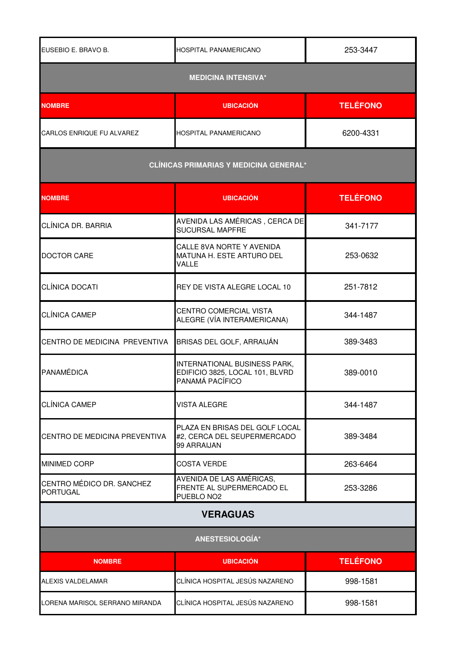| EUSEBIO E. BRAVO B.                          | HOSPITAL PANAMERICANO                                                              | 253-3447        |
|----------------------------------------------|------------------------------------------------------------------------------------|-----------------|
| <b>MEDICINA INTENSIVA*</b>                   |                                                                                    |                 |
| <b>NOMBRE</b>                                | <b>UBICACIÓN</b>                                                                   | <b>TELÉFONO</b> |
| CARLOS ENRIQUE FU ALVAREZ                    | HOSPITAL PANAMERICANO                                                              | 6200-4331       |
|                                              | <b>CLÍNICAS PRIMARIAS Y MEDICINA GENERAL*</b>                                      |                 |
| <b>NOMBRE</b>                                | <b>UBICACIÓN</b>                                                                   | <b>TELÉFONO</b> |
| CLÍNICA DR. BARRIA                           | AVENIDA LAS AMÉRICAS, CERCA DE<br>SUCURSAL MAPFRE                                  | 341-7177        |
| <b>DOCTOR CARE</b>                           | CALLE 8VA NORTE Y AVENIDA<br>MATUNA H. ESTE ARTURO DEL<br>VALLE                    | 253-0632        |
| CLÍNICA DOCATI                               | REY DE VISTA ALEGRE LOCAL 10                                                       | 251-7812        |
| <b>CLÍNICA CAMEP</b>                         | CENTRO COMERCIAL VISTA<br>ALEGRE (VÍA INTERAMERICANA)                              | 344-1487        |
| CENTRO DE MEDICINA PREVENTIVA                | BRISAS DEL GOLF, ARRAIJÁN                                                          | 389-3483        |
| PANAMÉDICA                                   | INTERNATIONAL BUSINESS PARK,<br>EDIFICIO 3825, LOCAL 101, BLVRD<br>PANAMÁ PACÍFICO | 389-0010        |
| CLÍNICA CAMEP                                | <b>VISTA ALEGRE</b>                                                                | 344-1487        |
| CENTRO DE MEDICINA PREVENTIVA                | PLAZA EN BRISAS DEL GOLF LOCAL<br>#2, CERCA DEL SEUPERMERCADO<br>99 ARRAIJAN       | 389-3484        |
| <b>MINIMED CORP</b>                          | <b>COSTA VERDE</b>                                                                 | 263-6464        |
| CENTRO MÉDICO DR. SANCHEZ<br><b>PORTUGAL</b> | AVENIDA DE LAS AMÉRICAS,<br>FRENTE AL SUPERMERCADO EL<br>PUEBLO NO <sub>2</sub>    | 253-3286        |
| <b>VERAGUAS</b>                              |                                                                                    |                 |
| ANESTESIOLOGÍA*                              |                                                                                    |                 |
| <b>NOMBRE</b>                                | <b>UBICACIÓN</b>                                                                   | <b>TELÉFONO</b> |
| <b>ALEXIS VALDELAMAR</b>                     | CLÍNICA HOSPITAL JESÚS NAZARENO                                                    | 998-1581        |
| LORENA MARISOL SERRANO MIRANDA               | CLÍNICA HOSPITAL JESÚS NAZARENO                                                    | 998-1581        |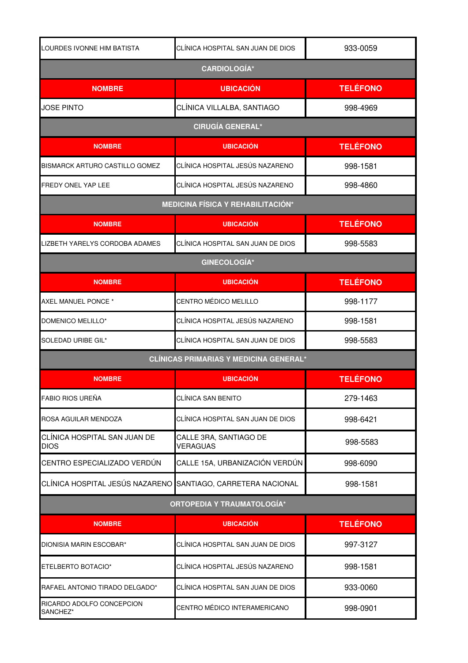| LOURDES IVONNE HIM BATISTA                  | CLÍNICA HOSPITAL SAN JUAN DE DIOS             | 933-0059        |  |
|---------------------------------------------|-----------------------------------------------|-----------------|--|
| <b>CARDIOLOGÍA*</b>                         |                                               |                 |  |
| <b>NOMBRE</b>                               | <b>UBICACIÓN</b>                              | <b>TELÉFONO</b> |  |
| JOSE PINTO                                  | CLÍNICA VILLALBA, SANTIAGO                    | 998-4969        |  |
|                                             | <b>CIRUGÍA GENERAL*</b>                       |                 |  |
| <b>NOMBRE</b>                               | <b>UBICACIÓN</b>                              | <b>TELÉFONO</b> |  |
| BISMARCK ARTURO CASTILLO GOMEZ              | CLÍNICA HOSPITAL JESÚS NAZARENO               | 998-1581        |  |
| FREDY ONEL YAP LEE                          | CLÍNICA HOSPITAL JESÚS NAZARENO               | 998-4860        |  |
|                                             | <b>MEDICINA FÍSICA Y REHABILITACIÓN*</b>      |                 |  |
| <b>NOMBRE</b>                               | <b>UBICACIÓN</b>                              | <b>TELÉFONO</b> |  |
| LIZBETH YARELYS CORDOBA ADAMES              | CLÍNICA HOSPITAL SAN JUAN DE DIOS             | 998-5583        |  |
|                                             | <b>GINECOLOGÍA*</b>                           |                 |  |
| <b>NOMBRE</b>                               | <b>UBICACIÓN</b>                              | <b>TELÉFONO</b> |  |
| AXEL MANUEL PONCE *                         | CENTRO MÉDICO MELILLO                         | 998-1177        |  |
| DOMENICO MELILLO*                           | CLÍNICA HOSPITAL JESÚS NAZARENO               | 998-1581        |  |
| SOLEDAD URIBE GIL*                          | CLÍNICA HOSPITAL SAN JUAN DE DIOS             | 998-5583        |  |
|                                             | <b>CLÍNICAS PRIMARIAS Y MEDICINA GENERAL*</b> |                 |  |
| <b>NOMBRE</b>                               | <b>UBICACIÓN</b>                              | <b>TELÉFONO</b> |  |
| FABIO RIOS UREÑA                            | CLÍNICA SAN BENITO                            | 279-1463        |  |
| ROSA AGUILAR MENDOZA                        | CLÍNICA HOSPITAL SAN JUAN DE DIOS             | 998-6421        |  |
| CLÍNICA HOSPITAL SAN JUAN DE<br><b>DIOS</b> | CALLE 3RA, SANTIAGO DE<br><b>VERAGUAS</b>     | 998-5583        |  |
| CENTRO ESPECIALIZADO VERDÚN                 | CALLE 15A, URBANIZACIÓN VERDÚN                | 998-6090        |  |
| CLÍNICA HOSPITAL JESÚS NAZARENO             | SANTIAGO, CARRETERA NACIONAL                  | 998-1581        |  |
| <b>ORTOPEDIA Y TRAUMATOLOGÍA*</b>           |                                               |                 |  |
| <b>NOMBRE</b>                               | <b>UBICACIÓN</b>                              | <b>TELÉFONO</b> |  |
| DIONISIA MARIN ESCOBAR*                     | CLÍNICA HOSPITAL SAN JUAN DE DIOS             | 997-3127        |  |
| ETELBERTO BOTACIO*                          | CLÍNICA HOSPITAL JESÚS NAZARENO               | 998-1581        |  |
| RAFAEL ANTONIO TIRADO DELGADO*              | CLÍNICA HOSPITAL SAN JUAN DE DIOS             | 933-0060        |  |
| RICARDO ADOLFO CONCEPCION<br>SANCHEZ*       | CENTRO MÉDICO INTERAMERICANO                  | 998-0901        |  |